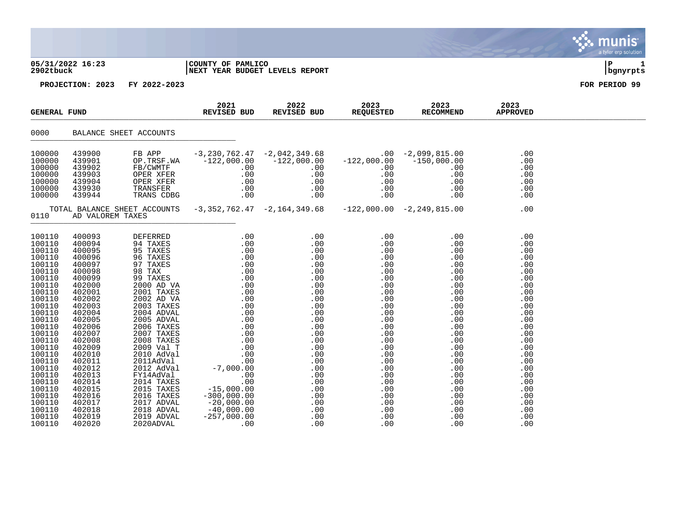| 05/31/2022 16:23<br>2902tbuck | COUNTY OF PAMLICO              |  |
|-------------------------------|--------------------------------|--|
|                               | NEXT YEAR BUDGET LEVELS REPORT |  |

| <b>GENERAL FUND</b>                                                                                                                                                                                                                                                        |                                                                                                                                                                                                                                                                            |                                                                                                                                           | 2021<br>REVISED BUD | 2022<br>REVISED BUD                                                                                                                                                                                                                                                                                                                                                                                                                          | 2023<br><b>REQUESTED</b> | 2023<br><b>RECOMMEND</b>                                                           | 2023<br><b>APPROVED</b>                                                                                                                                                                   |  |
|----------------------------------------------------------------------------------------------------------------------------------------------------------------------------------------------------------------------------------------------------------------------------|----------------------------------------------------------------------------------------------------------------------------------------------------------------------------------------------------------------------------------------------------------------------------|-------------------------------------------------------------------------------------------------------------------------------------------|---------------------|----------------------------------------------------------------------------------------------------------------------------------------------------------------------------------------------------------------------------------------------------------------------------------------------------------------------------------------------------------------------------------------------------------------------------------------------|--------------------------|------------------------------------------------------------------------------------|-------------------------------------------------------------------------------------------------------------------------------------------------------------------------------------------|--|
| 0000                                                                                                                                                                                                                                                                       |                                                                                                                                                                                                                                                                            | BALANCE SHEET ACCOUNTS                                                                                                                    |                     |                                                                                                                                                                                                                                                                                                                                                                                                                                              |                          |                                                                                    |                                                                                                                                                                                           |  |
| 100000<br>100000<br>100000<br>100000<br>100000<br>100000<br>100000                                                                                                                                                                                                         | 439900<br>439901<br>439902<br>439903<br>439904<br>439930<br>439944                                                                                                                                                                                                         | FB APP                                                                                                                                    |                     | $\begin{array}{cccc} -3\, , 230 \, , 762 \, .47 & -2 \, , 042 \, , 349 \, .68 & .00 & -2 \, , 099 \, , 815 \, .00 \\ -122 \, , 000 \, .00 & -122 \, , 000 \, .00 & -122 \, , 000 \, .00 & -150 \, , 000 \, .00 \end{array}$<br>PB AFF<br>OP TRES TWA -122,000.00 -122,000.00 -122,000.00 -150,000<br>FB/CWMTF .00 .00 .00 .00<br>OPER XFER .00 .00 .00 .00<br>TRANSFER .00 .00 .00 .00<br>TRANSFER .00 .00 .00 .00<br>TRANS CDBG .00 .00 .00 |                          | $\begin{array}{r} 0,000.000\ 0,000.000\ 0.00\ 0.00\ 0.00\ 0.00\ 0.00\ \end{array}$ | .00<br>.00<br>.00<br>.00<br>.00<br>.00<br>.00                                                                                                                                             |  |
| 0110                                                                                                                                                                                                                                                                       | AD VALOREM TAXES                                                                                                                                                                                                                                                           |                                                                                                                                           |                     |                                                                                                                                                                                                                                                                                                                                                                                                                                              |                          | TOTAL BALANCE SHEET ACCOUNTS -3,352,762.47 -2,164,349.68 -122,000.00 -2,249,815.00 | .00                                                                                                                                                                                       |  |
| 100110<br>100110<br>100110<br>100110<br>100110<br>100110<br>100110<br>100110<br>100110<br>100110<br>100110<br>100110<br>100110<br>100110<br>100110<br>100110<br>100110<br>100110<br>100110<br>100110<br>100110<br>100110<br>100110<br>100110<br>100110<br>100110<br>100110 | 400093<br>400094<br>400095<br>400096<br>400097<br>400098<br>400099<br>402000<br>402001<br>402002<br>402003<br>402004<br>402005<br>402006<br>402007<br>402008<br>402009<br>402010<br>402011<br>402012<br>402013<br>402014<br>402015<br>402016<br>402017<br>402018<br>402019 | 95 TAXES<br>96 TAXES<br>96 TAXES<br>98 TAX<br>98 TAXES<br>2000 AD VA<br>2001 TAXES<br>2002 AD VA<br>2012 Adval<br>FY14Adval<br>2014 TAXES |                     |                                                                                                                                                                                                                                                                                                                                                                                                                                              |                          |                                                                                    | .00<br>.00<br>.00<br>.00<br>.00<br>.00<br>.00<br>.00<br>.00<br>.00<br>.00<br>.00<br>.00<br>.00<br>.00<br>.00<br>.00<br>.00<br>.00<br>.00<br>.00<br>.00<br>.00<br>.00<br>.00<br>.00<br>.00 |  |

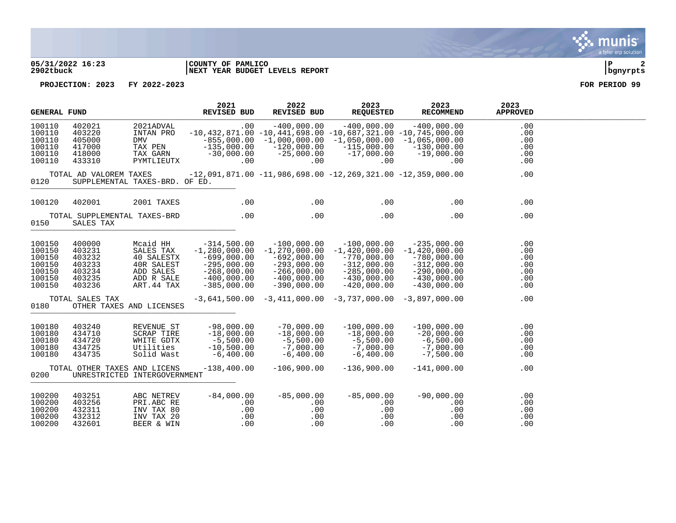

### **05/31/2022 16:23 |COUNTY OF PAMLICO |P 2 2902tbuck |NEXT YEAR BUDGET LEVELS REPORT |bgnyrpts**

| GENERAL FUND                                                       |                                                                    |                                                                                             | 2021<br><b>REVISED BUD</b>                                                                                      |                               | 2022<br>REVISED BUD                                                                                                                                                       | 2023<br><b>REQUESTED</b>                                                                                              | 2023<br><b>RECOMMEND</b>                                                                                            | 2023<br><b>APPROVED</b>                       |  |
|--------------------------------------------------------------------|--------------------------------------------------------------------|---------------------------------------------------------------------------------------------|-----------------------------------------------------------------------------------------------------------------|-------------------------------|---------------------------------------------------------------------------------------------------------------------------------------------------------------------------|-----------------------------------------------------------------------------------------------------------------------|---------------------------------------------------------------------------------------------------------------------|-----------------------------------------------|--|
| 100110<br>100110<br>100110<br>100110<br>100110<br>100110           | 402021<br>403220<br>405000<br>417000<br>418000<br>433310           | 2021ADVAL<br>INTAN PRO<br><b>DMV</b><br>TAX PEN<br>TAX GARN<br>PYMTLIEUTX                   | $-855,000.00$<br>$-135,000.00$<br>$-30,000.00$                                                                  | .00<br>$.00 \,$               | $-400,000.00$<br>$-10,432,871.00 -10,441,698.00 -10,687,321.00 -10,745,000.00$<br>$-1,000,000.00$ $-1,050,000.00$ $-1,065,000.00$<br>$-120,000.00$<br>$-25,000.00$<br>.00 | $-400,000.00$<br>$-115,000.00$<br>$-17,000.00$<br>$.00 \,$                                                            | $-400,000.00$<br>$-130,000.00$<br>$-19,000.00$<br>.00                                                               | .00<br>.00<br>.00<br>.00<br>.00<br>.00        |  |
| 0120                                                               | TOTAL AD VALOREM TAXES<br>SUPPLEMENTAL TAXES-BRD. OF ED.           |                                                                                             |                                                                                                                 |                               |                                                                                                                                                                           |                                                                                                                       | $-12$ ,091,871.00 $-11$ ,986,698.00 $-12$ ,269,321.00 $-12$ ,359,000.00                                             | .00                                           |  |
| 100120                                                             | 402001                                                             | 2001 TAXES                                                                                  |                                                                                                                 | .00                           | .00                                                                                                                                                                       | .00                                                                                                                   | .00                                                                                                                 | .00                                           |  |
| 0150                                                               | TOTAL SUPPLEMENTAL TAXES-BRD<br>SALES TAX                          |                                                                                             |                                                                                                                 | .00                           | .00                                                                                                                                                                       | .00                                                                                                                   | .00                                                                                                                 | .00                                           |  |
| 100150<br>100150<br>100150<br>100150<br>100150<br>100150<br>100150 | 400000<br>403231<br>403232<br>403233<br>403234<br>403235<br>403236 | Mcaid HH<br>SALES TAX<br>40 SALESTX<br>40R SALEST<br>ADD SALES<br>ADD R SALE<br>ART. 44 TAX | $-314,500.00$<br>$-1,280,000.00$<br>-699,000.00<br>$-295,000.00$<br>–268,000.00<br>–400,000.00<br>$-385,000.00$ |                               | $-100,000.00$<br>$-1$ ,270,000.00<br>$-692,000.00$<br>$-293,000.00$<br>$-266,000.00$<br>$-400,000.00$<br>$-390,000.00$                                                    | $-100.000.00$<br>$-1,420,000.00$<br>$-770,000.00$<br>$-312,000.00$<br>$-285,000.00$<br>$-430,000.00$<br>$-420,000.00$ | $-235,000.00$<br>$-1,420,000.00$<br>$-780,000.00$<br>$-312,000.00$<br>-290,000.00<br>$-430,000.00$<br>$-430,000.00$ | .00<br>.00<br>.00<br>.00<br>.00<br>.00<br>.00 |  |
| 0180                                                               | TOTAL SALES TAX<br>OTHER TAXES AND LICENSES                        |                                                                                             |                                                                                                                 |                               | $-3,641,500.00 -3,411,000.00 -3,737,000.00 -3,897,000.00$                                                                                                                 |                                                                                                                       |                                                                                                                     | .00                                           |  |
| 100180<br>100180<br>100180<br>100180<br>100180                     | 403240<br>434710<br>434720<br>434725<br>434735                     | REVENUE ST<br>SCRAP TIRE<br>WHITE GDTX<br>Utilities<br>Solid Wast                           | $-98,000.00$<br>$-18,000.00$<br>$-5,500.00$<br>$-10,500.00$<br>$-6,400.00$                                      |                               | $-70,000.00$<br>$-18,000.00$<br>$-5,500.00$<br>$-7,000.00$<br>$-6,400.00$                                                                                                 | $-100,000.00$<br>$-18,000.00$<br>-5,500.00<br>-7,000.00<br>$-6,400.00$                                                | $-100,000.00$<br>$-20,000.00$<br>-6,500.00<br>-7,000.00<br>$-7,500.00$                                              | .00<br>.00<br>.00<br>.00<br>.00               |  |
| 0200                                                               | TOTAL OTHER TAXES AND LICENS<br>UNRESTRICTED INTERGOVERNMENT       |                                                                                             | $-138, 400.00$                                                                                                  |                               | $-106,900.00$                                                                                                                                                             | $-136,900.00$                                                                                                         | $-141,000.00$                                                                                                       | .00                                           |  |
| 100200<br>100200<br>100200<br>100200<br>100200                     | 403251<br>403256<br>432311<br>432312<br>432601                     | ABC NETREV<br>PRI.ABC RE<br>INV TAX 80<br>INV TAX 20<br>BEER & WIN                          | $-84,000.00$                                                                                                    | $.00 \,$<br>.00<br>.00<br>.00 | $-85,000.00$<br>.00<br>$.00 \,$<br>.00<br>.00                                                                                                                             | $-85,000.00$<br>.00<br>.00<br>.00<br>.00                                                                              | $-90,000.00$<br>$.00 \,$<br>.00<br>.00<br>.00                                                                       | .00<br>.00<br>.00<br>.00<br>.00               |  |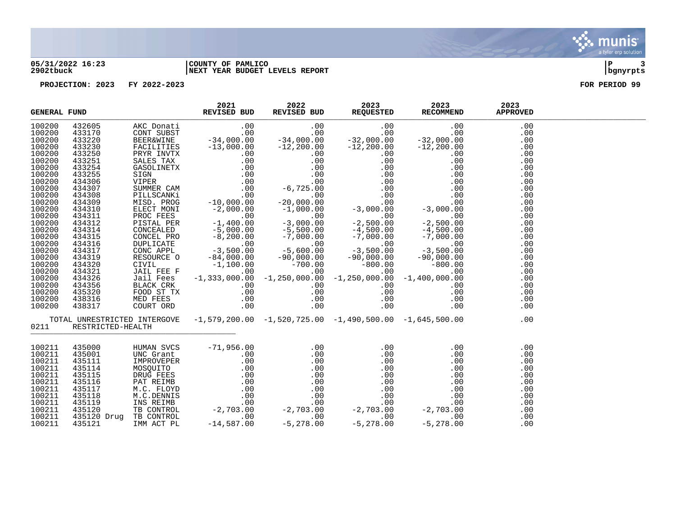### **05/31/2022 16:23 |COUNTY OF PAMLICO |P 3 2902tbuck |NEXT YEAR BUDGET LEVELS REPORT |bgnyrpts**

| <b>GENERAL FUND</b>                                                                                                                                                                                                                          |                                                                                                            |                        | 2021<br>REVISED BUD | 2022 | 2023 | 2023<br>REVISED BUD REQUESTED RECOMMEND                                                                                                                                                                                                      | 2023<br><b>APPROVED</b>                                                                                                                                              |  |
|----------------------------------------------------------------------------------------------------------------------------------------------------------------------------------------------------------------------------------------------|------------------------------------------------------------------------------------------------------------|------------------------|---------------------|------|------|----------------------------------------------------------------------------------------------------------------------------------------------------------------------------------------------------------------------------------------------|----------------------------------------------------------------------------------------------------------------------------------------------------------------------|--|
| 100200<br>100200<br>100200<br>100200<br>100200<br>100200<br>100200<br>100200<br>100200<br>100200<br>100200<br>100200<br>100200<br>100200<br>100200<br>100200<br>100200<br>100200<br>100200<br>100200<br>100200<br>100200<br>100200<br>100200 |                                                                                                            |                        |                     |      |      |                                                                                                                                                                                                                                              | .00<br>.00<br>.00<br>.00<br>.00<br>.00<br>.00<br>.00<br>.00<br>.00<br>.00<br>.00<br>.00<br>.00<br>.00<br>.00<br>.00<br>.00<br>.00<br>.00<br>.00<br>.00<br>.00<br>.00 |  |
| 100200<br>100200<br>100200                                                                                                                                                                                                                   |                                                                                                            |                        |                     |      |      |                                                                                                                                                                                                                                              | .00<br>.00<br>.00                                                                                                                                                    |  |
| 0211                                                                                                                                                                                                                                         | RESTRICTED-HEALTH                                                                                          |                        |                     |      |      | TOTAL UNRESTRICTED INTERGOVE -1,579,200.00 -1,520,725.00 -1,490,500.00 -1,645,500.00                                                                                                                                                         | .00                                                                                                                                                                  |  |
| 100211<br>100211<br>100211<br>100211<br>100211<br>100211<br>100211<br>100211<br>100211<br>100211<br>100211<br>100211                                                                                                                         | 435000<br>435001<br>435111<br>435114<br>435115<br>435116<br>435117<br>435118<br>435119<br>435120<br>435121 | 435120 Drug TB CONTROL |                     |      |      | HUMAN SVCS $-71,956.00$<br>UNC Grant $0.00$<br>IMPROVEPER $0.00$ 0.00 0.00 0.00<br>MOSQUITO $0.00$ 0.00 0.00 0.00<br>MOSQUITO $0.00$ 0.00 0.00<br>NRUG FEES $0.00$ 0.00 0.00 0.00<br>PAT REIMB 0.00 0.00 0.00 0.00<br>M.C. FLOVD 0.00 0.00 0 | .00<br>.00<br>.00<br>.00<br>.00<br>.00<br>.00<br>.00<br>.00<br>.00<br>.00<br>.00                                                                                     |  |

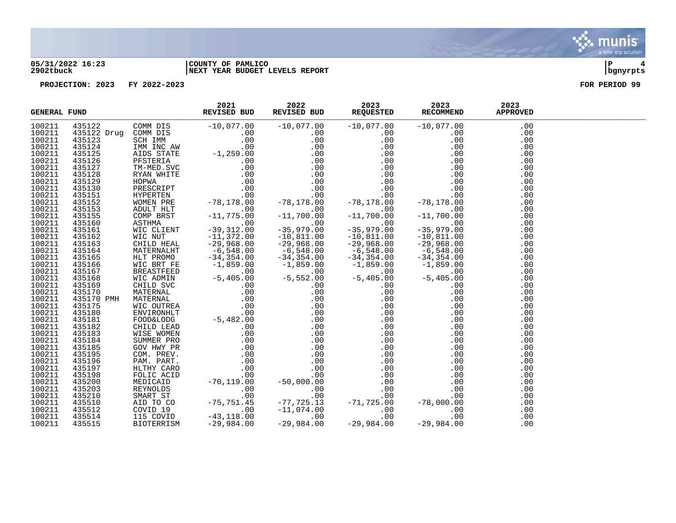

### **05/31/2022 16:23 |COUNTY OF PAMLICO |P 4 2902tbuck |NEXT YEAR BUDGET LEVELS REPORT |bgnyrpts**

| <b>GENERAL FUND</b> |  | 2021<br>REVISED BUD | 2022 | 2023<br>REVISED BUD REQUESTED RECOMMEND | 2023<br>$\begin{tabular}{l c c c c} \hline \textbf{F0AD} & \textbf{REV2B1} & \textbf{REV2B1} & \textbf{REV2B2} & \textbf{REV2B2} & \textbf{F0D} & \textbf{REV2B2} & \textbf{F0D} & \textbf{REV2B2} & \textbf{F0D} & \textbf{REV2B2} & \textbf{F0D} & \textbf{REV2B2} & \textbf{R0D} & \textbf{R0D} & \textbf{R0D} & \textbf{R0D} & \textbf{R0D} & \textbf{R0D} & \textbf{R0D} & \textbf{R$ | 2023<br><b>APPROVED</b> |  |
|---------------------|--|---------------------|------|-----------------------------------------|--------------------------------------------------------------------------------------------------------------------------------------------------------------------------------------------------------------------------------------------------------------------------------------------------------------------------------------------------------------------------------------------|-------------------------|--|
| 100211              |  |                     |      |                                         |                                                                                                                                                                                                                                                                                                                                                                                            | .00                     |  |
| 100211              |  |                     |      |                                         |                                                                                                                                                                                                                                                                                                                                                                                            | .00                     |  |
| 100211              |  |                     |      |                                         |                                                                                                                                                                                                                                                                                                                                                                                            | .00                     |  |
| 100211              |  |                     |      |                                         |                                                                                                                                                                                                                                                                                                                                                                                            | .00                     |  |
| 100211              |  |                     |      |                                         |                                                                                                                                                                                                                                                                                                                                                                                            | .00                     |  |
| 100211              |  |                     |      |                                         |                                                                                                                                                                                                                                                                                                                                                                                            | .00                     |  |
| 100211              |  |                     |      |                                         |                                                                                                                                                                                                                                                                                                                                                                                            | .00                     |  |
| 100211              |  |                     |      |                                         |                                                                                                                                                                                                                                                                                                                                                                                            | .00                     |  |
| 100211              |  |                     |      |                                         |                                                                                                                                                                                                                                                                                                                                                                                            | .00                     |  |
| 100211              |  |                     |      |                                         |                                                                                                                                                                                                                                                                                                                                                                                            | .00                     |  |
| 100211              |  |                     |      |                                         |                                                                                                                                                                                                                                                                                                                                                                                            | .00                     |  |
| 100211              |  |                     |      |                                         |                                                                                                                                                                                                                                                                                                                                                                                            | .00                     |  |
| 100211              |  |                     |      |                                         |                                                                                                                                                                                                                                                                                                                                                                                            | .00                     |  |
| 100211              |  |                     |      |                                         |                                                                                                                                                                                                                                                                                                                                                                                            | .00                     |  |
| 100211              |  |                     |      |                                         |                                                                                                                                                                                                                                                                                                                                                                                            | .00                     |  |
| 100211              |  |                     |      |                                         |                                                                                                                                                                                                                                                                                                                                                                                            | .00                     |  |
| 100211              |  |                     |      |                                         |                                                                                                                                                                                                                                                                                                                                                                                            | .00                     |  |
| 100211              |  |                     |      |                                         |                                                                                                                                                                                                                                                                                                                                                                                            | .00                     |  |
| 100211              |  |                     |      |                                         |                                                                                                                                                                                                                                                                                                                                                                                            | .00                     |  |
| 100211              |  |                     |      |                                         |                                                                                                                                                                                                                                                                                                                                                                                            | .00                     |  |
| 100211              |  |                     |      |                                         |                                                                                                                                                                                                                                                                                                                                                                                            | .00                     |  |
| 100211              |  |                     |      |                                         |                                                                                                                                                                                                                                                                                                                                                                                            | .00                     |  |
| 100211              |  |                     |      |                                         |                                                                                                                                                                                                                                                                                                                                                                                            | .00                     |  |
| 100211              |  |                     |      |                                         |                                                                                                                                                                                                                                                                                                                                                                                            | .00                     |  |
| 100211              |  |                     |      |                                         |                                                                                                                                                                                                                                                                                                                                                                                            | .00                     |  |
| 100211              |  |                     |      |                                         |                                                                                                                                                                                                                                                                                                                                                                                            | .00                     |  |
| 100211              |  |                     |      |                                         |                                                                                                                                                                                                                                                                                                                                                                                            | .00                     |  |
| 100211              |  |                     |      |                                         |                                                                                                                                                                                                                                                                                                                                                                                            | .00                     |  |
| 100211              |  |                     |      |                                         |                                                                                                                                                                                                                                                                                                                                                                                            | .00                     |  |
| 100211              |  |                     |      |                                         |                                                                                                                                                                                                                                                                                                                                                                                            | .00                     |  |
| 100211              |  |                     |      |                                         |                                                                                                                                                                                                                                                                                                                                                                                            | .00                     |  |
| 100211              |  |                     |      |                                         |                                                                                                                                                                                                                                                                                                                                                                                            | .00                     |  |
| 100211              |  |                     |      |                                         |                                                                                                                                                                                                                                                                                                                                                                                            | .00                     |  |
| 100211              |  |                     |      |                                         |                                                                                                                                                                                                                                                                                                                                                                                            | .00                     |  |
| 100211              |  |                     |      |                                         |                                                                                                                                                                                                                                                                                                                                                                                            | .00                     |  |
| 100211              |  |                     |      |                                         |                                                                                                                                                                                                                                                                                                                                                                                            | .00                     |  |
| 100211              |  |                     |      |                                         |                                                                                                                                                                                                                                                                                                                                                                                            | .00                     |  |
| 100211              |  |                     |      |                                         |                                                                                                                                                                                                                                                                                                                                                                                            | .00                     |  |
| 100211              |  |                     |      |                                         |                                                                                                                                                                                                                                                                                                                                                                                            | .00                     |  |
| 100211              |  |                     |      |                                         |                                                                                                                                                                                                                                                                                                                                                                                            |                         |  |
|                     |  |                     |      |                                         |                                                                                                                                                                                                                                                                                                                                                                                            | .00                     |  |
| 100211<br>100211    |  |                     |      |                                         |                                                                                                                                                                                                                                                                                                                                                                                            | .00                     |  |
|                     |  |                     |      |                                         |                                                                                                                                                                                                                                                                                                                                                                                            | .00                     |  |
| 100211              |  |                     |      |                                         |                                                                                                                                                                                                                                                                                                                                                                                            | .00                     |  |
| 100211              |  |                     |      |                                         |                                                                                                                                                                                                                                                                                                                                                                                            | .00                     |  |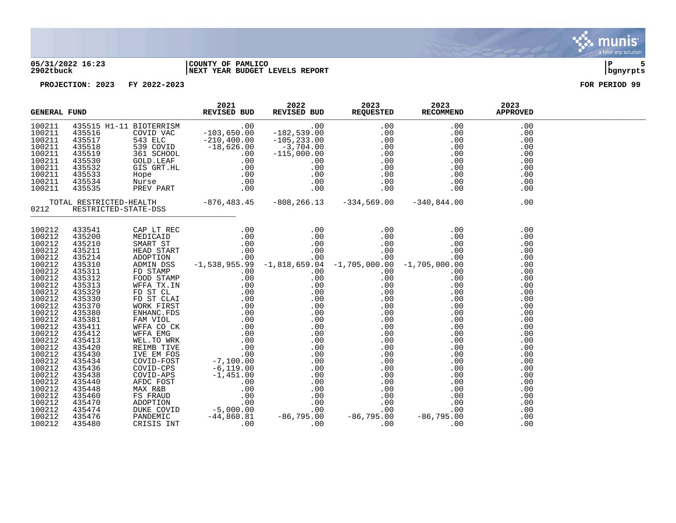

### **05/31/2022 16:23 |COUNTY OF PAMLICO |P 5 2902tbuck |NEXT YEAR BUDGET LEVELS REPORT |bgnyrpts**

|                                                                                                                                                                                                      | <b>GENERAL FUND</b>                                                                                                                                                                                                   |  |  |                                                                                                                                                                                                                                                                                              |  |
|------------------------------------------------------------------------------------------------------------------------------------------------------------------------------------------------------|-----------------------------------------------------------------------------------------------------------------------------------------------------------------------------------------------------------------------|--|--|----------------------------------------------------------------------------------------------------------------------------------------------------------------------------------------------------------------------------------------------------------------------------------------------|--|
| 100211<br>100211<br>100211<br>100211<br>100211<br>100211<br>100211<br>100211<br>100211<br>100211                                                                                                     |                                                                                                                                                                                                                       |  |  | $\begin{tabular}{l c c c c c} \hline \textbf{ERERAL FUND} & \textbf{RUG2021} & 2022 & 2023 & 2023 & 2023 & 2023 & 2023 & 2023 & 2023 & 2023 & 2023 & 2023 & 2023 & 2023 & 2023 & 2023 & 2023 & 2023 & 2023 & 2023 & 2023 & 2023 & 2023 & 2023 & 2023 & 2023 & 2023 & 2023 & 2023 & 2023 & 2$ |  |
| 0212                                                                                                                                                                                                 |                                                                                                                                                                                                                       |  |  |                                                                                                                                                                                                                                                                                              |  |
| 100212<br>100212<br>100212<br>100212<br>100212<br>100212<br>100212<br>100212<br>100212<br>100212<br>100212<br>100212<br>100212<br>100212<br>100212<br>100212<br>100212<br>100212<br>100212<br>100212 | 100212 433541<br>435200<br>435210<br>435211<br>435214<br>435310<br>435311<br>435312<br>435313<br>435329<br>435330<br>435370<br>435380<br>435381<br>435411<br>435412<br>435413<br>435420<br>435430<br>435434<br>435436 |  |  |                                                                                                                                                                                                                                                                                              |  |
| 100212<br>100212<br>100212<br>100212<br>100212<br>100212<br>100212<br>100212                                                                                                                         | 435438<br>435440<br>435448<br>435460<br>435470<br>435474<br>435476<br>435480                                                                                                                                          |  |  |                                                                                                                                                                                                                                                                                              |  |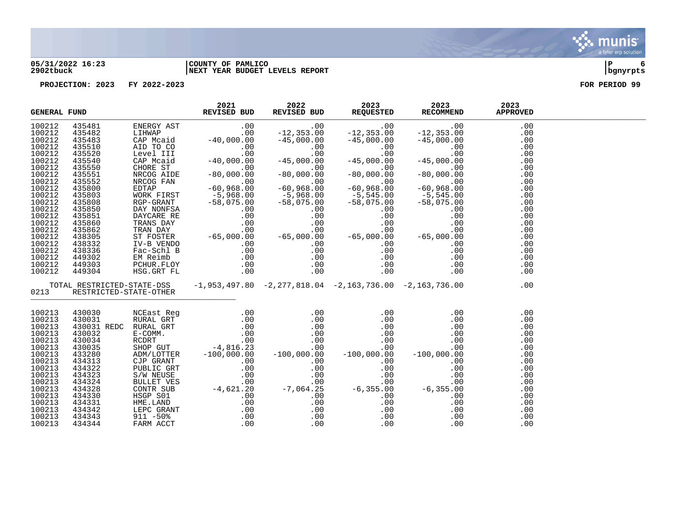

### **05/31/2022 16:23 |COUNTY OF PAMLICO |P 6 2902tbuck |NEXT YEAR BUDGET LEVELS REPORT |bgnyrpts**

| <b>GENERAL FUND</b> |                             | 2021<br>REVISED BUD | 2022 | 2023 | 2023<br>REVISED BUD REQUESTED RECOMMEND                                                                                                                                                                                                                                                                                                            | 2023<br><b>APPROVED</b> |  |
|---------------------|-----------------------------|---------------------|------|------|----------------------------------------------------------------------------------------------------------------------------------------------------------------------------------------------------------------------------------------------------------------------------------------------------------------------------------------------------|-------------------------|--|
| 100212              |                             |                     |      |      |                                                                                                                                                                                                                                                                                                                                                    |                         |  |
| 100212              |                             |                     |      |      |                                                                                                                                                                                                                                                                                                                                                    |                         |  |
| 100212              |                             |                     |      |      |                                                                                                                                                                                                                                                                                                                                                    |                         |  |
| 100212              |                             |                     |      |      |                                                                                                                                                                                                                                                                                                                                                    |                         |  |
| 100212              |                             |                     |      |      |                                                                                                                                                                                                                                                                                                                                                    |                         |  |
| 100212              |                             |                     |      |      |                                                                                                                                                                                                                                                                                                                                                    |                         |  |
| 100212              |                             |                     |      |      |                                                                                                                                                                                                                                                                                                                                                    |                         |  |
| 100212              |                             |                     |      |      |                                                                                                                                                                                                                                                                                                                                                    |                         |  |
| 100212              |                             |                     |      |      |                                                                                                                                                                                                                                                                                                                                                    |                         |  |
| 100212              |                             |                     |      |      |                                                                                                                                                                                                                                                                                                                                                    |                         |  |
| 100212              |                             |                     |      |      |                                                                                                                                                                                                                                                                                                                                                    |                         |  |
| 100212              |                             |                     |      |      |                                                                                                                                                                                                                                                                                                                                                    |                         |  |
| 100212              |                             |                     |      |      |                                                                                                                                                                                                                                                                                                                                                    |                         |  |
| 100212              |                             |                     |      |      |                                                                                                                                                                                                                                                                                                                                                    |                         |  |
| 100212              |                             |                     |      |      |                                                                                                                                                                                                                                                                                                                                                    |                         |  |
| 100212              |                             |                     |      |      |                                                                                                                                                                                                                                                                                                                                                    |                         |  |
| 100212              |                             |                     |      |      |                                                                                                                                                                                                                                                                                                                                                    |                         |  |
| 100212              |                             |                     |      |      |                                                                                                                                                                                                                                                                                                                                                    |                         |  |
| 100212              |                             |                     |      |      |                                                                                                                                                                                                                                                                                                                                                    |                         |  |
| 100212              |                             |                     |      |      |                                                                                                                                                                                                                                                                                                                                                    |                         |  |
| 100212              |                             |                     |      |      |                                                                                                                                                                                                                                                                                                                                                    |                         |  |
| 100212              |                             |                     |      |      | $\begin{tabular}{l cccc} \textbf{FUND} & \textbf{REVISED BUD} & \textbf{REVISED BUD} & \textbf{REVISED BUD} & \textbf{REVUSEFED} & \textbf{RECOMMEND} & \textbf{REVADWEND} \\ \hline 4254812 & \textbf{EINERGY AST} & 0.00 & -12,353.00 & -12,353.00 & -12,353.00 & 0.00 & 0.00 & 0.00 & 0.00 & 0.00 & 0.00 & 0.00 & 0.00 & 0.00 & 0.00 & 0.00 & $ |                         |  |
|                     | 0213 RESTRICTED-STATE-OTHER |                     |      |      | TOTAL RESTRICTED-STATE-DSS -1,953,497.80 -2,277,818.04 -2,163,736.00 -2,163,736.00                                                                                                                                                                                                                                                                 | .00                     |  |
| 100213              |                             |                     |      |      |                                                                                                                                                                                                                                                                                                                                                    | .00                     |  |
| 100213              |                             |                     |      |      |                                                                                                                                                                                                                                                                                                                                                    | .00                     |  |
| 100213              |                             |                     |      |      |                                                                                                                                                                                                                                                                                                                                                    | .00                     |  |
| 100213              |                             |                     |      |      |                                                                                                                                                                                                                                                                                                                                                    | .00                     |  |
| 100213              |                             |                     |      |      |                                                                                                                                                                                                                                                                                                                                                    | .00                     |  |
| 100213              |                             |                     |      |      |                                                                                                                                                                                                                                                                                                                                                    | .00                     |  |
| 100213              |                             |                     |      |      |                                                                                                                                                                                                                                                                                                                                                    | .00                     |  |
| 100213              |                             |                     |      |      |                                                                                                                                                                                                                                                                                                                                                    | .00                     |  |
| 100213              |                             |                     |      |      |                                                                                                                                                                                                                                                                                                                                                    | .00                     |  |
| 100213              |                             |                     |      |      |                                                                                                                                                                                                                                                                                                                                                    | .00                     |  |
| 100213              |                             |                     |      |      |                                                                                                                                                                                                                                                                                                                                                    | .00                     |  |
| 100213              |                             |                     |      |      |                                                                                                                                                                                                                                                                                                                                                    | .00                     |  |
| 100213              |                             |                     |      |      |                                                                                                                                                                                                                                                                                                                                                    | .00                     |  |
| 100213              |                             |                     |      |      |                                                                                                                                                                                                                                                                                                                                                    | .00                     |  |
| 100213              |                             |                     |      |      |                                                                                                                                                                                                                                                                                                                                                    | .00                     |  |
| 100213              |                             |                     |      |      |                                                                                                                                                                                                                                                                                                                                                    | .00                     |  |
| 100213              |                             |                     |      |      |                                                                                                                                                                                                                                                                                                                                                    | .00                     |  |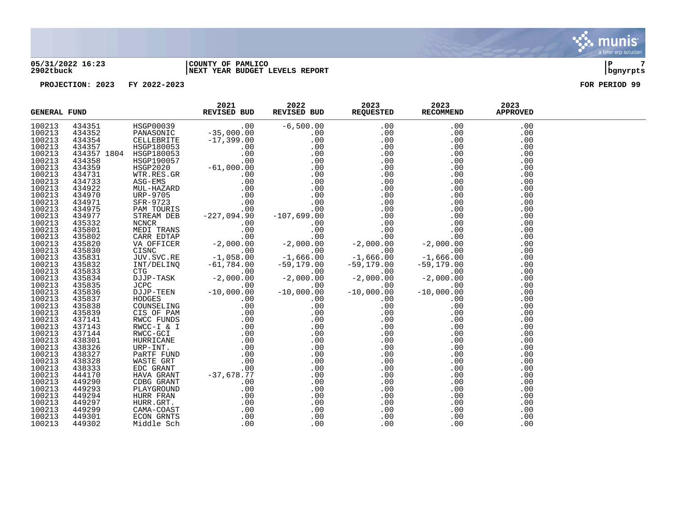### **05/31/2022 16:23 |COUNTY OF PAMLICO |P 7 2902tbuck |NEXT YEAR BUDGET LEVELS REPORT |bgnyrpts**

| <b>GENERAL FUND</b> |  |  | 2021 2022 2023 2023 2023<br>REVISED BUD REVISED BUD REQUESTED RECOMMEND APPROVED<br>$\begin{tabular}{l c c c c} \textbf{FUND} & \textbf{ROV201} & \textbf{ROV2101} & \textbf{ROV2120} & \textbf{ROV2202} & \textbf{ROV2203} & \textbf{ROV2203} & \textbf{ROV2203} & \textbf{ROV2203} & \textbf{ROV2203} & \textbf{ROV2203} & \textbf{ROV2203} & \textbf{ROV20320} & \textbf{ROV20320} & \textbf{ROV20320} & \textbf{ROV20320} & \textbf{ROV2030} & \$ |  |
|---------------------|--|--|-------------------------------------------------------------------------------------------------------------------------------------------------------------------------------------------------------------------------------------------------------------------------------------------------------------------------------------------------------------------------------------------------------------------------------------------------------|--|
| 100213              |  |  |                                                                                                                                                                                                                                                                                                                                                                                                                                                       |  |
| 100213              |  |  |                                                                                                                                                                                                                                                                                                                                                                                                                                                       |  |
| 100213              |  |  |                                                                                                                                                                                                                                                                                                                                                                                                                                                       |  |
| 100213              |  |  |                                                                                                                                                                                                                                                                                                                                                                                                                                                       |  |
| 100213              |  |  |                                                                                                                                                                                                                                                                                                                                                                                                                                                       |  |
| 100213              |  |  |                                                                                                                                                                                                                                                                                                                                                                                                                                                       |  |
| 100213              |  |  |                                                                                                                                                                                                                                                                                                                                                                                                                                                       |  |
| 100213              |  |  |                                                                                                                                                                                                                                                                                                                                                                                                                                                       |  |
|                     |  |  |                                                                                                                                                                                                                                                                                                                                                                                                                                                       |  |
| 100213              |  |  |                                                                                                                                                                                                                                                                                                                                                                                                                                                       |  |
| 100213              |  |  |                                                                                                                                                                                                                                                                                                                                                                                                                                                       |  |
| 100213              |  |  |                                                                                                                                                                                                                                                                                                                                                                                                                                                       |  |
| 100213              |  |  |                                                                                                                                                                                                                                                                                                                                                                                                                                                       |  |
| 100213              |  |  |                                                                                                                                                                                                                                                                                                                                                                                                                                                       |  |
| 100213              |  |  |                                                                                                                                                                                                                                                                                                                                                                                                                                                       |  |
| 100213              |  |  |                                                                                                                                                                                                                                                                                                                                                                                                                                                       |  |
| 100213              |  |  |                                                                                                                                                                                                                                                                                                                                                                                                                                                       |  |
| 100213              |  |  |                                                                                                                                                                                                                                                                                                                                                                                                                                                       |  |
| 100213              |  |  |                                                                                                                                                                                                                                                                                                                                                                                                                                                       |  |
| 100213              |  |  |                                                                                                                                                                                                                                                                                                                                                                                                                                                       |  |
| 100213              |  |  |                                                                                                                                                                                                                                                                                                                                                                                                                                                       |  |
|                     |  |  |                                                                                                                                                                                                                                                                                                                                                                                                                                                       |  |
| 100213              |  |  |                                                                                                                                                                                                                                                                                                                                                                                                                                                       |  |
| 100213              |  |  |                                                                                                                                                                                                                                                                                                                                                                                                                                                       |  |
| 100213              |  |  |                                                                                                                                                                                                                                                                                                                                                                                                                                                       |  |
| 100213              |  |  |                                                                                                                                                                                                                                                                                                                                                                                                                                                       |  |
| 100213              |  |  |                                                                                                                                                                                                                                                                                                                                                                                                                                                       |  |
| 100213              |  |  |                                                                                                                                                                                                                                                                                                                                                                                                                                                       |  |
| 100213              |  |  |                                                                                                                                                                                                                                                                                                                                                                                                                                                       |  |
| 100213              |  |  |                                                                                                                                                                                                                                                                                                                                                                                                                                                       |  |
| 100213              |  |  |                                                                                                                                                                                                                                                                                                                                                                                                                                                       |  |
| 100213              |  |  |                                                                                                                                                                                                                                                                                                                                                                                                                                                       |  |
| 100213              |  |  |                                                                                                                                                                                                                                                                                                                                                                                                                                                       |  |
| 100213              |  |  |                                                                                                                                                                                                                                                                                                                                                                                                                                                       |  |
| 100213              |  |  |                                                                                                                                                                                                                                                                                                                                                                                                                                                       |  |
|                     |  |  |                                                                                                                                                                                                                                                                                                                                                                                                                                                       |  |
| 100213              |  |  |                                                                                                                                                                                                                                                                                                                                                                                                                                                       |  |
| 100213              |  |  |                                                                                                                                                                                                                                                                                                                                                                                                                                                       |  |
| 100213              |  |  |                                                                                                                                                                                                                                                                                                                                                                                                                                                       |  |
| 100213              |  |  |                                                                                                                                                                                                                                                                                                                                                                                                                                                       |  |
| 100213              |  |  |                                                                                                                                                                                                                                                                                                                                                                                                                                                       |  |
| 100213              |  |  |                                                                                                                                                                                                                                                                                                                                                                                                                                                       |  |
| 100213              |  |  |                                                                                                                                                                                                                                                                                                                                                                                                                                                       |  |
| 100213              |  |  |                                                                                                                                                                                                                                                                                                                                                                                                                                                       |  |
| 100213              |  |  |                                                                                                                                                                                                                                                                                                                                                                                                                                                       |  |
| 100213              |  |  |                                                                                                                                                                                                                                                                                                                                                                                                                                                       |  |
| 100213              |  |  |                                                                                                                                                                                                                                                                                                                                                                                                                                                       |  |

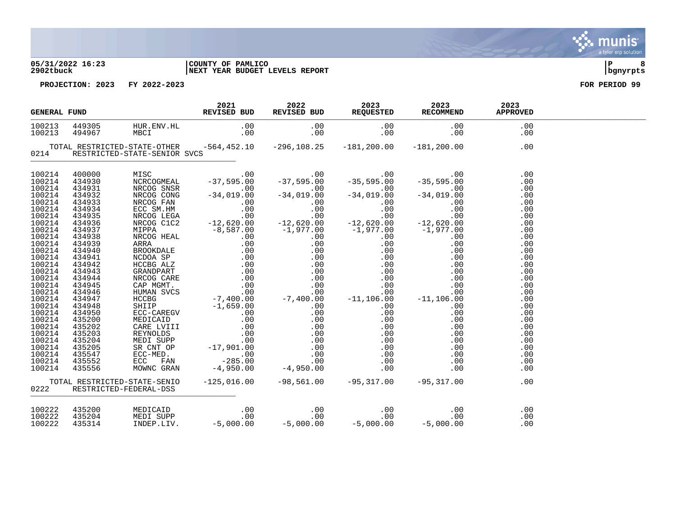### **05/31/2022 16:23 |COUNTY OF PAMLICO |P 8 2902tbuck |NEXT YEAR BUDGET LEVELS REPORT |bgnyrpts**

| <b>GENERAL FUND</b> |                                   | 2021<br>REVISED BUD REVISED BUD REQUESTED RECOMMEND | 2022 | 2023 | 2023 | 2023<br><b>APPROVED</b>         |  |
|---------------------|-----------------------------------|-----------------------------------------------------|------|------|------|---------------------------------|--|
|                     |                                   |                                                     |      |      |      |                                 |  |
|                     | 0214 RESTRICTED-STATE-SENIOR SVCS |                                                     |      |      |      |                                 |  |
|                     |                                   |                                                     |      |      |      | .00<br>.00<br>.00<br>.00        |  |
|                     |                                   |                                                     |      |      |      | .00<br>.00<br>.00<br>.00<br>.00 |  |
|                     |                                   |                                                     |      |      |      | .00<br>.00<br>.00<br>.00<br>.00 |  |
|                     |                                   |                                                     |      |      |      | .00<br>.00<br>.00<br>.00        |  |
|                     |                                   |                                                     |      |      |      | .00<br>.00<br>.00<br>.00<br>.00 |  |
|                     |                                   |                                                     |      |      |      | .00<br>.00<br>.00<br>.00        |  |
|                     |                                   |                                                     |      |      |      | .00<br>.00<br>.00               |  |
|                     | 0222 RESTRICTED-FEDERAL-DSS       |                                                     |      |      |      |                                 |  |
|                     |                                   |                                                     |      |      |      |                                 |  |

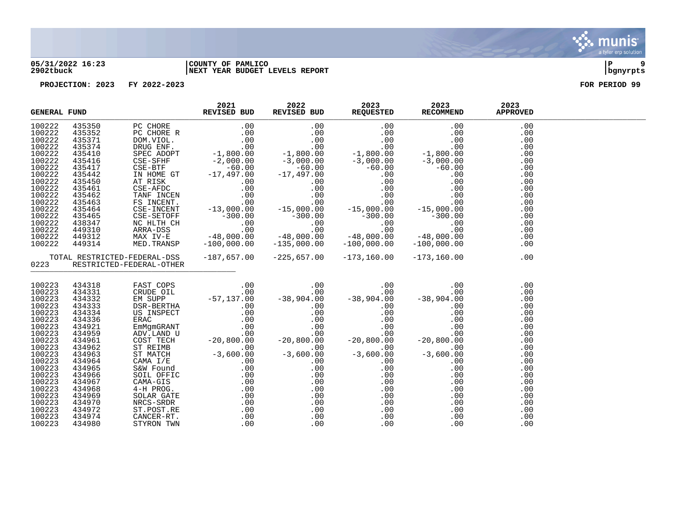

### **05/31/2022 16:23 |COUNTY OF PAMLICO |P 9 2902tbuck |NEXT YEAR BUDGET LEVELS REPORT |bgnyrpts**

|                  | <b>GENERAL FUND</b> |                          | 2021<br>REVISED BUD | 2022 | 2023<br>REVISED BUD REQUESTED RECOMMEND | 2023                                                                         | 2023<br><b>APPROVED</b> |  |
|------------------|---------------------|--------------------------|---------------------|------|-----------------------------------------|------------------------------------------------------------------------------|-------------------------|--|
| 100222           |                     |                          |                     |      |                                         |                                                                              | .00                     |  |
| 100222           |                     |                          |                     |      |                                         |                                                                              | .00                     |  |
| 100222           |                     |                          |                     |      |                                         |                                                                              | .00                     |  |
| 100222           |                     |                          |                     |      |                                         |                                                                              | .00                     |  |
| 100222           |                     |                          |                     |      |                                         |                                                                              | .00                     |  |
| 100222           |                     |                          |                     |      |                                         |                                                                              | .00                     |  |
| 100222           |                     |                          |                     |      |                                         |                                                                              | .00                     |  |
| 100222           |                     |                          |                     |      |                                         |                                                                              | .00                     |  |
| 100222           |                     |                          |                     |      |                                         |                                                                              | .00                     |  |
| 100222           |                     |                          |                     |      |                                         |                                                                              | .00                     |  |
| 100222           |                     |                          |                     |      |                                         |                                                                              | .00                     |  |
| 100222           |                     |                          |                     |      |                                         |                                                                              | .00                     |  |
| 100222           |                     |                          |                     |      |                                         |                                                                              | .00                     |  |
| 100222           |                     |                          |                     |      |                                         |                                                                              | .00                     |  |
| 100222           |                     |                          |                     |      |                                         |                                                                              | .00                     |  |
| 100222           |                     |                          |                     |      |                                         |                                                                              | .00                     |  |
| 100222           |                     |                          |                     |      |                                         |                                                                              | .00                     |  |
| 100222           |                     |                          |                     |      |                                         |                                                                              | .00                     |  |
| 0223             |                     | RESTRICTED-FEDERAL-OTHER |                     |      |                                         | TOTAL RESTRICTED-FEDERAL-DSS -187,657.00 -225,657.00 -173,160.00 -173,160.00 | .00                     |  |
|                  |                     |                          |                     |      |                                         |                                                                              |                         |  |
| 100223           | 434318              |                          |                     |      |                                         |                                                                              | .00                     |  |
| 100223           | 434331              |                          |                     |      |                                         |                                                                              | .00                     |  |
| 100223           | 434332              |                          |                     |      |                                         |                                                                              | .00                     |  |
| 100223           | 434333              |                          |                     |      |                                         |                                                                              | .00                     |  |
| 100223           | 434334              |                          |                     |      |                                         |                                                                              | .00                     |  |
| 100223           | 434336              |                          |                     |      |                                         |                                                                              | .00                     |  |
| 100223           | 434921              |                          |                     |      |                                         |                                                                              | .00                     |  |
| 100223           | 434959              |                          |                     |      |                                         |                                                                              | .00                     |  |
| 100223           | 434961              |                          |                     |      |                                         |                                                                              | .00                     |  |
| 100223           | 434962              |                          |                     |      |                                         |                                                                              | .00                     |  |
| 100223           | 434963              |                          |                     |      |                                         |                                                                              | .00                     |  |
| 100223           | 434964              |                          |                     |      |                                         |                                                                              | .00                     |  |
| 100223           | 434965              |                          |                     |      |                                         |                                                                              | .00                     |  |
| 100223           | 434966              |                          |                     |      |                                         |                                                                              | .00                     |  |
| 100223           | 434967              |                          |                     |      |                                         |                                                                              | .00                     |  |
| 100223<br>100223 | 434968<br>434969    |                          |                     |      |                                         |                                                                              | .00                     |  |
| 100223           | 434970              |                          |                     |      |                                         |                                                                              | .00<br>.00              |  |
| 100223           | 434972              |                          |                     |      |                                         |                                                                              | .00                     |  |
| 100223           | 434974              |                          |                     |      |                                         |                                                                              | .00                     |  |
| 100223           | 434980              |                          |                     |      |                                         |                                                                              | .00                     |  |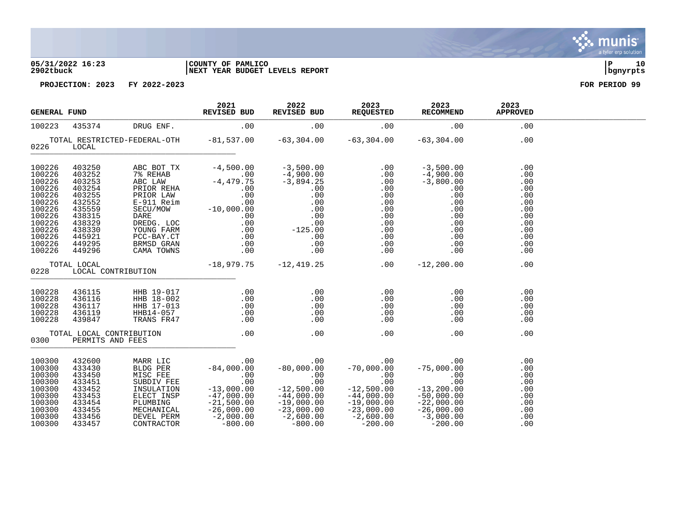### **05/31/2022 16:23 |COUNTY OF PAMLICO |P 10 2902tbuck |NEXT YEAR BUDGET LEVELS REPORT |bgnyrpts**

| <b>GENERAL FUND</b>                                                                                                            |                                                                                                  |                                                                                                                                                                                                                                                                                                                                                                     | 2021<br><b>REVISED BUD</b>                          | 2022 2023<br>REVISED BUD REQUESTED | 2023<br>RECOMMEND                                                 | 2023<br><b>APPROVED</b>                                                                 |  |
|--------------------------------------------------------------------------------------------------------------------------------|--------------------------------------------------------------------------------------------------|---------------------------------------------------------------------------------------------------------------------------------------------------------------------------------------------------------------------------------------------------------------------------------------------------------------------------------------------------------------------|-----------------------------------------------------|------------------------------------|-------------------------------------------------------------------|-----------------------------------------------------------------------------------------|--|
| 100223                                                                                                                         |                                                                                                  | 435374 DRUG ENF.                                                                                                                                                                                                                                                                                                                                                    | .00                                                 | $00$ . $00$ . $00$                 |                                                                   | .00                                                                                     |  |
| 0226 LOCAL                                                                                                                     |                                                                                                  | TOTAL RESTRICTED-FEDERAL-OTH $-81,537.00$ $-63,304.00$ $-63,304.00$ $-63,304.00$                                                                                                                                                                                                                                                                                    |                                                     |                                    |                                                                   | .00                                                                                     |  |
| 100226<br>100226<br>100226<br>100226<br>100226<br>100226<br>100226<br>100226<br>100226<br>100226<br>100226<br>100226<br>100226 |                                                                                                  |                                                                                                                                                                                                                                                                                                                                                                     |                                                     |                                    |                                                                   | .00<br>.00<br>.00<br>.00<br>.00<br>.00<br>.00<br>.00<br>.00<br>.00<br>.00<br>.00<br>.00 |  |
|                                                                                                                                | TOTAL LOCAL<br>0228 LOCAL CONTRIBUTION                                                           | $-18,979.75$ $-12,419.25$ .00 $-12,200.00$                                                                                                                                                                                                                                                                                                                          |                                                     |                                    |                                                                   | .00                                                                                     |  |
| 100228<br>100228<br>100228<br>100228<br>100228                                                                                 |                                                                                                  | 436115 HHB 19-017 .00<br>436116 HHB 18-002 .00<br>436117 HHB 17-013 .00<br>436119 HHB14-057 .00<br>439847 TRANS FR47 .00                                                                                                                                                                                                                                            |                                                     |                                    | .00<br>.00<br>$\begin{array}{c} 0.00 \\ -0.00 \end{array}$<br>.00 | .00<br>.00<br>.00<br>.00<br>.00                                                         |  |
|                                                                                                                                | TOTAL LOCAL CONTRIBUTION<br>0300 PERMITS AND FEES                                                |                                                                                                                                                                                                                                                                                                                                                                     | $\overline{00}$ . $\overline{00}$ . $\overline{00}$ | .00                                | .00                                                               | .00                                                                                     |  |
| 100300<br>100300<br>100300<br>100300<br>100300<br>100300<br>100300<br>100300<br>100300<br>100300                               | 432600<br>433430<br>433450<br>433451<br>433452<br>433453<br>433454<br>433455<br>433456<br>433457 | $\begin{tabular}{lcccc} \text{MARR} \text{ LIC} & .00 & .00 & .00 & .00 & .00 \\ \text{BLDG PER} & -84,000.00 & -80,000.00 & -70,000.00 & -75,000.00 \\ \text{MISC FEE} & .00 & .00 & .00 & .00 & .00 & .00 \\ \text{SUBDIV FEE} & .00 & .00 & .00 & .00 & .00 & .00 \\ \text{INSULATION} & -13,000.00 & -12,500.00 & -12,500.00 & -13,200.00 \\ \text{ELECT INSP}$ |                                                     |                                    |                                                                   | .00<br>.00<br>.00<br>.00<br>.00<br>.00<br>.00<br>.00<br>.00<br>.00                      |  |

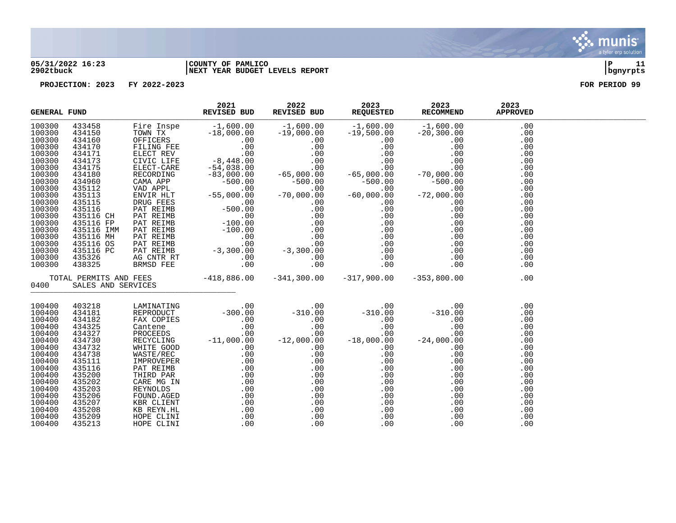

### **05/31/2022 16:23 |COUNTY OF PAMLICO |P 11 2902tbuck |NEXT YEAR BUDGET LEVELS REPORT |bgnyrpts**

| <b>GENERAL FUND</b> |  | 2021<br>REVISED BUD | 2022 | 2023<br>REVISED BUD REQUESTED RECOMMEND | 2023                                                                                                                                                                                                                                                                                                                                                                                                                                 | 2023<br><b>APPROVED</b> |  |
|---------------------|--|---------------------|------|-----------------------------------------|--------------------------------------------------------------------------------------------------------------------------------------------------------------------------------------------------------------------------------------------------------------------------------------------------------------------------------------------------------------------------------------------------------------------------------------|-------------------------|--|
| 100300              |  |                     |      |                                         |                                                                                                                                                                                                                                                                                                                                                                                                                                      |                         |  |
| 100300              |  |                     |      |                                         |                                                                                                                                                                                                                                                                                                                                                                                                                                      |                         |  |
| 100300              |  |                     |      |                                         |                                                                                                                                                                                                                                                                                                                                                                                                                                      |                         |  |
| 100300              |  |                     |      |                                         |                                                                                                                                                                                                                                                                                                                                                                                                                                      |                         |  |
| 100300              |  |                     |      |                                         |                                                                                                                                                                                                                                                                                                                                                                                                                                      |                         |  |
| 100300              |  |                     |      |                                         |                                                                                                                                                                                                                                                                                                                                                                                                                                      |                         |  |
| 100300              |  |                     |      |                                         |                                                                                                                                                                                                                                                                                                                                                                                                                                      |                         |  |
| 100300              |  |                     |      |                                         |                                                                                                                                                                                                                                                                                                                                                                                                                                      |                         |  |
| 100300              |  |                     |      |                                         |                                                                                                                                                                                                                                                                                                                                                                                                                                      |                         |  |
| 100300              |  |                     |      |                                         |                                                                                                                                                                                                                                                                                                                                                                                                                                      |                         |  |
| 100300              |  |                     |      |                                         |                                                                                                                                                                                                                                                                                                                                                                                                                                      |                         |  |
| 100300              |  |                     |      |                                         |                                                                                                                                                                                                                                                                                                                                                                                                                                      |                         |  |
| 100300              |  |                     |      |                                         |                                                                                                                                                                                                                                                                                                                                                                                                                                      |                         |  |
| 100300              |  |                     |      |                                         |                                                                                                                                                                                                                                                                                                                                                                                                                                      |                         |  |
| 100300              |  |                     |      |                                         |                                                                                                                                                                                                                                                                                                                                                                                                                                      |                         |  |
| 100300              |  |                     |      |                                         |                                                                                                                                                                                                                                                                                                                                                                                                                                      |                         |  |
| 100300              |  |                     |      |                                         |                                                                                                                                                                                                                                                                                                                                                                                                                                      |                         |  |
| 100300              |  |                     |      |                                         |                                                                                                                                                                                                                                                                                                                                                                                                                                      |                         |  |
| 100300              |  |                     |      |                                         |                                                                                                                                                                                                                                                                                                                                                                                                                                      |                         |  |
| 100300              |  |                     |      |                                         |                                                                                                                                                                                                                                                                                                                                                                                                                                      |                         |  |
| 100300              |  |                     |      |                                         |                                                                                                                                                                                                                                                                                                                                                                                                                                      |                         |  |
|                     |  |                     |      |                                         |                                                                                                                                                                                                                                                                                                                                                                                                                                      |                         |  |
| 0400                |  |                     |      |                                         | $\begin{tabular}{l c c c c c} \hline \textbf{REMSL} & \textbf{REVISED BUD} & \textbf{REVISED DUD} & \textbf{REUSLSED DUD} & \textbf{REUSLSED DE} & \textbf{REUSLSED DE} & \textbf{REUSLSED DE} & \textbf{REUSLSED DE} & \textbf{REUSLSED DE} & \textbf{REUSLSED DE} & \textbf{REUSLSED DE} & \textbf{REUSLSED DE} & \textbf{REUSLSED DE} & \textbf{REUSLSED DE} & \textbf{REUSL} & \textbf{REUSL} & \textbf{REUSL} & \textbf{REUSL}$ |                         |  |
| 100400              |  |                     |      |                                         | $\begin{tabular}{cccc} 403218 & LAMINATIN3 & 0.00 & -310.00 & -310.00 & 0.00 & 0.00 \\ 434181 & REPRORODUCT & -300.00 & -310.00 & -310.00 & -310.00 & 0.00 \\ 434182 & FRA: COPEDS & 0.00 & 0.00 & 0.00 & 0.00 & 0.00 & 0.00 \\ 434325 & Cantene & 0.00 & 0.00 & 0.00 & 0.00 & 0.00 & 0.00 \\ 434327 & PROCEDS$                                                                                                                      |                         |  |
| 100400              |  |                     |      |                                         |                                                                                                                                                                                                                                                                                                                                                                                                                                      |                         |  |
| 100400              |  |                     |      |                                         |                                                                                                                                                                                                                                                                                                                                                                                                                                      |                         |  |
| 100400              |  |                     |      |                                         |                                                                                                                                                                                                                                                                                                                                                                                                                                      |                         |  |
| 100400              |  |                     |      |                                         |                                                                                                                                                                                                                                                                                                                                                                                                                                      |                         |  |
| 100400              |  |                     |      |                                         |                                                                                                                                                                                                                                                                                                                                                                                                                                      |                         |  |
| 100400              |  |                     |      |                                         |                                                                                                                                                                                                                                                                                                                                                                                                                                      |                         |  |
| 100400              |  |                     |      |                                         |                                                                                                                                                                                                                                                                                                                                                                                                                                      |                         |  |
| 100400              |  |                     |      |                                         |                                                                                                                                                                                                                                                                                                                                                                                                                                      |                         |  |
| 100400              |  |                     |      |                                         |                                                                                                                                                                                                                                                                                                                                                                                                                                      |                         |  |
| 100400              |  |                     |      |                                         |                                                                                                                                                                                                                                                                                                                                                                                                                                      |                         |  |
| 100400              |  |                     |      |                                         |                                                                                                                                                                                                                                                                                                                                                                                                                                      |                         |  |
| 100400              |  |                     |      |                                         |                                                                                                                                                                                                                                                                                                                                                                                                                                      |                         |  |
| 100400              |  |                     |      |                                         |                                                                                                                                                                                                                                                                                                                                                                                                                                      |                         |  |
| 100400              |  |                     |      |                                         |                                                                                                                                                                                                                                                                                                                                                                                                                                      |                         |  |
| 100400              |  |                     |      |                                         |                                                                                                                                                                                                                                                                                                                                                                                                                                      |                         |  |
| 100400              |  |                     |      |                                         |                                                                                                                                                                                                                                                                                                                                                                                                                                      |                         |  |
| 100400              |  |                     |      |                                         |                                                                                                                                                                                                                                                                                                                                                                                                                                      |                         |  |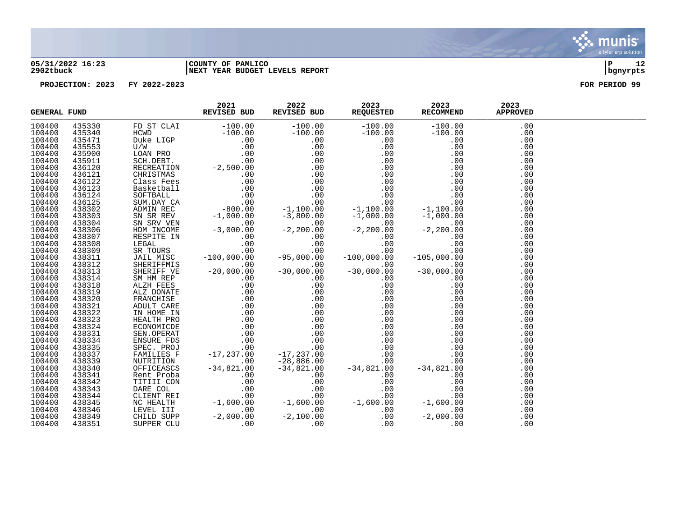

### **05/31/2022 16:23 |COUNTY OF PAMLICO |P 12 2902tbuck |NEXT YEAR BUDGET LEVELS REPORT |bgnyrpts**

| <b>GENERAL FUND</b> |  |  | 2021 2022 2023 2023 2023<br>REVISED BUDREVISED BUDREVISED BUDREQUESTED RECOMMEND APPROVED |  |
|---------------------|--|--|-------------------------------------------------------------------------------------------|--|
| 100400              |  |  |                                                                                           |  |
| 100400              |  |  |                                                                                           |  |
| 100400              |  |  |                                                                                           |  |
| 100400              |  |  |                                                                                           |  |
| 100400              |  |  |                                                                                           |  |
| 100400              |  |  |                                                                                           |  |
| 100400              |  |  |                                                                                           |  |
| 100400              |  |  |                                                                                           |  |
| 100400              |  |  |                                                                                           |  |
| 100400              |  |  |                                                                                           |  |
| 100400              |  |  |                                                                                           |  |
| 100400              |  |  |                                                                                           |  |
| 100400              |  |  |                                                                                           |  |
| 100400              |  |  |                                                                                           |  |
| 100400              |  |  |                                                                                           |  |
| 100400              |  |  |                                                                                           |  |
| 100400              |  |  |                                                                                           |  |
| 100400              |  |  |                                                                                           |  |
| 100400              |  |  |                                                                                           |  |
| 100400              |  |  |                                                                                           |  |
| 100400              |  |  |                                                                                           |  |
| 100400              |  |  |                                                                                           |  |
| 100400              |  |  |                                                                                           |  |
| 100400              |  |  |                                                                                           |  |
| 100400              |  |  |                                                                                           |  |
| 100400              |  |  |                                                                                           |  |
| 100400              |  |  |                                                                                           |  |
| 100400              |  |  |                                                                                           |  |
| 100400              |  |  |                                                                                           |  |
| 100400              |  |  |                                                                                           |  |
| 100400              |  |  |                                                                                           |  |
| 100400              |  |  |                                                                                           |  |
| 100400              |  |  |                                                                                           |  |
| 100400              |  |  |                                                                                           |  |
| 100400              |  |  |                                                                                           |  |
| 100400              |  |  |                                                                                           |  |
| 100400              |  |  |                                                                                           |  |
| 100400              |  |  |                                                                                           |  |
| 100400              |  |  |                                                                                           |  |
| 100400              |  |  |                                                                                           |  |
| 100400              |  |  |                                                                                           |  |
| 100400              |  |  |                                                                                           |  |
| 100400              |  |  |                                                                                           |  |
| 100400              |  |  |                                                                                           |  |

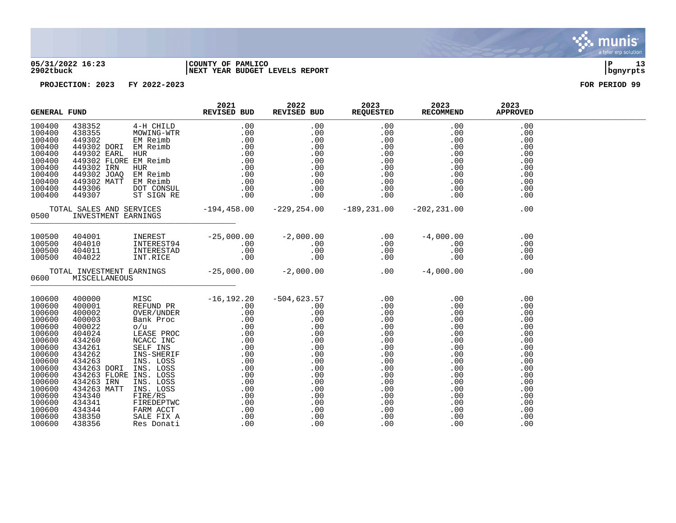### **05/31/2022 16:23 |COUNTY OF PAMLICO |P 13 2902tbuck |NEXT YEAR BUDGET LEVELS REPORT |bgnyrpts**

| <b>GENERAL FUND</b>                                                                                                                                                                        |               | 2021<br>REVISED BUD | 2022 | 2023<br>REVISED BUD REQUESTED RECOMMEND | 2023                                                                                                                                                                                                                                                                                                                                                                                 | 2023<br><b>APPROVED</b>                                                                                                           |  |
|--------------------------------------------------------------------------------------------------------------------------------------------------------------------------------------------|---------------|---------------------|------|-----------------------------------------|--------------------------------------------------------------------------------------------------------------------------------------------------------------------------------------------------------------------------------------------------------------------------------------------------------------------------------------------------------------------------------------|-----------------------------------------------------------------------------------------------------------------------------------|--|
| 100400<br>100400<br>100400<br>100400<br>100400<br>100400<br>100400<br>100400<br>100400<br>100400<br>100400                                                                                 |               |                     |      |                                         |                                                                                                                                                                                                                                                                                                                                                                                      | .00<br>.00<br>.00<br>.00<br>.00<br>.00<br>.00<br>.00<br>.00<br>.00<br>.00                                                         |  |
| 0500                                                                                                                                                                                       |               |                     |      |                                         |                                                                                                                                                                                                                                                                                                                                                                                      | .00                                                                                                                               |  |
| 100500<br>100500<br>100500<br>100500                                                                                                                                                       |               |                     |      |                                         | $\begin{array}{cccccccc} 404001 && \texttt{INEREST} && -25,000.00 && -2,000.00 && 0.00 && -4,000.00 && 0.00 && 0.00 && 0.00 && 0.00 && 0.00 && 0.00 && 0.00 && 0.00 && 0.00 && 0.00 && 0.00 && 0.00 && 0.00 && 0.00 && 0.00 && 0.00 && 0.00 && 0.00 && 0.00 && 0.00 && 0.00 && 0.00 && 0.00 && 0.00 && 0.00 && 0.00 && 0$                                                            | .00<br>.00<br>.00<br>.00                                                                                                          |  |
| 0600                                                                                                                                                                                       | MISCELLANEOUS |                     |      |                                         | TOTAL INVESTMENT EARNINGS $-25,000.00$ $-2,000.00$ $-8,000.00$ $-4,000.00$                                                                                                                                                                                                                                                                                                           | .00                                                                                                                               |  |
| 100600<br>100600<br>100600<br>100600<br>100600<br>100600<br>100600<br>100600<br>100600<br>100600<br>100600<br>100600<br>100600<br>100600<br>100600<br>100600<br>100600<br>100600<br>100600 |               |                     |      |                                         | $\begin{tabular}{l c c c} \multicolumn{1}{c}{\textbf{400000}} & \multicolumn{1}{c}{\textbf{MISC}} & -16,192.20 & -504,623.57 & .00 & .00 & .00 \\ \hline 4000001 & \begin{tabular}{l} REENDD PR & -16,192.20 & -504,623.57 & .00 & .00 & .00 \\ 4000002 & \begin{tabular}{l} \multicolumn{1}{c}{\textbf{N} & \textbf{R} & \textbf{R} & \textbf{R} & \textbf{R} \\ \textbf{400002} &$ | .00<br>.00<br>.00<br>.00<br>.00<br>.00<br>.00<br>.00<br>.00<br>.00<br>.00<br>.00<br>.00<br>.00<br>.00<br>.00<br>.00<br>.00<br>.00 |  |

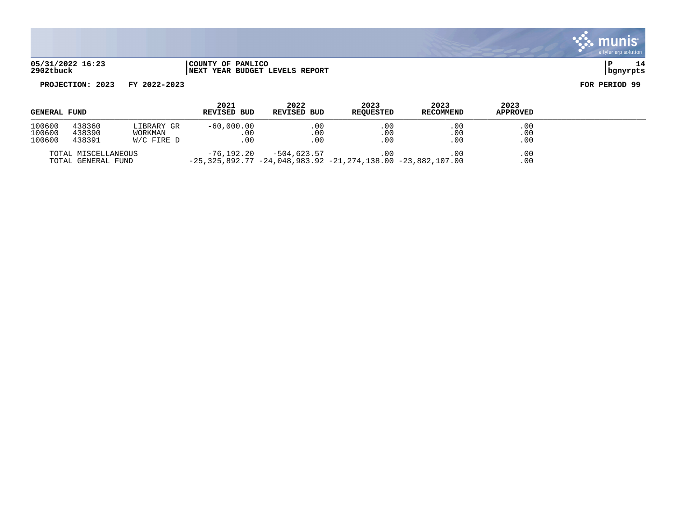

### **05/31/2022 16:23 |COUNTY OF PAMLICO |P 14 2902tbuck |NEXT YEAR BUDGET LEVELS REPORT |bgnyrpts**

| <b>GENERAL FUND</b>        |                                           |                                       | 2021<br><b>REVISED BUD</b>                                                            | 2022<br><b>REVISED BUD</b> | 2023<br>REQUESTED           | 2023<br>RECOMMEND | 2023<br><b>APPROVED</b> |  |
|----------------------------|-------------------------------------------|---------------------------------------|---------------------------------------------------------------------------------------|----------------------------|-----------------------------|-------------------|-------------------------|--|
| 100600<br>100600<br>100600 | 438360<br>438390<br>438391                | LIBRARY GR<br>WORKMAN<br>$W/C$ FIRE D | $-60,000.00$<br>.00<br>.00                                                            | .00<br>.00<br>00           | $.00 \,$<br>$.00 \,$<br>.00 | .00<br>.00<br>.00 | .00<br>.00<br>.00       |  |
|                            | TOTAL MISCELLANEOUS<br>TOTAL GENERAL FUND |                                       | $-76.192.20$<br>$-25, 325, 892.77 -24, 048, 983.92 -21, 274, 138.00 -23, 882, 107.00$ | -504,623.57                |                             | .00               | $.00 \,$<br>.00         |  |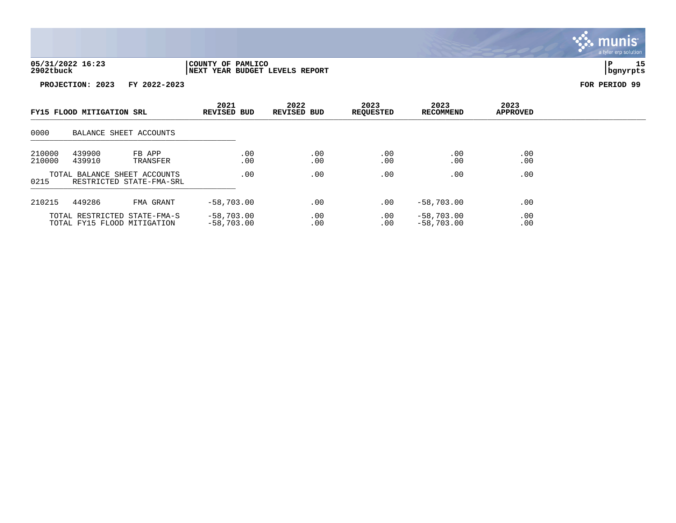

| FY15 FLOOD MITIGATION SRL                                        |                  | 2021<br><b>REVISED BUD</b>                                  | 2022<br><b>REVISED BUD</b>   | 2023<br><b>REQUESTED</b> | 2023<br>RECOMMEND | 2023<br><b>APPROVED</b>      |            |  |
|------------------------------------------------------------------|------------------|-------------------------------------------------------------|------------------------------|--------------------------|-------------------|------------------------------|------------|--|
| 0000                                                             |                  | BALANCE SHEET ACCOUNTS                                      |                              |                          |                   |                              |            |  |
| 210000<br>210000                                                 | 439900<br>439910 | FB APP<br>TRANSFER                                          | .00<br>.00                   | .00<br>.00               | .00<br>.00        | .00<br>.00                   | .00<br>.00 |  |
| TOTAL BALANCE SHEET ACCOUNTS<br>0215<br>RESTRICTED STATE-FMA-SRL |                  | .00                                                         | .00                          | .00                      | .00               | .00                          |            |  |
| 210215                                                           | 449286           | FMA GRANT                                                   | $-58,703.00$                 | .00                      | .00               | $-58,703.00$                 | .00        |  |
|                                                                  |                  | TOTAL RESTRICTED STATE-FMA-S<br>TOTAL FY15 FLOOD MITIGATION | $-58,703.00$<br>$-58,703,00$ | .00<br>.00               | .00<br>.00        | $-58,703.00$<br>$-58,703,00$ | .00<br>.00 |  |

. munis<sup>.</sup> a tyler erp solution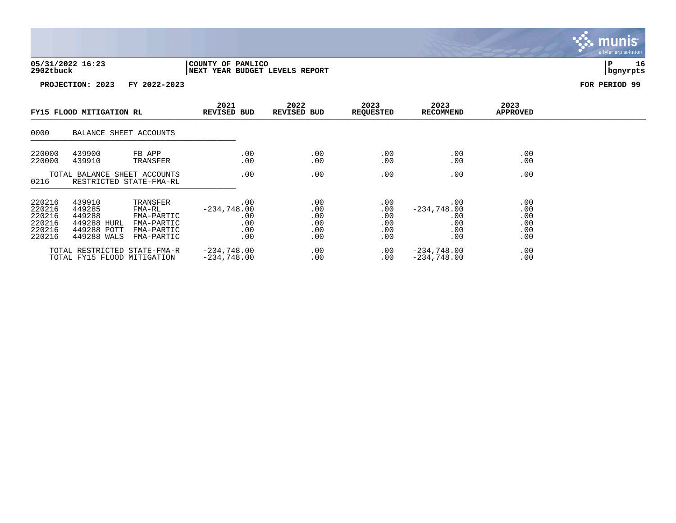

| FY15 FLOOD MITIGATION RL                                 |                                                                         | 2021<br><b>REVISED BUD</b>                                                 | 2022<br>REVISED BUD                              | 2023<br><b>REQUESTED</b>               | 2023<br><b>RECOMMEND</b>               | 2023<br><b>APPROVED</b>                          |                                        |  |
|----------------------------------------------------------|-------------------------------------------------------------------------|----------------------------------------------------------------------------|--------------------------------------------------|----------------------------------------|----------------------------------------|--------------------------------------------------|----------------------------------------|--|
| 0000                                                     | BALANCE SHEET ACCOUNTS                                                  |                                                                            |                                                  |                                        |                                        |                                                  |                                        |  |
| 220000<br>220000                                         | 439900<br>439910                                                        | FB APP<br>TRANSFER                                                         | .00<br>.00                                       | .00<br>.00                             | .00<br>.00                             | .00<br>.00                                       | .00<br>.00                             |  |
| 0216                                                     | TOTAL BALANCE SHEET ACCOUNTS<br>RESTRICTED STATE-FMA-RL                 |                                                                            | .00                                              | .00                                    | .00                                    | .00                                              | .00                                    |  |
| 220216<br>220216<br>220216<br>220216<br>220216<br>220216 | 439910<br>449285<br>449288<br>449288 HURL<br>449288 POTT<br>449288 WALS | TRANSFER<br>FMA-RL<br>FMA-PARTIC<br>FMA-PARTIC<br>FMA-PARTIC<br>FMA-PARTIC | .00<br>$-234,748.00$<br>.00<br>.00<br>.00<br>.00 | .00<br>.00<br>.00<br>.00<br>.00<br>.00 | .00<br>.00<br>.00<br>.00<br>.00<br>.00 | .00<br>$-234,748.00$<br>.00<br>.00<br>.00<br>.00 | .00<br>.00<br>.00<br>.00<br>.00<br>.00 |  |
|                                                          | TOTAL RESTRICTED STATE-FMA-R<br>TOTAL FY15 FLOOD MITIGATION             |                                                                            | $-234,748.00$<br>$-234,748.00$                   | .00<br>.00                             | $.00 \,$<br>.00                        | $-234,748.00$<br>$-234,748.00$                   | .00<br>.00                             |  |

. munis<sup>.</sup> a tyler erp solution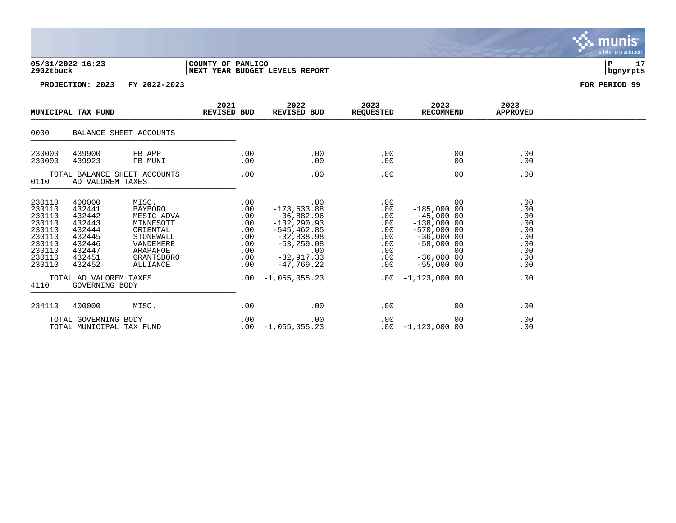### **05/31/2022 16:23 |COUNTY OF PAMLICO |P 17 2902tbuck |NEXT YEAR BUDGET LEVELS REPORT |bgnyrpts**

|                                                                                                          | MUNICIPAL TAX FUND                                                                                                                           |                                                                                                                         |                                                                                          |                                                                                                                                                              | 2021<br>REVISED BUD                                                               | 2022<br>REVISED BUD                                                                                                                                                   | 2023<br><b>REQUESTED</b>                                                  | 2023<br>RECOMMEND | 2023<br><b>APPROVED</b> |  |
|----------------------------------------------------------------------------------------------------------|----------------------------------------------------------------------------------------------------------------------------------------------|-------------------------------------------------------------------------------------------------------------------------|------------------------------------------------------------------------------------------|--------------------------------------------------------------------------------------------------------------------------------------------------------------|-----------------------------------------------------------------------------------|-----------------------------------------------------------------------------------------------------------------------------------------------------------------------|---------------------------------------------------------------------------|-------------------|-------------------------|--|
| 0000                                                                                                     |                                                                                                                                              | BALANCE SHEET ACCOUNTS                                                                                                  |                                                                                          |                                                                                                                                                              |                                                                                   |                                                                                                                                                                       |                                                                           |                   |                         |  |
| 230000<br>230000                                                                                         | 439900<br>439923                                                                                                                             | FB APP<br>FB-MUNI                                                                                                       | .00<br>.00                                                                               | .00<br>$.00 \,$                                                                                                                                              | .00<br>$.00 \,$                                                                   | .00<br>.00                                                                                                                                                            | .00<br>.00                                                                |                   |                         |  |
| TOTAL BALANCE SHEET ACCOUNTS<br>0110<br>AD VALOREM TAXES                                                 |                                                                                                                                              |                                                                                                                         | .00                                                                                      | .00                                                                                                                                                          | .00                                                                               | .00                                                                                                                                                                   | .00                                                                       |                   |                         |  |
| 230110<br>230110<br>230110<br>230110<br>230110<br>230110<br>230110<br>230110<br>230110<br>230110<br>4110 | 400000<br>432441<br>432442<br>432443<br>432444<br>432445<br>432446<br>432447<br>432451<br>432452<br>TOTAL AD VALOREM TAXES<br>GOVERNING BODY | MISC.<br>BAYBORO<br>MESIC ADVA<br>MINNESOTT<br>ORIENTAL<br>STONEWALL<br>VANDEMERE<br>ARAPAHOE<br>GRANTSBORO<br>ALLIANCE | .00<br>.00<br>.00<br>.00<br>$.00 \,$<br>.00<br>$.00 \,$<br>.00<br>.00<br>.00<br>$.00 \,$ | .00<br>$-173,633.88$<br>-36,882.96<br>$-132, 290.93$<br>$-545, 462.85$<br>-32,838.98<br>$-53,259.08$<br>.00<br>$-32,917.33$<br>-47.769.22<br>$-1,055,055.23$ | .00<br>$.00 \,$<br>.00<br>.00<br>.00<br>.00<br>$.00 \,$<br>.00<br>.00<br>$.00 \,$ | .00<br>$-185,000.00$<br>$-45,000.00$<br>$-138,000.00$<br>$-570,000.00$<br>$-36,000.00$<br>$-58,000.00$<br>.00<br>$-36,000.00$<br>$-55,000.00$<br>$.00 - 1,123,000.00$ | .00<br>.00<br>.00<br>.00<br>.00<br>.00<br>.00<br>.00<br>.00<br>.00<br>.00 |                   |                         |  |
| 234110                                                                                                   | 400000                                                                                                                                       | MISC.                                                                                                                   | .00                                                                                      | .00                                                                                                                                                          | .00                                                                               | .00                                                                                                                                                                   | .00                                                                       |                   |                         |  |
|                                                                                                          | TOTAL GOVERNING BODY<br>TOTAL MUNICIPAL TAX FUND                                                                                             |                                                                                                                         | .00<br>.00                                                                               | .00<br>$-1,055,055.23$                                                                                                                                       | .00                                                                               | .00<br>$.00 - 1,123,000.00$                                                                                                                                           | .00<br>.00                                                                |                   |                         |  |

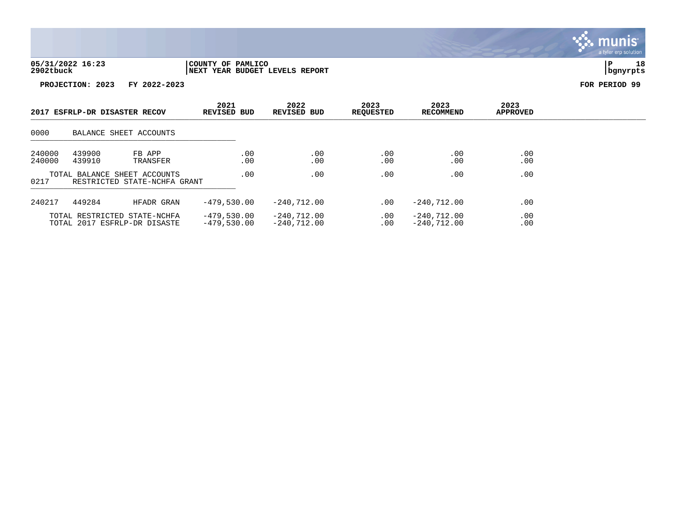

|                  | 2017 ESFRLP-DR DISASTER RECOV |                                                              | 2021<br><b>REVISED BUD</b>     | 2022<br><b>REVISED BUD</b>     | 2023<br>REQUESTED | 2023<br>RECOMMEND              | 2023<br><b>APPROVED</b> |  |
|------------------|-------------------------------|--------------------------------------------------------------|--------------------------------|--------------------------------|-------------------|--------------------------------|-------------------------|--|
| 0000             |                               | BALANCE SHEET ACCOUNTS                                       |                                |                                |                   |                                |                         |  |
| 240000<br>240000 | 439900<br>439910              | FB APP<br>TRANSFER                                           | .00<br>.00                     | .00<br>.00                     | .00<br>.00        | .00<br>.00                     | .00<br>.00              |  |
| 0217             |                               | TOTAL BALANCE SHEET ACCOUNTS<br>RESTRICTED STATE-NCHFA GRANT | .00                            | .00                            | .00               | .00                            | .00                     |  |
| 240217           | 449284                        | HFADR GRAN                                                   | $-479.530.00$                  | $-240.712.00$                  | .00               | $-240.712.00$                  | .00                     |  |
|                  |                               | TOTAL RESTRICTED STATE-NCHFA<br>TOTAL 2017 ESFRLP-DR DISASTE | $-479,530.00$<br>$-479,530.00$ | $-240,712.00$<br>$-240.712.00$ | $.00 \,$<br>.00   | $-240,712.00$<br>$-240.712.00$ | .00<br>.00              |  |

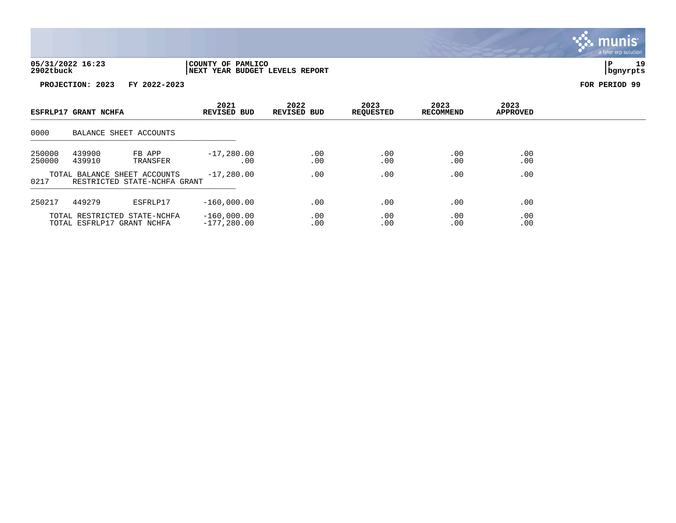

|                  | ESFRLP17 GRANT NCHFA |                                                              | 2021<br><b>REVISED BUD</b>     | 2022<br><b>REVISED BUD</b> | 2023<br><b>REQUESTED</b> | 2023<br><b>RECOMMEND</b> | 2023<br><b>APPROVED</b> |  |
|------------------|----------------------|--------------------------------------------------------------|--------------------------------|----------------------------|--------------------------|--------------------------|-------------------------|--|
| 0000             |                      | BALANCE SHEET ACCOUNTS                                       |                                |                            |                          |                          |                         |  |
| 250000<br>250000 | 439900<br>439910     | FB APP<br>TRANSFER                                           | $-17,280.00$<br>.00            | .00<br>.00                 | $.00 \ \,$<br>.00        | .00<br>.00               | .00<br>.00              |  |
| 0217             |                      | TOTAL BALANCE SHEET ACCOUNTS<br>RESTRICTED STATE-NCHFA GRANT | $-17,280.00$                   | .00                        | .00                      | .00                      | .00                     |  |
| 250217           | 449279               | ESFRLP17                                                     | $-160,000.00$                  | .00                        | .00                      | .00                      | .00                     |  |
|                  |                      | TOTAL RESTRICTED STATE-NCHFA<br>TOTAL ESFRLP17 GRANT NCHFA   | $-160,000.00$<br>$-177,280.00$ | .00<br>.00                 | .00<br>.00               | .00<br>.00               | .00<br>.00              |  |

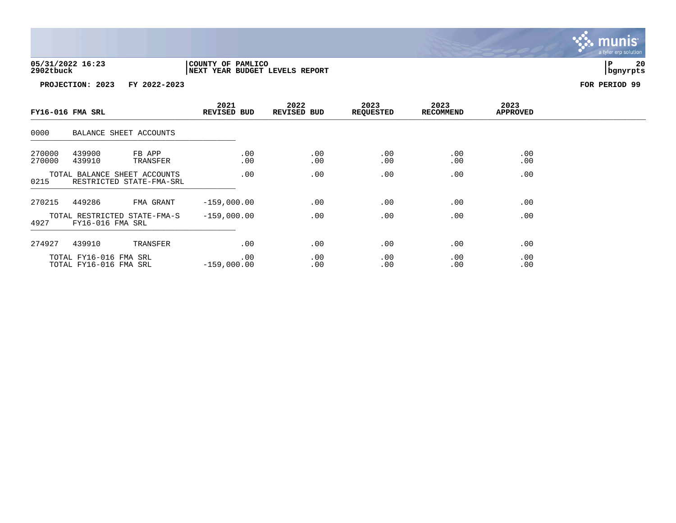

|                  | FY16-016 FMA SRL                                 |                                                          | 2021<br><b>REVISED BUD</b> |             | 2022<br>REVISED BUD | 2023<br><b>REQUESTED</b> | 2023<br><b>RECOMMEND</b> | 2023<br><b>APPROVED</b> |  |
|------------------|--------------------------------------------------|----------------------------------------------------------|----------------------------|-------------|---------------------|--------------------------|--------------------------|-------------------------|--|
| 0000             |                                                  | BALANCE SHEET ACCOUNTS                                   |                            |             |                     |                          |                          |                         |  |
| 270000<br>270000 | 439900<br>439910                                 | FB APP<br>TRANSFER                                       |                            | .00<br>.00  | .00<br>.00          | $.00 \,$<br>.00          | .00<br>.00               | .00<br>.00              |  |
| 0215             |                                                  | TOTAL BALANCE SHEET ACCOUNTS<br>RESTRICTED STATE-FMA-SRL |                            | .00         | .00                 | .00                      | .00                      | .00                     |  |
| 270215           | 449286                                           | FMA GRANT                                                | $-159,000.00$              |             | .00                 | .00                      | .00                      | .00                     |  |
| 4927             | FY16-016 FMA SRL                                 | TOTAL RESTRICTED STATE-FMA-S                             | $-159,000.00$              |             | .00                 | .00                      | .00                      | .00                     |  |
| 274927           | 439910                                           | TRANSFER                                                 |                            | $.00 \ \rm$ | .00                 | .00                      | .00                      | .00                     |  |
|                  | TOTAL FY16-016 FMA SRL<br>TOTAL FY16-016 FMA SRL |                                                          | $-159,000.00$              | .00         | .00<br>.00          | .00<br>.00               | .00<br>.00               | .00<br>.00              |  |

. munis<sup>.</sup> a tyler erp solution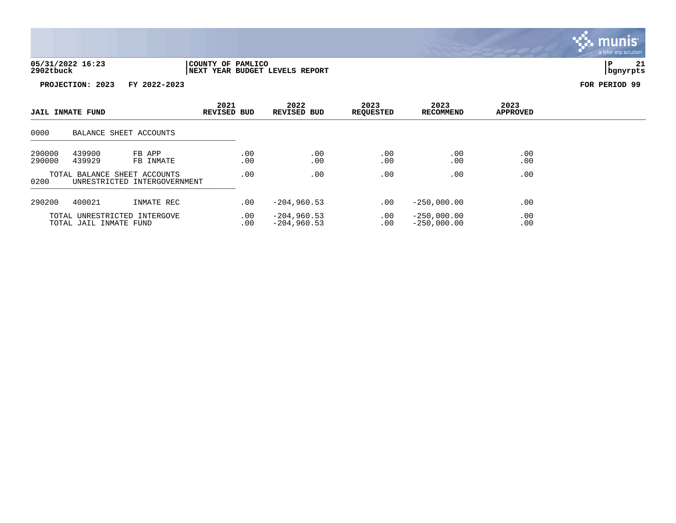

| <b>JAIL INMATE FUND</b> |                        | 2021<br><b>REVISED BUD</b>                                   | 2022<br><b>REVISED BUD</b> | 2023<br><b>REQUESTED</b>       | 2023<br>RECOMMEND | 2023<br><b>APPROVED</b>        |            |  |
|-------------------------|------------------------|--------------------------------------------------------------|----------------------------|--------------------------------|-------------------|--------------------------------|------------|--|
| 0000                    |                        | BALANCE SHEET ACCOUNTS                                       |                            |                                |                   |                                |            |  |
| 290000<br>290000        | 439900<br>439929       | FB APP<br>FB INMATE                                          | .00<br>.00                 | .00<br>.00                     | .00<br>.00        | .00<br>.00                     | .00<br>.00 |  |
| 0200                    |                        | TOTAL BALANCE SHEET ACCOUNTS<br>UNRESTRICTED INTERGOVERNMENT | .00                        | .00                            | .00               | .00                            | .00        |  |
| 290200                  | 400021                 | INMATE REC                                                   | .00                        | $-204,960.53$                  | .00               | $-250,000.00$                  | .00        |  |
|                         | TOTAL JAIL INMATE FUND | TOTAL UNRESTRICTED INTERGOVE                                 | .00<br>.00                 | $-204,960.53$<br>$-204,960.53$ | .00<br>.00        | $-250,000.00$<br>$-250,000.00$ | .00<br>.00 |  |

 $\blacksquare$  munis a tyler erp solution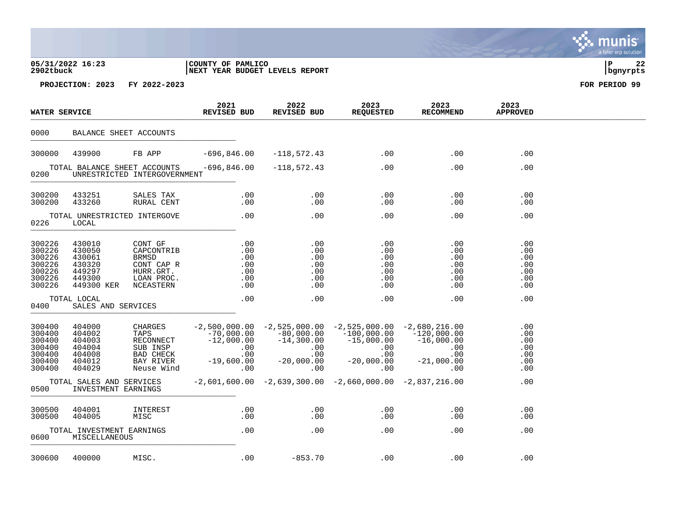### **05/31/2022 16:23 |COUNTY OF PAMLICO |P 22 2902tbuck |NEXT YEAR BUDGET LEVELS REPORT |bgnyrpts**

| <b>WATER SERVICE</b>                                               |                                                                        | 2021<br>REVISED BUD                                                                            | 2022<br>REVISED BUD                                                                  | 2023<br><b>REQUESTED</b>                                          | 2023<br><b>RECOMMEND</b>                                                                                          | 2023<br><b>APPROVED</b>                                            |                                                    |  |
|--------------------------------------------------------------------|------------------------------------------------------------------------|------------------------------------------------------------------------------------------------|--------------------------------------------------------------------------------------|-------------------------------------------------------------------|-------------------------------------------------------------------------------------------------------------------|--------------------------------------------------------------------|----------------------------------------------------|--|
| 0000                                                               | BALANCE SHEET ACCOUNTS                                                 |                                                                                                |                                                                                      |                                                                   |                                                                                                                   |                                                                    |                                                    |  |
| 300000                                                             | 439900                                                                 | FB APP                                                                                         | $-696,846.00$                                                                        | $-118,572.43$                                                     | .00                                                                                                               | .00                                                                | .00                                                |  |
| 0200                                                               | TOTAL BALANCE SHEET ACCOUNTS                                           | UNRESTRICTED INTERGOVERNMENT                                                                   | $-696,846.00$                                                                        | $-118,572.43$                                                     | .00                                                                                                               | .00                                                                | .00                                                |  |
| 300200<br>300200                                                   | 433251<br>433260                                                       | SALES TAX<br>RURAL CENT                                                                        | $.00 \,$<br>$.00 \,$                                                                 | .00<br>.00                                                        | .00<br>.00                                                                                                        | .00<br>.00                                                         | .00<br>$.00 \,$                                    |  |
| 0226                                                               | TOTAL UNRESTRICTED INTERGOVE<br>LOCAL                                  |                                                                                                | .00                                                                                  | .00                                                               | .00                                                                                                               | .00                                                                | .00                                                |  |
| 300226<br>300226<br>300226<br>300226<br>300226<br>300226<br>300226 | 430010<br>430050<br>430061<br>430320<br>449297<br>449300<br>449300 KER | CONT GF<br>CAPCONTRIB<br>BRMSD<br>CONT CAP R<br>HURR.GRT.<br>LOAN PROC.<br>NCEASTERN           | $.00 \,$<br>.00<br>$.00 \,$<br>.00<br>.00<br>.00<br>.00                              | .00<br>.00<br>.00<br>.00<br>.00<br>.00<br>.00                     | .00<br>.00<br>.00<br>.00<br>.00<br>.00<br>.00                                                                     | .00<br>.00<br>.00<br>.00<br>.00<br>.00<br>.00                      | .00<br>.00<br>.00<br>.00<br>.00<br>.00<br>.00      |  |
| 0400                                                               | TOTAL LOCAL<br>SALES AND SERVICES                                      |                                                                                                | .00                                                                                  | $.00 \,$                                                          | .00                                                                                                               | .00                                                                | .00                                                |  |
| 300400<br>300400<br>300400<br>300400<br>300400<br>300400<br>300400 | 404000<br>404002<br>404003<br>404004<br>404008<br>404012<br>404029     | CHARGES<br>TAPS<br>RECONNECT<br>SUB INSP<br><b>BAD CHECK</b><br><b>BAY RIVER</b><br>Neuse Wind | $-2,500,000.00$<br>$-70,000.00$<br>$-12,000.00$<br>.00<br>.00<br>$-19,600.00$<br>.00 | $-80,000.00$<br>$-14,300.00$<br>.00<br>.00<br>$-20,000.00$<br>.00 | $-2,525,000.00 -2,525,000.00 -2,680,216.00$<br>$-100,000.00$<br>$-15,000.00$<br>.00<br>.00<br>$-20,000.00$<br>.00 | $-120,000.00$<br>$-16,000.00$<br>.00<br>.00<br>$-21,000.00$<br>.00 | .00<br>.00<br>.00<br>.00<br>.00<br>$.00 \,$<br>.00 |  |
| 0500                                                               | TOTAL SALES AND SERVICES<br>INVESTMENT EARNINGS                        |                                                                                                |                                                                                      | $-2,601,600.00 -2,639,300.00 -2,660,000.00 -2,837,216.00$         |                                                                                                                   |                                                                    | .00                                                |  |
| 300500<br>300500                                                   | 404001<br>404005<br>TOTAL INVESTMENT EARNINGS                          | INTEREST<br>MISC                                                                               | .00<br>$.00 \,$<br>.00                                                               | .00<br>.00<br>.00                                                 | .00<br>$.00 \,$<br>.00                                                                                            | .00<br>.00<br>.00                                                  | .00<br>.00<br>.00                                  |  |
| 0600<br>300600                                                     | MISCELLANEOUS<br>400000                                                |                                                                                                | .00                                                                                  | $-853.70$                                                         | .00                                                                                                               | .00                                                                | .00                                                |  |
|                                                                    |                                                                        | MISC.                                                                                          |                                                                                      |                                                                   |                                                                                                                   |                                                                    |                                                    |  |

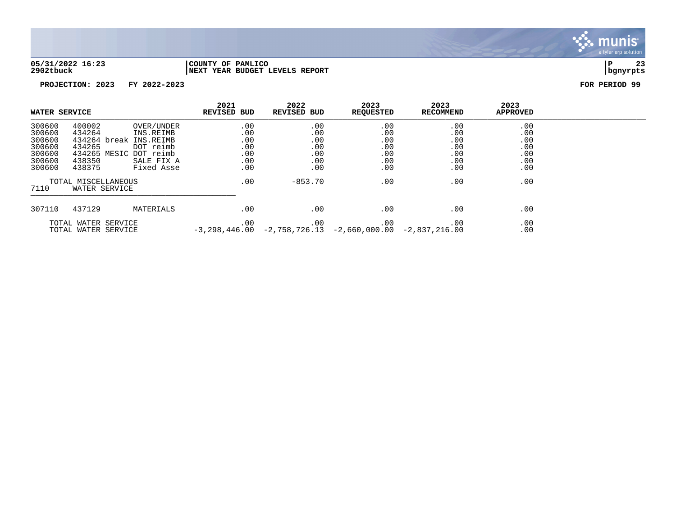

**05/31/2022 16:23 |COUNTY OF PAMLICO |P 23 2902tbuck |NEXT YEAR BUDGET LEVELS REPORT |bgnyrpts**

| WATER SERVICE                                                      |                                                                                                    |                                                                  | 2021<br><b>REVISED BUD</b>                    | 2022<br><b>REVISED BUD</b>                    | 2023<br><b>REQUESTED</b>                                               | 2023<br>RECOMMEND                             | 2023<br><b>APPROVED</b>                       |  |
|--------------------------------------------------------------------|----------------------------------------------------------------------------------------------------|------------------------------------------------------------------|-----------------------------------------------|-----------------------------------------------|------------------------------------------------------------------------|-----------------------------------------------|-----------------------------------------------|--|
| 300600<br>300600<br>300600<br>300600<br>300600<br>300600<br>300600 | 400002<br>434264<br>434264 break INS.REIMB<br>434265<br>434265 MESIC DOT reimb<br>438350<br>438375 | OVER/UNDER<br>INS.REIMB<br>DOT reimb<br>SALE FIX A<br>Fixed Asse | .00<br>.00<br>.00<br>.00<br>.00<br>.00<br>.00 | .00<br>.00<br>.00<br>.00<br>.00<br>.00<br>.00 | .00<br>.00<br>.00<br>.00<br>.00<br>.00<br>.00                          | .00<br>.00<br>.00<br>.00<br>.00<br>.00<br>.00 | .00<br>.00<br>.00<br>.00<br>.00<br>.00<br>.00 |  |
| TOTAL MISCELLANEOUS<br>7110<br>WATER SERVICE                       |                                                                                                    | .00                                                              | $-853.70$                                     | .00                                           | .00                                                                    | .00                                           |                                               |  |
| 307110                                                             | 437129                                                                                             | MATERIALS                                                        | .00                                           | .00                                           | .00                                                                    | .00                                           | .00                                           |  |
|                                                                    | TOTAL WATER SERVICE<br>TOTAL WATER SERVICE                                                         |                                                                  | $.00 \,$                                      | .00                                           | .00<br>$-3,298,446.00$ $-2,758,726.13$ $-2,660,000.00$ $-2,837,216.00$ | .00                                           | .00<br>.00                                    |  |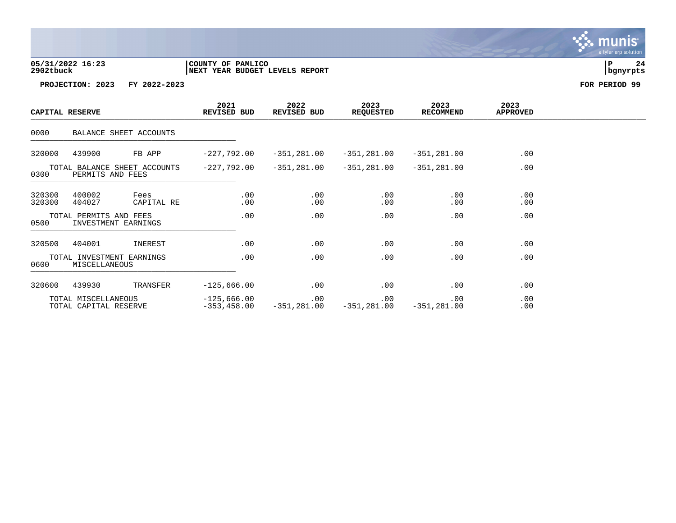**05/31/2022 16:23 |COUNTY OF PAMLICO |P 24 2902tbuck |NEXT YEAR BUDGET LEVELS REPORT |bgnyrpts**

**PROJECTION: 2023 FY 2022-2023 FOR PERIOD 99**

| CAPITAL RESERVE                                          |                                              |                           |               | 2022<br>REVISED BUD                     | 2023<br><b>REQUESTED</b> | 2023<br><b>RECOMMEND</b> | 2023<br><b>APPROVED</b> |  |
|----------------------------------------------------------|----------------------------------------------|---------------------------|---------------|-----------------------------------------|--------------------------|--------------------------|-------------------------|--|
| 0000                                                     |                                              | BALANCE SHEET ACCOUNTS    |               |                                         |                          |                          |                         |  |
| 320000                                                   | 439900                                       | FB APP                    | $-227,792.00$ | $-351,281.00$                           | $-351,281.00$            | $-351,281.00$            | .00                     |  |
| TOTAL BALANCE SHEET ACCOUNTS<br>0300<br>PERMITS AND FEES |                                              | -227,792.00               | $-351,281.00$ | -351,281.00                             | $-351,281.00$            | .00                      |                         |  |
| 320300<br>320300                                         | 400002<br>404027                             | Fees<br>CAPITAL RE        | .00<br>.00    | .00<br>.00                              | .00<br>.00               | .00<br>.00               | .00<br>.00              |  |
| 0500                                                     | TOTAL PERMITS AND FEES                       | INVESTMENT EARNINGS       | .00           | .00                                     | .00                      | .00                      | .00                     |  |
| 320500                                                   | 404001                                       | INEREST                   | .00           | .00                                     | .00                      | .00                      | .00                     |  |
| 0600                                                     | MISCELLANEOUS                                | TOTAL INVESTMENT EARNINGS | .00           | $.00 \,$                                | .00                      | .00                      | .00                     |  |
| 320600                                                   | 439930                                       | TRANSFER                  | $-125,666.00$ | .00                                     | .00                      | .00                      | .00                     |  |
|                                                          | TOTAL MISCELLANEOUS<br>TOTAL CAPITAL RESERVE |                           | $-125,666.00$ | $.00 \,$<br>$-353, 458.00 -351, 281.00$ | .00<br>$-351,281.00$     | .00<br>$-351,281.00$     | .00<br>.00              |  |

. munis<sup>.</sup> a tyler erp solution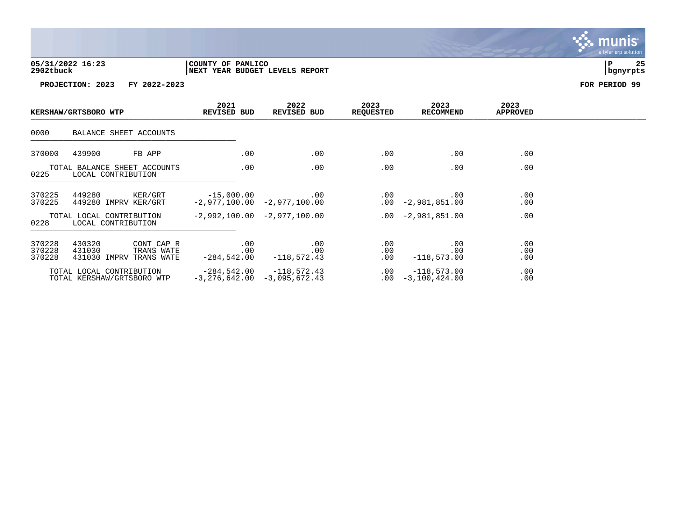

| KERSHAW/GRTSBORO WTP       |                                                                         | 2021<br><b>REVISED BUD</b> | 2022<br>REVISED BUD                               | 2023<br><b>REQUESTED</b>       | 2023<br><b>RECOMMEND</b>              | 2023<br><b>APPROVED</b> |  |
|----------------------------|-------------------------------------------------------------------------|----------------------------|---------------------------------------------------|--------------------------------|---------------------------------------|-------------------------|--|
| 0000                       | BALANCE SHEET ACCOUNTS                                                  |                            |                                                   |                                |                                       |                         |  |
| 370000                     | 439900<br>FB APP                                                        | $.00 \,$                   | $.00 \,$                                          | .00                            | .00                                   | .00                     |  |
| 0225                       | TOTAL BALANCE SHEET ACCOUNTS<br>LOCAL CONTRIBUTION                      | .00                        | .00                                               | .00                            | .00                                   | .00                     |  |
| 370225<br>370225           | 449280<br>KER/GRT<br>449280 IMPRV KER/GRT                               |                            | $-15,000.00$ .00<br>$-2,977,100.00 -2,977,100.00$ |                                | $.00$ . $.00$<br>$.00 -2,981,851.00$  | .00<br>.00              |  |
| 0228                       | TOTAL LOCAL CONTRIBUTION<br>LOCAL CONTRIBUTION                          |                            | $-2,992,100.00 -2,977,100.00$                     |                                | $.00 -2.981.851.00$                   | .00                     |  |
| 370228<br>370228<br>370228 | 430320<br>CONT CAP R<br>431030<br>TRANS WATE<br>431030 IMPRV TRANS WATE | $.00 \,$<br>.00            | .00<br>.00<br>$-284,542.00$ $-118,572.43$         | $.00 \ \rm$<br>.00<br>$.00 \,$ | .00<br>.00<br>$-118,573.00$           | .00<br>.00<br>.00       |  |
|                            | TOTAL LOCAL CONTRIBUTION<br>TOTAL KERSHAW/GRTSBORO WTP                  |                            | $-3, 276, 642.00 -3, 095, 672.43$                 | .00                            | $-118,573.00$<br>$.00 - 3,100,424.00$ | .00<br>.00              |  |

. munis<sup>.</sup> a tyler erp solution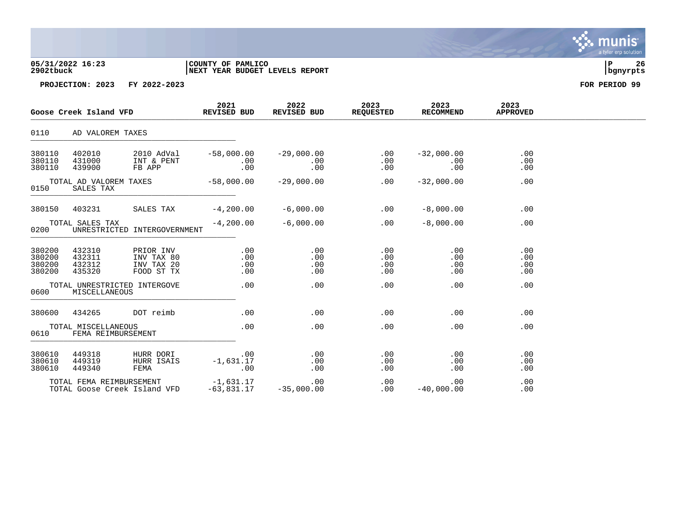| 05/31/2022 16:23 | COUNTY OF PAMLICO               |          | 26 |
|------------------|---------------------------------|----------|----|
| 2902tbuck        | INEXT YEAR BUDGET LEVELS REPORT | bqnyrpts |    |

| Goose Creek Island VFD                      |                                           | 2021<br><b>REVISED BUD</b>                          | 2022<br>REVISED BUD                        | 2023<br><b>REQUESTED</b>      | 2023<br><b>RECOMMEND</b> | 2023<br><b>APPROVED</b>       |                          |  |
|---------------------------------------------|-------------------------------------------|-----------------------------------------------------|--------------------------------------------|-------------------------------|--------------------------|-------------------------------|--------------------------|--|
| 0110                                        | AD VALOREM TAXES                          |                                                     |                                            |                               |                          |                               |                          |  |
| 380110<br>380110<br>380110                  | 402010<br>431000<br>439900                | 2010 AdVal<br>INT & PENT<br>FB APP                  | $-58,000.00$<br>.00<br>.00                 | $-29,000.00$<br>.00<br>.00    | .00<br>.00<br>.00        | $-32,000.00$<br>.00<br>.00    | .00<br>.00<br>.00        |  |
| TOTAL AD VALOREM TAXES<br>0150<br>SALES TAX |                                           | $-58,000.00$                                        | $-29,000.00$                               | .00                           | $-32,000.00$             | .00                           |                          |  |
| 380150                                      | 403231                                    | SALES TAX                                           | $-4,200.00$                                | $-6,000.00$                   | .00                      | $-8,000.00$                   | .00                      |  |
| 0200                                        | TOTAL SALES TAX                           | UNRESTRICTED INTERGOVERNMENT                        | $-4, 200.00$                               | $-6,000.00$                   | .00                      | $-8,000.00$                   | .00                      |  |
| 380200<br>380200<br>380200<br>380200        | 432310<br>432311<br>432312<br>435320      | PRIOR INV<br>INV TAX 80<br>INV TAX 20<br>FOOD ST TX | $.00 \,$<br>.00<br>.00<br>$.00 \,$         | .00<br>.00<br>.00<br>$.00 \,$ | .00<br>.00<br>.00<br>.00 | .00<br>.00<br>.00<br>$.00 \,$ | .00<br>.00<br>.00<br>.00 |  |
| 0600                                        | MISCELLANEOUS                             | TOTAL UNRESTRICTED INTERGOVE                        | .00                                        | .00                           | $.00 \,$                 | $.00 \,$                      | .00                      |  |
| 380600                                      | 434265                                    | DOT reimb                                           | .00                                        | .00                           | .00                      | .00                           | .00                      |  |
| 0610                                        | TOTAL MISCELLANEOUS<br>FEMA REIMBURSEMENT |                                                     | .00                                        | .00                           | .00                      | .00                           | .00                      |  |
| 380610<br>380610<br>380610                  | 449318<br>449319<br>449340                | HURR DORI<br>HURR ISAIS<br>FEMA                     | $\overline{00}$<br>$-1,631.17$<br>.00      | .00<br>.00<br>.00             | .00<br>.00<br>.00        | .00<br>.00<br>.00             | .00<br>.00<br>.00        |  |
|                                             | TOTAL FEMA REIMBURSEMENT                  | TOTAL Goose Creek Island VFD                        | -1,631.17<br>FD -63,831.17<br>$-63,831.17$ | $.00 \,$<br>$-35,000.00$      | .00<br>.00               | $.00 \,$<br>$-40,000.00$      | .00<br>.00               |  |

munis<sup>.</sup> a tyler erp solution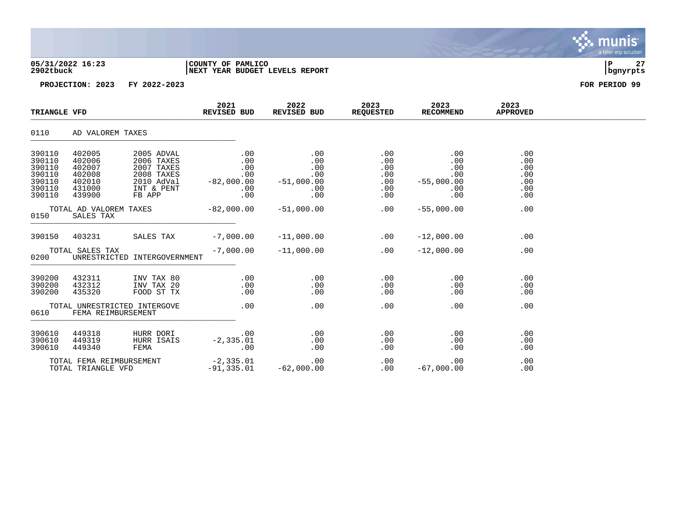| 05/31/2022 16:23 | COUNTY OF PAMLICO               |          | $\sim$ |
|------------------|---------------------------------|----------|--------|
| 2902tbuck        | INEXT YEAR BUDGET LEVELS REPORT | banvrpts |        |

| TRIANGLE VFD                                                       |                                                                    |                                                                                            | 2021<br>REVISED BUD                              | 2022<br>REVISED BUD                                                          | 2023<br><b>REQUESTED</b>                           | 2023<br><b>RECOMMEND</b>                               | 2023<br><b>APPROVED</b>                       |  |
|--------------------------------------------------------------------|--------------------------------------------------------------------|--------------------------------------------------------------------------------------------|--------------------------------------------------|------------------------------------------------------------------------------|----------------------------------------------------|--------------------------------------------------------|-----------------------------------------------|--|
| 0110                                                               | AD VALOREM TAXES                                                   |                                                                                            |                                                  |                                                                              |                                                    |                                                        |                                               |  |
| 390110<br>390110<br>390110<br>390110<br>390110<br>390110<br>390110 | 402005<br>402006<br>402007<br>402008<br>402010<br>431000<br>439900 | 2005 ADVAL<br>2006 TAXES<br>2007 TAXES<br>2008 TAXES<br>2010 AdVal<br>INT & PENT<br>FB APP | $.00 \,$<br>.00<br>.00<br>.00<br>$.00 \,$<br>.00 | $.00\,$<br>.00<br>.00<br>.00<br>$-82,000.00$ $-51,000.00$<br>$.00 \,$<br>.00 | $.00 \,$<br>.00<br>.00<br>.00<br>.00<br>.00<br>.00 | .00<br>.00<br>.00<br>.00<br>$-55,000.00$<br>.00<br>.00 | .00<br>.00<br>.00<br>.00<br>.00<br>.00<br>.00 |  |
| 0150                                                               | TOTAL AD VALOREM TAXES<br>SALES TAX                                |                                                                                            | $-82,000.00$                                     | $-51,000.00$                                                                 | .00                                                | $-55,000.00$                                           | .00                                           |  |
| 390150                                                             | 403231                                                             | SALES TAX                                                                                  | $-7,000.00$                                      | $-11,000.00$                                                                 | .00                                                | $-12,000.00$                                           | .00                                           |  |
| 0200                                                               | TOTAL SALES TAX                                                    | UNRESTRICTED INTERGOVERNMENT                                                               | $-7,000.00$                                      | $-11,000.00$                                                                 | .00                                                | $-12,000.00$                                           | .00                                           |  |
| 390200<br>390200<br>390200                                         | 432311<br>432312<br>435320                                         | INV TAX 80<br>INV TAX 20<br>FOOD ST TX                                                     | .00<br>.00<br>$.00 \,$                           | .00<br>.00<br>.00                                                            | .00<br>.00<br>.00                                  | .00<br>.00<br>.00                                      | .00<br>.00<br>.00                             |  |
| TOTAL UNRESTRICTED INTERGOVE<br>0610<br>FEMA REIMBURSEMENT         |                                                                    | .00                                                                                        | .00                                              | .00                                                                          | .00                                                | .00                                                    |                                               |  |
| 390610<br>390610<br>390610                                         | 449318<br>449319<br>449340                                         | HURR DORI<br>HURR ISAIS<br>FEMA                                                            | .00<br>$-2, 335.01$<br>.00                       | .00<br>$.00\,$<br>.00                                                        | .00<br>.00<br>.00                                  | .00<br>.00<br>.00                                      | .00<br>.00<br>.00                             |  |
|                                                                    | TOTAL FEMA REIMBURSEMENT<br>TOTAL TRIANGLE VFD                     |                                                                                            | $-2, 335.01$<br>$-91, 335.01$                    | 00 .<br>62 ,000 .00 –                                                        | .00<br>.00                                         | .00<br>$-67,000.00$                                    | .00<br>.00                                    |  |

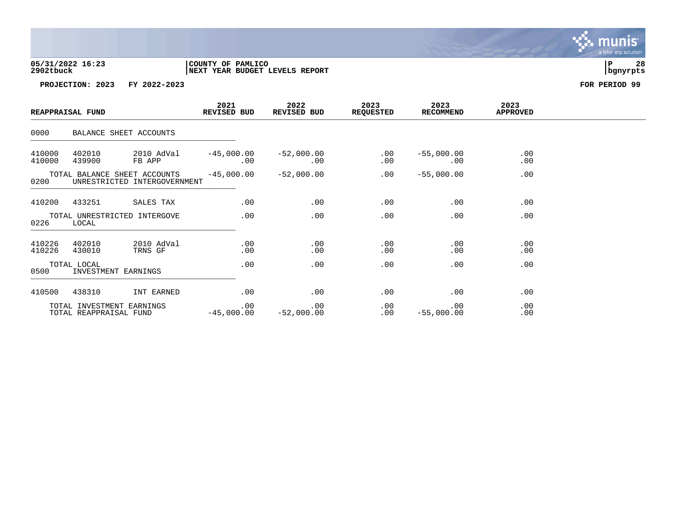| 05/31/2022 16:23 | COUNTY OF PAMLICO               |          | 28 |
|------------------|---------------------------------|----------|----|
| 2902tbuck        | INEXT YEAR BUDGET LEVELS REPORT | banvrpts |    |

| REAPPRAISAL FUND |                        | REVISED BUD                                                                                 |                                        | 2022<br>REVISED BUD | 2023<br><b>REQUESTED</b> | 2023<br><b>RECOMMEND</b>  | 2023<br><b>APPROVED</b> |  |
|------------------|------------------------|---------------------------------------------------------------------------------------------|----------------------------------------|---------------------|--------------------------|---------------------------|-------------------------|--|
| 0000             |                        | BALANCE SHEET ACCOUNTS                                                                      |                                        |                     |                          |                           |                         |  |
| 410000<br>410000 | 402010<br>439900       | FB APP 00                                                                                   |                                        | $\sim$ 00           | .00<br>.00               | $-55,000.00$<br>$\sim 00$ | .00<br>.00              |  |
|                  |                        | TOTAL BALANCE SHEET ACCOUNTS $-45,000.00$ $-52,000.00$<br>0200 UNRESTRICTED INTERGOVERNMENT |                                        |                     | .00                      | $-55,000.00$              | .00                     |  |
|                  |                        | 410200 433251 SALES TAX                                                                     | .00                                    | .00                 | .00                      | .00                       | .00                     |  |
| 0226             | LOCAL                  | TOTAL UNRESTRICTED INTERGOVE                                                                | .00                                    | .00                 | .00                      | .00                       | .00                     |  |
| 410226<br>410226 | 402010<br>430010       | 2010 AdVal<br>TRNS GF                                                                       | .00<br>.00                             | .00<br>$.00 \,$     | .00<br>.00               | .00<br>.00                | .00<br>.00              |  |
| 0500             | TOTAL LOCAL            | INVESTMENT EARNINGS                                                                         | .00                                    | .00                 | .00                      | .00                       | .00                     |  |
| 410500           | 438310                 | INT EARNED                                                                                  | .00                                    | .00                 | .00                      | .00                       | .00                     |  |
|                  | TOTAL REAPPRAISAL FUND | TOTAL INVESTMENT EARNINGS                                                                   | $\sim$ 00<br>$-45,000.00$ $-52,000.00$ | .00                 | .00<br>$.00 \,$          | .00<br>$-55,000.00$       | .00<br>.00              |  |

munis<sup>.</sup> a tyler erp solution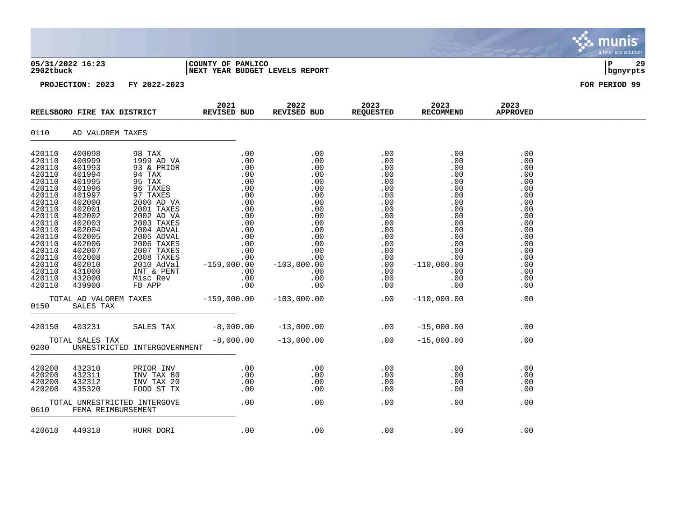| 05/31/2022 16:23<br>2902tbuck                                                                                                                                                                        |                                                                                                                                                                                                      |                                                                                                                                                                                                                                                                | COUNTY OF PAMLICO<br>NEXT YEAR BUDGET LEVELS REPORT                 | ΙP<br>29<br>bgnyrpts                                                                                                                               |                                                                                                                                                                                                                                                               |                                                                                                                                                                                                               |                                                                                                                                          |               |
|------------------------------------------------------------------------------------------------------------------------------------------------------------------------------------------------------|------------------------------------------------------------------------------------------------------------------------------------------------------------------------------------------------------|----------------------------------------------------------------------------------------------------------------------------------------------------------------------------------------------------------------------------------------------------------------|---------------------------------------------------------------------|----------------------------------------------------------------------------------------------------------------------------------------------------|---------------------------------------------------------------------------------------------------------------------------------------------------------------------------------------------------------------------------------------------------------------|---------------------------------------------------------------------------------------------------------------------------------------------------------------------------------------------------------------|------------------------------------------------------------------------------------------------------------------------------------------|---------------|
|                                                                                                                                                                                                      |                                                                                                                                                                                                      | PROJECTION: 2023 FY 2022-2023                                                                                                                                                                                                                                  |                                                                     |                                                                                                                                                    |                                                                                                                                                                                                                                                               |                                                                                                                                                                                                               |                                                                                                                                          | FOR PERIOD 99 |
| REELSBORO FIRE TAX DISTRICT                                                                                                                                                                          |                                                                                                                                                                                                      |                                                                                                                                                                                                                                                                | 2021<br>REVISED BUD                                                 | 2022<br>REVISED BUD                                                                                                                                | 2023<br>REQUESTED                                                                                                                                                                                                                                             | 2023<br>RECOMMEND                                                                                                                                                                                             | 2023<br><b>APPROVED</b>                                                                                                                  |               |
| 0110                                                                                                                                                                                                 | AD VALOREM TAXES                                                                                                                                                                                     |                                                                                                                                                                                                                                                                |                                                                     |                                                                                                                                                    |                                                                                                                                                                                                                                                               |                                                                                                                                                                                                               |                                                                                                                                          |               |
| 420110<br>420110<br>420110<br>420110<br>420110<br>420110<br>420110<br>420110<br>420110<br>420110<br>420110<br>420110<br>420110<br>420110<br>420110<br>420110<br>420110<br>420110<br>420110<br>420110 | 400098<br>400999<br>401993<br>401994<br>401995<br>401996<br>401997<br>402000<br>402001<br>402002<br>402003<br>402004<br>402005<br>402006<br>402007<br>402008<br>402010<br>431000<br>432000<br>439900 | 98 TAX<br>1999 AD VA<br>93 & PRIOR<br>94 TAX<br>95 TAX<br>96 TAXES<br>97 TAXES<br>2000 AD VA<br>2001 TAXES<br>2002 AD VA<br>2003 TAXES<br>2004 ADVAL<br>2005 ADVAL<br>2006 TAXES<br>2007 TAXES<br>2008 TAXES<br>2010 AdVal<br>INT & PENT<br>Misc Rev<br>FB APP | .00<br>$\begin{array}{c} . & 0 & 0 \\ . & 0 & 0 \end{array}$<br>.00 | .00<br>.00<br>.00<br>.00<br>.00<br>.00<br>.00<br>.00<br>.00<br>.00<br>.00<br>.00<br>.00<br>.00<br>.00<br>.00<br>$-103,000.00$<br>.00<br>.00<br>.00 | .00<br>.00<br>.00<br>$\begin{array}{r} .00\ 0.00\ 0.00\ 0.00\ 0.00\ 0.00\ 0.00\ 0.00\ 0.00\ 0.00\ 0.00\ 0.00\ 0.00\ 0.00\ 0.00\ 0.00\ 0.00\ 0.00\ 0.00\ 0.00\ 0.00\ 0.00\ 0.00\ 0.00\ 0.00\ 0.00\ 0.00\ 0.00\ 0.00\ 0.00\ 0.00\ 0.00\ 0.00\ 0.00\ 0.00\ 0.00$ | .00<br>$.00 \,$<br>.00<br>$0.01$<br>0.00<br>0.01<br>.00<br>.00<br>.00<br>$\begin{array}{c} . & 0 & 0 \\ . & 0 & 0 \\ . & 0 & 0 \end{array}$<br>.00<br>.00<br>.00<br>.00<br>$-110,000.00$<br>.00<br>.00<br>.00 | .00<br>.00<br>.00<br>.00<br>.00<br>.00<br>.00<br>.00<br>.00<br>.00<br>.00<br>.00<br>.00<br>.00<br>.00<br>.00<br>.00<br>.00<br>.00<br>.00 |               |
| 0150                                                                                                                                                                                                 | TOTAL AD VALOREM TAXES<br>SALES TAX                                                                                                                                                                  |                                                                                                                                                                                                                                                                | $-159,000.00$                                                       | $-103,000.00$                                                                                                                                      | .00                                                                                                                                                                                                                                                           | $-110,000.00$                                                                                                                                                                                                 | .00                                                                                                                                      |               |
| 420150                                                                                                                                                                                               | 403231                                                                                                                                                                                               | SALES TAX                                                                                                                                                                                                                                                      | $-8,000.00$                                                         | $-13,000.00$ .00                                                                                                                                   |                                                                                                                                                                                                                                                               | $-15,000.00$                                                                                                                                                                                                  | .00                                                                                                                                      |               |
| 0200                                                                                                                                                                                                 | TOTAL SALES TAX                                                                                                                                                                                      | UNRESTRICTED INTERGOVERNMENT                                                                                                                                                                                                                                   | $-8,000.00$                                                         | $-13,000.00$                                                                                                                                       | .00                                                                                                                                                                                                                                                           | $-15,000.00$                                                                                                                                                                                                  | .00                                                                                                                                      |               |
| 420200<br>420200<br>420200<br>420200                                                                                                                                                                 | 432310<br>432311<br>432312<br>435320                                                                                                                                                                 | PRIOR INV<br>INV TAX 80<br>INV TAX 20<br>FOOD ST TX                                                                                                                                                                                                            | .00<br>$0.00$<br>.00<br>.00                                         | .00<br>.00<br>.00<br>.00                                                                                                                           | .00<br>.00<br>.00<br>.00                                                                                                                                                                                                                                      | $.00\,$<br>.00<br>.00<br>.00                                                                                                                                                                                  | .00<br>.00<br>.00<br>.00                                                                                                                 |               |
| 0610                                                                                                                                                                                                 | FEMA REIMBURSEMENT                                                                                                                                                                                   | TOTAL UNRESTRICTED INTERGOVE                                                                                                                                                                                                                                   | .00                                                                 | .00                                                                                                                                                | .00                                                                                                                                                                                                                                                           | .00                                                                                                                                                                                                           | .00                                                                                                                                      |               |

420610 449318 HURR DORI .00 .00 .00 .00 .00 .00 .00

**BASE** munis a tyler erp solution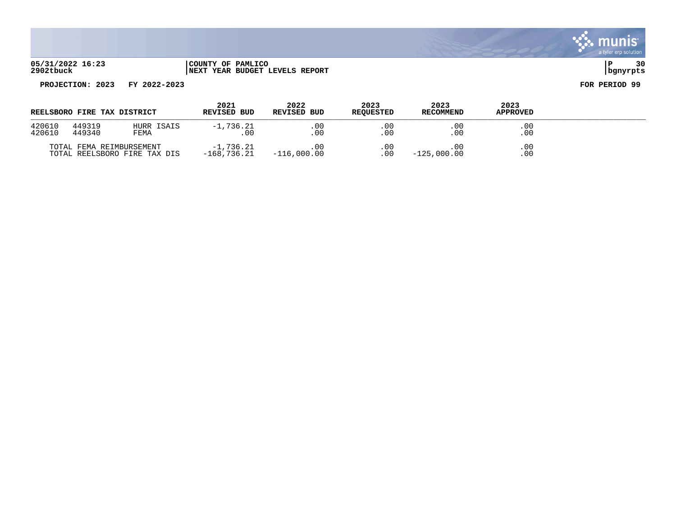

**05/31/2022 16:23 |COUNTY OF PAMLICO |P 30 2902tbuck |NEXT YEAR BUDGET LEVELS REPORT |bgnyrpts**

|  | COUNTY OF PAMLICO |                                |  |
|--|-------------------|--------------------------------|--|
|  |                   | NEXT YEAR BUDGET LEVELS REPORT |  |

| REELSBORO FIRE TAX DISTRICT |                          |                              | 2021<br><b>REVISED BUD</b> | 2022<br><b>REVISED BUD</b> | 2023<br><b>REOUESTED</b> | 2023<br><b>RECOMMEND</b> | 2023<br><b>APPROVED</b> |  |
|-----------------------------|--------------------------|------------------------------|----------------------------|----------------------------|--------------------------|--------------------------|-------------------------|--|
| 420610<br>420610            | 449319<br>449340         | HURR ISAIS<br>FEMA           | $-1.736.21$<br>.00         | . 00<br>. 00               | .00<br>.00               | .00<br>. 00              | .00<br>.00              |  |
|                             | TOTAL FEMA REIMBURSEMENT | TOTAL REELSBORO FIRE TAX DIS | $-1.736.21$<br>-168.736.21 | $-116,000.00$              | .00<br>. 00              | . 00<br>$-125,000.00$    | $.00 \,$<br>.00         |  |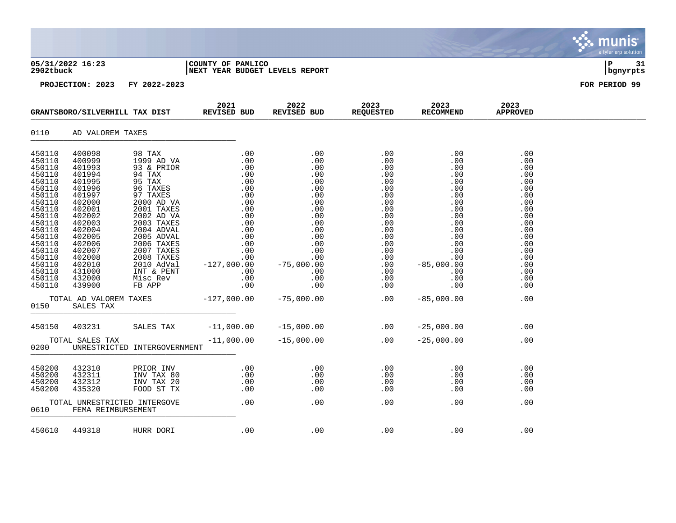| 05/31/2022 16:23<br>2902tbuck                                                                                                                                                                        |                                                                                                                                                                                                      |                                                     | COUNTY OF PAMLICO<br>NEXT YEAR BUDGET LEVELS REPORT                                                                                                                                                                                                                                          | ∣P<br>31<br>bgnyrpts          |                                                                                                                                          |                                                                                                                                                                                                                                                                                                  |                                                                                                                                          |               |
|------------------------------------------------------------------------------------------------------------------------------------------------------------------------------------------------------|------------------------------------------------------------------------------------------------------------------------------------------------------------------------------------------------------|-----------------------------------------------------|----------------------------------------------------------------------------------------------------------------------------------------------------------------------------------------------------------------------------------------------------------------------------------------------|-------------------------------|------------------------------------------------------------------------------------------------------------------------------------------|--------------------------------------------------------------------------------------------------------------------------------------------------------------------------------------------------------------------------------------------------------------------------------------------------|------------------------------------------------------------------------------------------------------------------------------------------|---------------|
|                                                                                                                                                                                                      |                                                                                                                                                                                                      | PROJECTION: 2023 FY 2022-2023                       |                                                                                                                                                                                                                                                                                              |                               |                                                                                                                                          |                                                                                                                                                                                                                                                                                                  |                                                                                                                                          | FOR PERIOD 99 |
| GRANTSBORO/SILVERHILL TAX DIST                                                                                                                                                                       |                                                                                                                                                                                                      | 2021<br>REVISED BUD                                 | 2022<br>REVISED BUD                                                                                                                                                                                                                                                                          | 2023<br><b>REQUESTED</b>      | 2023<br><b>RECOMMEND</b>                                                                                                                 | 2023<br><b>APPROVED</b>                                                                                                                                                                                                                                                                          |                                                                                                                                          |               |
| 0110                                                                                                                                                                                                 | AD VALOREM TAXES                                                                                                                                                                                     |                                                     |                                                                                                                                                                                                                                                                                              |                               |                                                                                                                                          |                                                                                                                                                                                                                                                                                                  |                                                                                                                                          |               |
| 450110<br>450110<br>450110<br>450110<br>450110<br>450110<br>450110<br>450110<br>450110<br>450110<br>450110<br>450110<br>450110<br>450110<br>450110<br>450110<br>450110<br>450110<br>450110<br>450110 | 400098<br>400999<br>401993<br>401994<br>401995<br>401996<br>401997<br>402000<br>402001<br>402002<br>402003<br>402004<br>402005<br>402006<br>402007<br>402008<br>402010<br>431000<br>432000<br>439900 | 98 TAX<br>1999 AD VA<br>Misc Rev<br>FB APP          | .00<br>.00<br>399 AD VA<br>33 & PRIOR<br>93 & PRIOR<br>93 & PRIOR<br>94 TAX<br>0.00 0.00<br>95 TAXES<br>5 TAXES<br>0.00 0.00<br>96 TAXES<br>0.00 0.00<br>97 TAXES<br>2000 AD VA<br>2000 AD VA<br>2000 AD VA<br>2003 TAXES<br>2003 TAXES<br>2004 ADVAL<br>2004 ADVAL<br>2004 ADVAL<br><br>.00 | .00<br>.00<br>$.00 \,$        | .00<br>.00<br>.00<br>.00<br>.00<br>.00<br>.00<br>.00<br>.00<br>.00<br>.00<br>.00<br>.00<br>.00<br>.00<br>.00<br>.00<br>.00<br>.00<br>.00 | .00<br>.00<br>.00<br>.00<br>.00<br>.00<br>.00<br>.00<br>.00<br>.00<br>$\begin{array}{c} 0.00 \\ -0.00 \end{array}$<br>.00<br>$\begin{array}{c} 0.00 \\ -0.00 \end{array}$<br>$\begin{bmatrix} 0 & -85 & 0 & 0 & 0 & 0 \\ 0 & -85 & 0 & 0 & 0 \\ 0 & 0 & 0 & 0 \\ 0 & 0 & 0 & 0 \\ \end{bmatrix}$ | .00<br>.00<br>.00<br>.00<br>.00<br>.00<br>.00<br>.00<br>.00<br>.00<br>.00<br>.00<br>.00<br>.00<br>.00<br>.00<br>.00<br>.00<br>.00<br>.00 |               |
| 0150                                                                                                                                                                                                 | TOTAL AD VALOREM TAXES<br>SALES TAX                                                                                                                                                                  |                                                     | $-127,000.00$                                                                                                                                                                                                                                                                                | $-75,000.00$                  | .00                                                                                                                                      | $-85,000.00$                                                                                                                                                                                                                                                                                     | .00                                                                                                                                      |               |
| 450150                                                                                                                                                                                               | 403231                                                                                                                                                                                               | SALES TAX                                           | $-11,000.00$                                                                                                                                                                                                                                                                                 | $-15,000.00$                  | $\sim$ 00                                                                                                                                | $-25,000.00$                                                                                                                                                                                                                                                                                     | .00                                                                                                                                      |               |
| 0200                                                                                                                                                                                                 | TOTAL SALES TAX                                                                                                                                                                                      | UNRESTRICTED INTERGOVERNMENT                        | $-11,000.00$                                                                                                                                                                                                                                                                                 | $-15,000.00$                  | .00                                                                                                                                      | $-25,000.00$                                                                                                                                                                                                                                                                                     | .00                                                                                                                                      |               |
| 450200<br>450200<br>450200<br>450200                                                                                                                                                                 | 432310<br>432311<br>432312<br>435320                                                                                                                                                                 | PRIOR INV<br>INV TAX 80<br>INV TAX 20<br>FOOD ST TX | $0.00$<br>.00<br>.00                                                                                                                                                                                                                                                                         | .00<br>.00<br>.00<br>$.00 \,$ | .00<br>.00<br>.00<br>.00                                                                                                                 | .00<br>$.00\,$<br>.00<br>.00                                                                                                                                                                                                                                                                     | .00<br>.00<br>.00<br>.00                                                                                                                 |               |
| 0610                                                                                                                                                                                                 | FEMA REIMBURSEMENT                                                                                                                                                                                   | TOTAL UNRESTRICTED INTERGOVE                        | .00                                                                                                                                                                                                                                                                                          | .00                           | .00                                                                                                                                      | .00                                                                                                                                                                                                                                                                                              | .00                                                                                                                                      |               |
| 450610                                                                                                                                                                                               | 449318                                                                                                                                                                                               | HURR DORI                                           | .00                                                                                                                                                                                                                                                                                          | .00                           | .00                                                                                                                                      | .00                                                                                                                                                                                                                                                                                              | .00                                                                                                                                      |               |

munis a tyler erp solution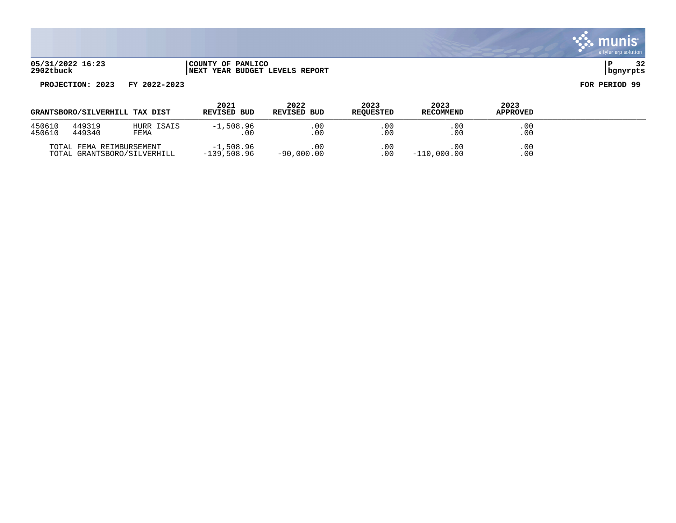

| GRANTSBORO/SILVERHILL TAX DIST |                          |                             | 2021<br>REVISED BUD        | 2022<br><b>REVISED BUD</b> | 2023<br><b>REOUESTED</b> | 2023<br><b>RECOMMEND</b> | 2023<br><b>APPROVED</b> |  |
|--------------------------------|--------------------------|-----------------------------|----------------------------|----------------------------|--------------------------|--------------------------|-------------------------|--|
| 450610<br>450610               | 449319<br>449340         | HURR ISAIS<br>FEMA          | $-1,508.96$<br>. 00        | .00<br>. 00                | .00<br>.00               | .00<br>$.00 \,$          | .00<br>.00.             |  |
|                                | TOTAL FEMA REIMBURSEMENT | TOTAL GRANTSBORO/SILVERHILL | $-1,508.96$<br>-139,508.96 | 00<br>$-90,000.00$         | $.00 \,$<br>.00          | .00<br>$-110,000.00$     | $.00 \,$<br>.00         |  |

. munis<sup>.</sup> a tyler erp solution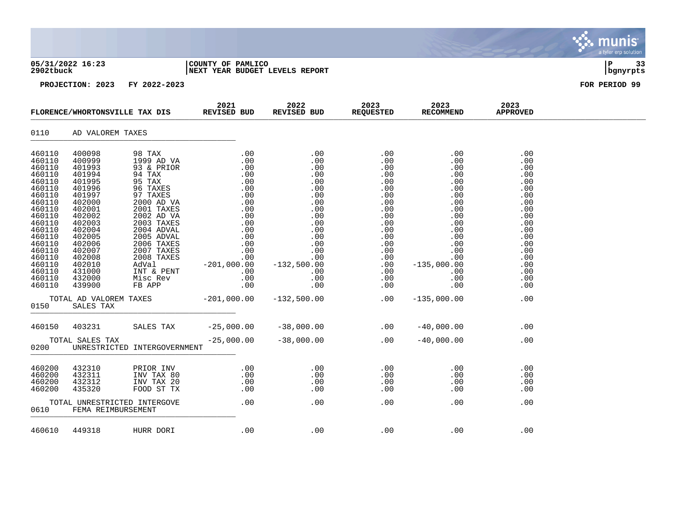|                                                                                                                                                                                                      |                                                                                                                                                                                                      |                                                                                                                                                                                                                                                                       |                                                                                                                                                                                                                                                                                                                                                                                             |                          |                          |                          |                                                                                                                                          | munis <sup>®</sup><br>a tyler erp solution |
|------------------------------------------------------------------------------------------------------------------------------------------------------------------------------------------------------|------------------------------------------------------------------------------------------------------------------------------------------------------------------------------------------------------|-----------------------------------------------------------------------------------------------------------------------------------------------------------------------------------------------------------------------------------------------------------------------|---------------------------------------------------------------------------------------------------------------------------------------------------------------------------------------------------------------------------------------------------------------------------------------------------------------------------------------------------------------------------------------------|--------------------------|--------------------------|--------------------------|------------------------------------------------------------------------------------------------------------------------------------------|--------------------------------------------|
| 2902tbuck                                                                                                                                                                                            | 05/31/2022 16:23                                                                                                                                                                                     |                                                                                                                                                                                                                                                                       | COUNTY OF PAMLICO<br>NEXT YEAR BUDGET LEVELS REPORT                                                                                                                                                                                                                                                                                                                                         |                          |                          |                          |                                                                                                                                          | l P<br>33<br>  bgnyrpts                    |
|                                                                                                                                                                                                      | PROJECTION: 2023                                                                                                                                                                                     | FY 2022-2023                                                                                                                                                                                                                                                          |                                                                                                                                                                                                                                                                                                                                                                                             |                          |                          |                          |                                                                                                                                          | FOR PERIOD 99                              |
|                                                                                                                                                                                                      |                                                                                                                                                                                                      |                                                                                                                                                                                                                                                                       | 2023 1023<br>FLORENCE/WHORTONSVILLE TAX DIS REVISED BUD REVISED BUD REQUESTED RECOMMEND                                                                                                                                                                                                                                                                                                     |                          |                          |                          | 2023<br><b>APPROVED</b>                                                                                                                  |                                            |
| 0110                                                                                                                                                                                                 | AD VALOREM TAXES                                                                                                                                                                                     |                                                                                                                                                                                                                                                                       |                                                                                                                                                                                                                                                                                                                                                                                             |                          |                          |                          |                                                                                                                                          |                                            |
| 460110<br>460110<br>460110<br>460110<br>460110<br>460110<br>460110<br>460110<br>460110<br>460110<br>460110<br>460110<br>460110<br>460110<br>460110<br>460110<br>460110<br>460110<br>460110<br>460110 | 400098<br>400999<br>401993<br>401994<br>401995<br>401996<br>401997<br>402000<br>402001<br>402002<br>402003<br>402004<br>402005<br>402006<br>402007<br>402008<br>402010<br>431000<br>432000<br>439900 | 98 TAX<br>1999 AD VA<br>93 & PRIOR<br>94 TAX<br>95 TAX<br>96 TAXES<br>97 TAXES<br>2000 AD VA<br>2001 TAXES<br>2002 AD VA<br>2003 TAXES<br>2004 ADVAL<br>2005 ADVAL<br>2006 TAXES<br>2007 TAXES<br>2008 TAXES<br>AdVal<br>INT & PENT<br>Misc Rev<br>Misc Rev<br>FB APP | $\begin{array}{cccc} \cdot & 0 & 0 & 0 & 0 \\ \cdot & 0 & 0 & 0 & 0 \\ \cdot & 0 & 0 & 0 & 0 \\ \cdot & 0 & 0 & 0 & 0 \\ \cdot & 0 & 0 & 0 & 0 \\ \cdot & 0 & 0 & 0 & 0 \\ \cdot & 0 & 0 & 0 & 0 \\ \cdot & 0 & 0 & 0 & 0 \\ \cdot & 0 & 0 & 0 & 0 \\ \cdot & 0 & 0 & 0 & 0 \\ \cdot & 0 & 0 & 0 & 0 \\ \cdot & 0 & 0 & 0 & 0 \\ \cdot & 0 & 0 & 0 & 0 \\ \cdot & 0 & 0 & 0 & 0 \\ \cdot &$ |                          | .00<br>.00               | .00<br>$.00$<br>.00      | .00<br>.00<br>.00<br>.00<br>.00<br>.00<br>.00<br>.00<br>.00<br>.00<br>.00<br>.00<br>.00<br>.00<br>.00<br>.00<br>.00<br>.00<br>.00<br>.00 |                                            |
| 0150                                                                                                                                                                                                 | TOTAL AD VALOREM TAXES<br>SALES TAX                                                                                                                                                                  |                                                                                                                                                                                                                                                                       | $-201,000.00$ $-132,500.00$                                                                                                                                                                                                                                                                                                                                                                 |                          | .00                      | $-135,000.00$            | .00                                                                                                                                      |                                            |
| 460150                                                                                                                                                                                               | 403231                                                                                                                                                                                               | SALES TAX                                                                                                                                                                                                                                                             | $-25,000.00$ $-38,000.00$ 00.00 00 $-40,000.00$                                                                                                                                                                                                                                                                                                                                             |                          |                          |                          | .00                                                                                                                                      |                                            |
| 0200                                                                                                                                                                                                 | TOTAL SALES TAX                                                                                                                                                                                      | UNRESTRICTED INTERGOVERNMENT                                                                                                                                                                                                                                          | $-25,000.00$                                                                                                                                                                                                                                                                                                                                                                                | $-38,000.00$             | $.00 -40,000.00$         |                          | .00                                                                                                                                      |                                            |
| 460200<br>460200<br>460200<br>460200                                                                                                                                                                 | 432310<br>432311<br>432312<br>435320                                                                                                                                                                 | PRIOR INV<br>INV TAX 80<br>INV TAX 20<br>FOOD ST TX                                                                                                                                                                                                                   | .00<br>$\begin{array}{c} .\ 0\ 0\ .\ 0\ 0\ .\ 0\ 0\ .\ 0\ 0\ \end{array}$<br>$0.00$<br>.00<br>.00                                                                                                                                                                                                                                                                                           | .00<br>.00<br>.00<br>.00 | .00<br>.00<br>.00<br>.00 | .00<br>.00<br>.00<br>.00 | .00<br>.00<br>.00<br>.00                                                                                                                 |                                            |
| 0610                                                                                                                                                                                                 | FEMA REIMBURSEMENT                                                                                                                                                                                   | TOTAL UNRESTRICTED INTERGOVE                                                                                                                                                                                                                                          | .00                                                                                                                                                                                                                                                                                                                                                                                         | .00                      | .00                      | .00                      | .00                                                                                                                                      |                                            |
|                                                                                                                                                                                                      | 460610 449318                                                                                                                                                                                        | HURR DORI                                                                                                                                                                                                                                                             | .00                                                                                                                                                                                                                                                                                                                                                                                         | .00                      | .00                      | .00                      | .00                                                                                                                                      |                                            |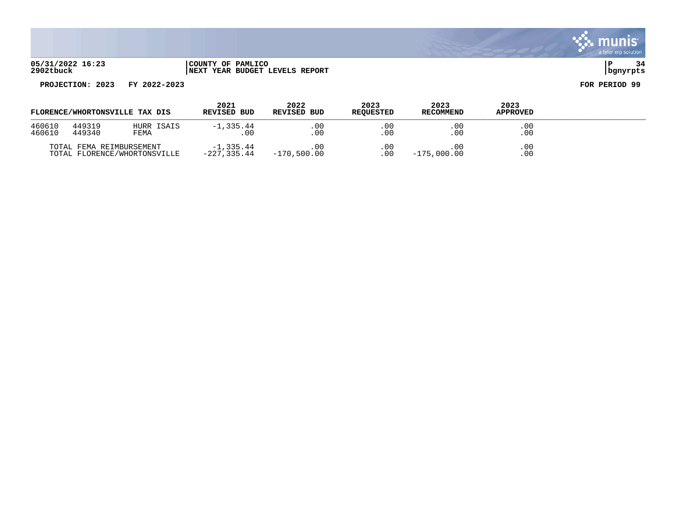

| FLORENCE/WHORTONSVILLE TAX DIS |                          | 2021<br>REVISED BUD          | 2022<br><b>REVISED BUD</b>  | 2023<br><b>REOUESTED</b> | 2023<br><b>RECOMMEND</b> | 2023<br><b>APPROVED</b> |            |  |
|--------------------------------|--------------------------|------------------------------|-----------------------------|--------------------------|--------------------------|-------------------------|------------|--|
| 460610<br>460610               | 449319<br>449340         | HURR ISAIS<br>FEMA           | $-1, 335.44$<br>. 00        | .00<br>.00               | .00<br>.00               | .00<br>$.00 \,$         | .00<br>.00 |  |
|                                | TOTAL FEMA REIMBURSEMENT | TOTAL FLORENCE/WHORTONSVILLE | $-1, 335.44$<br>-227,335.44 | 00<br>-170,500.00        | .00.<br>.00              | .00<br>$-175,000.00$    | .00<br>.00 |  |

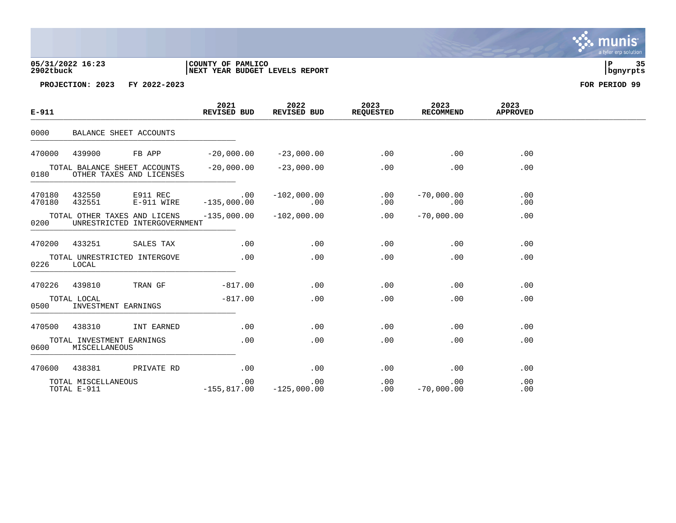## **05/31/2022 16:23 |COUNTY OF PAMLICO |P 35 2902tbuck |NEXT YEAR BUDGET LEVELS REPORT |bgnyrpts**

**PROJECTION: 2023 FY 2022-2023 FOR PERIOD 99**

| $E - 911$                                                        |                                    |                                                              | 2021<br>REVISED BUD        | 2022<br>REVISED BUD  | 2023<br><b>REQUESTED</b> | 2023<br>RECOMMEND   | 2023<br><b>APPROVED</b> |  |
|------------------------------------------------------------------|------------------------------------|--------------------------------------------------------------|----------------------------|----------------------|--------------------------|---------------------|-------------------------|--|
| 0000                                                             |                                    | BALANCE SHEET ACCOUNTS                                       |                            |                      |                          |                     |                         |  |
| 470000                                                           | 439900                             | FB APP                                                       | $-20,000.00$               | $-23,000.00$         | .00                      | .00                 | .00                     |  |
| TOTAL BALANCE SHEET ACCOUNTS<br>OTHER TAXES AND LICENSES<br>0180 |                                    | $-20$ ,000.00                                                | $-23,000.00$               | .00                  | .00                      | .00                 |                         |  |
| 470180<br>470180                                                 | 432550<br>432551                   | E911 REC<br>E-911 WIRE                                       | $\sim$ 00<br>$-135,000.00$ | $-102,000.00$<br>.00 | .00<br>.00               | $-70,000.00$<br>.00 | .00<br>.00              |  |
| 0200                                                             |                                    | TOTAL OTHER TAXES AND LICENS<br>UNRESTRICTED INTERGOVERNMENT | $-135,000.00$              | $-102,000.00$        | .00                      | $-70,000.00$        | .00                     |  |
| 470200                                                           | 433251                             | SALES TAX                                                    | .00                        | .00                  | .00                      | .00                 | .00                     |  |
| 0226                                                             | LOCAL                              | TOTAL UNRESTRICTED INTERGOVE                                 | .00                        | .00                  | .00                      | .00                 | .00                     |  |
| 470226                                                           | 439810                             | TRAN GF                                                      | $-817.00$                  | .00                  | .00                      | .00                 | .00                     |  |
| 0500                                                             | TOTAL LOCAL                        | INVESTMENT EARNINGS                                          | $-817.00$                  | .00                  | .00                      | .00                 | .00                     |  |
| 470500                                                           | 438310                             | INT EARNED                                                   | .00                        | .00                  | .00                      | .00                 | .00                     |  |
| 0600                                                             | MISCELLANEOUS                      | TOTAL INVESTMENT EARNINGS                                    | .00                        | .00                  | .00                      | .00                 | .00                     |  |
| 470600                                                           | 438381                             | PRIVATE RD                                                   | .00                        | .00                  | .00                      | .00                 | .00                     |  |
|                                                                  | TOTAL MISCELLANEOUS<br>TOTAL E-911 |                                                              | .00<br>$-155,817.00$       | .00<br>$-125,000.00$ | .00<br>$.00\,$           | .00<br>$-70,000.00$ | .00<br>.00              |  |

. munis<sup>.</sup> a tyler erp solution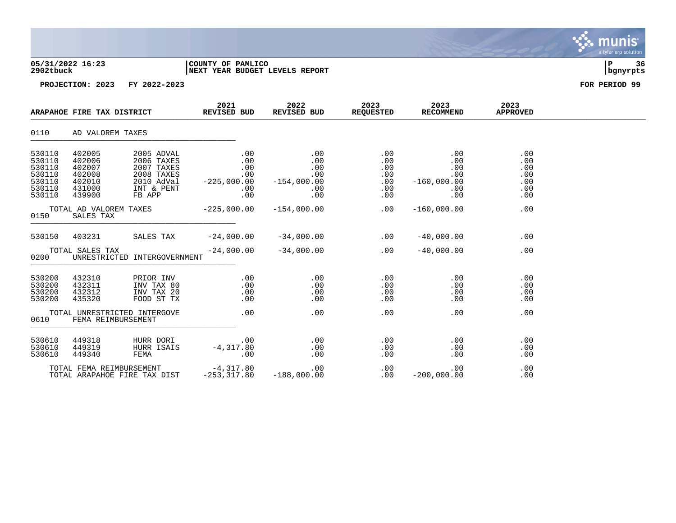| 05/31/2022 16:23<br>2902tbuck                                      |                                                                    |                                                                                            | COUNTY OF PAMLICO<br>NEXT YEAR BUDGET LEVELS REPORT          | P<br>36<br>bgnyrpts                                     |                                               |                                                         |                                               |               |
|--------------------------------------------------------------------|--------------------------------------------------------------------|--------------------------------------------------------------------------------------------|--------------------------------------------------------------|---------------------------------------------------------|-----------------------------------------------|---------------------------------------------------------|-----------------------------------------------|---------------|
|                                                                    |                                                                    | PROJECTION: 2023 FY 2022-2023                                                              |                                                              |                                                         |                                               |                                                         |                                               | FOR PERIOD 99 |
|                                                                    | ARAPAHOE FIRE TAX DISTRICT                                         |                                                                                            | 2021<br>REVISED BUD                                          | 2022<br>REVISED BUD                                     | 2023<br><b>REQUESTED</b>                      | 2023<br><b>RECOMMEND</b>                                | 2023<br><b>APPROVED</b>                       |               |
| 0110                                                               | AD VALOREM TAXES                                                   |                                                                                            |                                                              |                                                         |                                               |                                                         |                                               |               |
| 530110<br>530110<br>530110<br>530110<br>530110<br>530110<br>530110 | 402005<br>402006<br>402007<br>402008<br>402010<br>431000<br>439900 | 2005 ADVAL<br>2006 TAXES<br>2007 TAXES<br>2008 TAXES<br>2010 AdVal<br>INT & PENT<br>FB APP | $.00 \,$<br>.00<br>.00<br>.00<br>$-225,000.00$<br>.00<br>.00 | .00<br>.00<br>.00<br>.00<br>$-154,000.00$<br>.00<br>.00 | .00<br>.00<br>.00<br>.00<br>.00<br>.00<br>.00 | .00<br>.00<br>.00<br>.00<br>$-160,000.00$<br>.00<br>.00 | .00<br>.00<br>.00<br>.00<br>.00<br>.00<br>.00 |               |
| 0150                                                               | TOTAL AD VALOREM TAXES<br>SALES TAX                                |                                                                                            | $-225,000.00$                                                | $-154,000.00$                                           | .00                                           | $-160,000.00$                                           | .00                                           |               |
| 530150                                                             | 403231                                                             | SALES TAX                                                                                  | $-24,000.00$                                                 | $-34,000.00$                                            | .00                                           | $-40,000.00$                                            | .00                                           |               |
| 0200                                                               | TOTAL SALES TAX                                                    | UNRESTRICTED INTERGOVERNMENT                                                               | $-24,000.00$                                                 | $-34,000.00$                                            | .00                                           | $-40,000.00$                                            | .00                                           |               |
| 530200<br>530200<br>530200<br>530200                               | 432310<br>432311<br>432312<br>435320                               | PRIOR INV<br>INV TAX 80<br>INV TAX 20<br>FOOD ST TX                                        | $.00 \,$<br>$.00 \,$<br>$.00\,$<br>.00                       | .00<br>.00<br>.00<br>.00                                | .00<br>.00<br>.00<br>.00                      | $.00 \,$<br>.00<br>.00<br>.00                           | .00<br>.00<br>.00<br>.00                      |               |
| 0610                                                               |                                                                    | TOTAL UNRESTRICTED INTERGOVE<br>FEMA REIMBURSEMENT                                         | .00                                                          | .00                                                     | .00                                           | .00                                                     | .00                                           |               |
| 530610<br>530610<br>530610                                         | 449318<br>449319<br>449340                                         | HURR DORI<br>HURR ISAIS<br>FEMA                                                            | .00<br>$-4,317.80$<br>.00                                    | .00<br>.00<br>.00                                       | .00<br>.00<br>.00                             | .00<br>.00<br>.00                                       | .00<br>.00<br>.00                             |               |
|                                                                    | TOTAL FEMA REIMBURSEMENT                                           |                                                                                            | $-4,317.80$                                                  | .00                                                     | .00                                           | .00                                                     | .00                                           |               |

TOTAL ARAPAHOE FIRE TAX DIST  $-253,317.80$   $-188,000.00$  .00  $-200,000.00$  .00

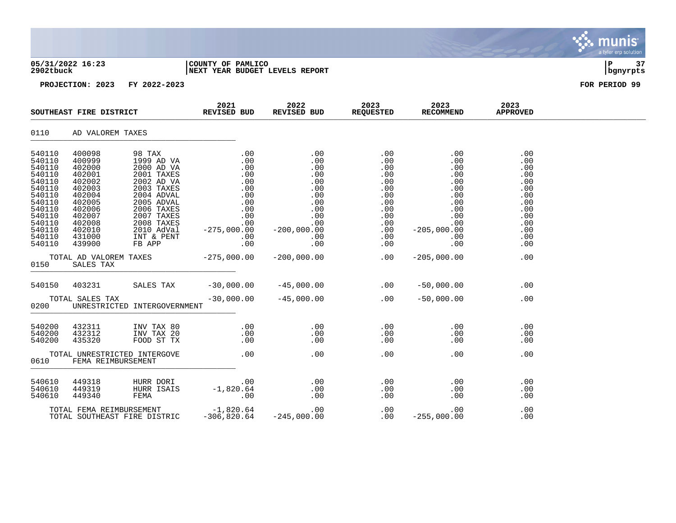| 05/31/2022 16:23<br>2902tbuck                                                                                                                    |                                                                                                                                                       |                                                                                                                                                                                                        | COUNTY OF PAMLICO<br>NEXT YEAR BUDGET LEVELS REPORT                           | 37<br>P<br>bgnyrpts |                   |                   |                                                                                                       |               |
|--------------------------------------------------------------------------------------------------------------------------------------------------|-------------------------------------------------------------------------------------------------------------------------------------------------------|--------------------------------------------------------------------------------------------------------------------------------------------------------------------------------------------------------|-------------------------------------------------------------------------------|---------------------|-------------------|-------------------|-------------------------------------------------------------------------------------------------------|---------------|
|                                                                                                                                                  |                                                                                                                                                       | PROJECTION: 2023 FY 2022-2023                                                                                                                                                                          |                                                                               |                     |                   |                   |                                                                                                       | FOR PERIOD 99 |
|                                                                                                                                                  | SOUTHEAST FIRE DISTRICT                                                                                                                               |                                                                                                                                                                                                        | REVISED BUD                                                                   |                     |                   |                   | 2023<br><b>APPROVED</b>                                                                               |               |
| 0110                                                                                                                                             | AD VALOREM TAXES                                                                                                                                      |                                                                                                                                                                                                        |                                                                               |                     |                   |                   |                                                                                                       |               |
| 540110<br>540110<br>540110<br>540110<br>540110<br>540110<br>540110<br>540110<br>540110<br>540110<br>540110<br>540110<br>540110<br>540110<br>0150 | 400098<br>400999<br>402000<br>402001<br>402002<br>402003<br>402004<br>402005<br>402006<br>402007<br>402008<br>402010<br>431000<br>439900<br>SALES TAX | 98 TAX<br>1999 AD VA<br>2000 AD VA<br>2001 TAXES<br>2002 AD VA<br>2003 TAXES<br>2004 ADVAL<br>2005 ADVAL<br>2006 TAXES<br>2007 TAXES<br>2008 TAXES<br>2010 AdVal<br>INT & PENT<br>2008 TAXES<br>FB APP | TOTAL AD VALOREM TAXES $-275,000.00$ $-200,000.00$ $-800$ $-00$ $-205,000.00$ | $.00$ . $.00$       | .00               | .00               | .00<br>.00<br>.00<br>.00<br>.00<br>.00<br>.00<br>.00<br>.00<br>.00<br>.00<br>.00<br>.00<br>.00<br>.00 |               |
|                                                                                                                                                  | 540150 403231                                                                                                                                         |                                                                                                                                                                                                        |                                                                               |                     |                   |                   | .00                                                                                                   |               |
| 0200                                                                                                                                             | TOTAL SALES TAX                                                                                                                                       | UNRESTRICTED INTERGOVERNMENT                                                                                                                                                                           | $-30,000.00$                                                                  | $-45,000.00$        |                   | $.00 - 50,000.00$ | .00                                                                                                   |               |
| 540200<br>540200<br>540200                                                                                                                       | 432311<br>432312<br>435320                                                                                                                            | INV TAX 80<br>INV TAX 20<br>FOOD ST TX                                                                                                                                                                 |                                                                               |                     |                   | .00<br>.00<br>.00 | .00<br>.00<br>.00                                                                                     |               |
| 0610                                                                                                                                             | FEMA REIMBURSEMENT                                                                                                                                    | TOTAL UNRESTRICTED INTERGOVE                                                                                                                                                                           | $\sim$ 00                                                                     | .00                 | .00               | .00               | .00                                                                                                   |               |
| 540610<br>540610<br>540610                                                                                                                       | 449318<br>449319<br>449340                                                                                                                            | HURR DORI<br>HURR ISAIS<br>FEMA                                                                                                                                                                        | .00<br>$-1,820.64$<br>.00                                                     | .00<br>.00<br>.00   | .00<br>.00<br>.00 | .00<br>.00<br>.00 | .00<br>.00<br>.00                                                                                     |               |

TOTAL FEMA REIMBURSEMENT -1,820.64 .00 .00 .00 .00 00 .00 TOTAL SOUTHEAST FIRE DISTRIC  $-306,820.64$   $-245,000.00$  .00  $-255,000.00$ 

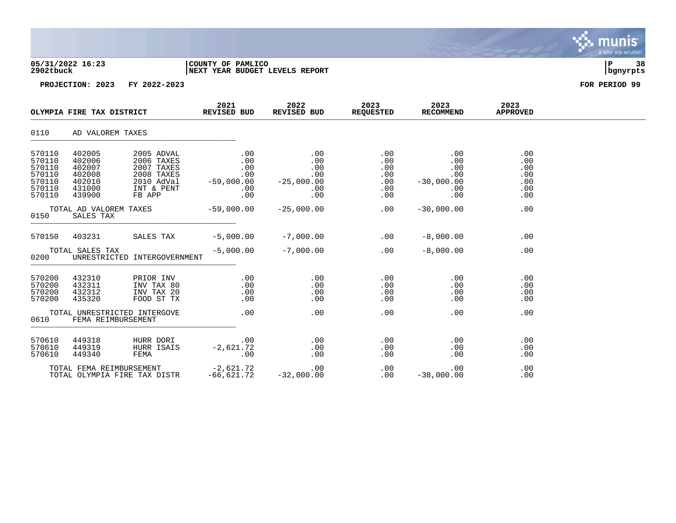| 2902tbuck                                                          | 05/31/2022 16:23                                                   |                                                                                            | COUNTY OF PAMLICO<br>NEXT YEAR BUDGET LEVELS REPORT                                              | ΙP<br>-38<br>bgnyrpts                                          |                                               |                                                        |                                               |               |
|--------------------------------------------------------------------|--------------------------------------------------------------------|--------------------------------------------------------------------------------------------|--------------------------------------------------------------------------------------------------|----------------------------------------------------------------|-----------------------------------------------|--------------------------------------------------------|-----------------------------------------------|---------------|
|                                                                    |                                                                    | PROJECTION: 2023 FY 2022-2023                                                              |                                                                                                  |                                                                |                                               |                                                        |                                               | FOR PERIOD 99 |
|                                                                    | OLYMPIA FIRE TAX DISTRICT                                          |                                                                                            | 2021<br>REVISED BUD                                                                              | 2022<br>REVISED BUD                                            | 2023<br><b>REQUESTED</b>                      | 2023<br>RECOMMEND                                      | 2023<br><b>APPROVED</b>                       |               |
| 0110                                                               | AD VALOREM TAXES                                                   |                                                                                            |                                                                                                  |                                                                |                                               |                                                        |                                               |               |
| 570110<br>570110<br>570110<br>570110<br>570110<br>570110<br>570110 | 402005<br>402006<br>402007<br>402008<br>402010<br>431000<br>439900 | 2005 ADVAL<br>2006 TAXES<br>2007 TAXES<br>2008 TAXES<br>2010 AdVal<br>INT & PENT<br>FB APP | .00<br>.00<br>$.00 \,$<br>$\frac{1}{2}$<br>00 .<br>00 .<br>59 ,000 00 <del>-</del><br>.00<br>.00 | .00<br>.00<br>.00<br>.00<br>00 .<br>25,000 .00 –<br>.00<br>.00 | .00<br>.00<br>.00<br>.00<br>.00<br>.00<br>.00 | .00<br>.00<br>.00<br>.00<br>$-30,000.00$<br>.00<br>.00 | .00<br>.00<br>.00<br>.00<br>.00<br>.00<br>.00 |               |
| 0150                                                               | TOTAL AD VALOREM TAXES<br>SALES TAX                                |                                                                                            | $-59,000.00$                                                                                     | $-25,000.00$                                                   | .00                                           | $-30,000.00$                                           | .00                                           |               |
| 570150                                                             | 403231                                                             | SALES TAX                                                                                  | $-5,000.00$                                                                                      | $-7,000.00$ .00                                                |                                               | $-8,000.00$                                            | .00                                           |               |
| 0200                                                               | TOTAL SALES TAX                                                    | UNRESTRICTED INTERGOVERNMENT                                                               | $-5,000.00$                                                                                      | $-7,000.00$                                                    | .00                                           | $-8,000.00$                                            | .00                                           |               |
| 570200<br>570200<br>570200<br>570200                               | 432310<br>432311<br>432312<br>435320                               | PRIOR INV<br>INV TAX 80<br>INV TAX 20<br>FOOD ST TX                                        | .00<br>.00<br>.00<br>.00                                                                         | .00<br>.00<br>.00<br>.00                                       | .00<br>.00<br>.00<br>.00                      | .00<br>.00<br>.00<br>.00                               | .00<br>.00<br>.00<br>.00                      |               |
| 0610                                                               | FEMA REIMBURSEMENT                                                 | TOTAL UNRESTRICTED INTERGOVE                                                               | .00                                                                                              | .00                                                            | .00                                           | .00                                                    | .00                                           |               |
| 570610<br>570610<br>570610                                         | 449318<br>449319<br>449340                                         | HURR DORI<br>HURR ISAIS<br>FEMA                                                            | .00<br>$-2,621.72$<br>.00                                                                        | .00<br>.00<br>.00                                              | .00<br>.00<br>.00                             | .00<br>.00<br>.00                                      | .00<br>.00<br>.00                             |               |
|                                                                    | TOTAL FEMA REIMBURSEMENT                                           |                                                                                            | $-2,621.72$                                                                                      | .00                                                            | .00                                           | .00                                                    | .00                                           |               |

**∵∴** munis

a tyler erp solution

TOTAL OLYMPIA FIRE TAX DISTR -66,621.72 -32,000.00 .00 -38,000.00 .00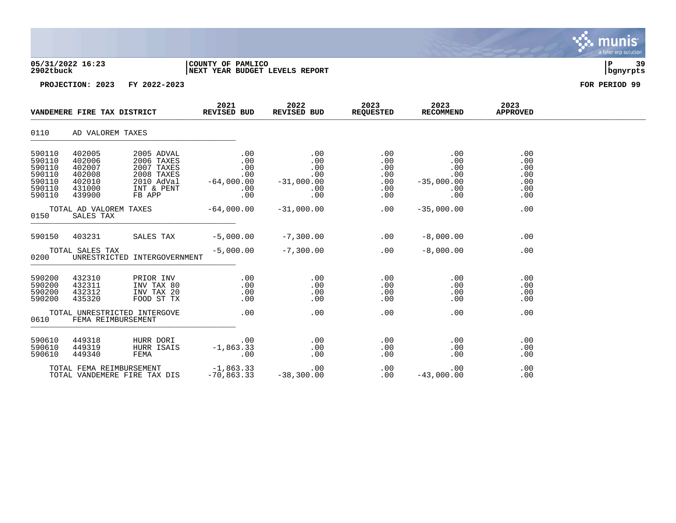| 05/31/2022 16:23<br>2902tbuck                                      |                                                                    |                                                                                            | COUNTY OF PAMLICO<br>NEXT YEAR BUDGET LEVELS REPORT              | 39<br>P<br>bgnyrpts                                    |                                               |                                                        |                                               |               |
|--------------------------------------------------------------------|--------------------------------------------------------------------|--------------------------------------------------------------------------------------------|------------------------------------------------------------------|--------------------------------------------------------|-----------------------------------------------|--------------------------------------------------------|-----------------------------------------------|---------------|
|                                                                    |                                                                    | PROJECTION: 2023 FY 2022-2023                                                              |                                                                  |                                                        |                                               |                                                        |                                               | FOR PERIOD 99 |
|                                                                    | VANDEMERE FIRE TAX DISTRICT                                        |                                                                                            | 2021<br>REVISED BUD                                              | 2022<br>REVISED BUD                                    | 2023<br><b>REQUESTED</b>                      | 2023<br>RECOMMEND                                      | 2023<br><b>APPROVED</b>                       |               |
| 0110                                                               | AD VALOREM TAXES                                                   |                                                                                            |                                                                  |                                                        |                                               |                                                        |                                               |               |
| 590110<br>590110<br>590110<br>590110<br>590110<br>590110<br>590110 | 402005<br>402006<br>402007<br>402008<br>402010<br>431000<br>439900 | 2005 ADVAL<br>2006 TAXES<br>2007 TAXES<br>2008 TAXES<br>2010 AdVal<br>INT & PENT<br>FB APP | $.00 \,$<br>.00<br>.00<br>$.00 \,$<br>$-64,000.00$<br>.00<br>.00 | .00<br>.00<br>.00<br>.00<br>$-31,000.00$<br>.00<br>.00 | .00<br>.00<br>.00<br>.00<br>.00<br>.00<br>.00 | .00<br>.00<br>.00<br>.00<br>$-35,000.00$<br>.00<br>.00 | .00<br>.00<br>.00<br>.00<br>.00<br>.00<br>.00 |               |
| 0150                                                               | TOTAL AD VALOREM TAXES<br>SALES TAX                                |                                                                                            | $-64,000.00$                                                     | $-31,000.00$                                           | .00                                           | $-35,000.00$                                           | .00                                           |               |
| 590150                                                             | 403231                                                             | SALES TAX                                                                                  | $-5,000.00$                                                      | $-7,300.00$                                            | .00                                           | $-8,000.00$                                            | .00                                           |               |
| 0200                                                               | TOTAL SALES TAX                                                    | UNRESTRICTED INTERGOVERNMENT                                                               | $-5,000.00$                                                      | $-7,300.00$                                            | .00                                           | $-8,000.00$                                            | .00                                           |               |
| 590200<br>590200<br>590200<br>590200                               | 432310<br>432311<br>432312<br>435320                               | PRIOR INV<br>INV TAX 80<br>INV TAX 20<br>FOOD ST TX                                        | $.00 \,$<br>$.00 \,$<br>.00<br>.00                               | .00<br>.00<br>.00<br>.00                               | .00<br>.00<br>.00<br>.00                      | $.00 \,$<br>.00<br>.00<br>.00                          | .00<br>.00<br>.00<br>.00                      |               |
| 0610                                                               |                                                                    | TOTAL UNRESTRICTED INTERGOVE<br>FEMA REIMBURSEMENT                                         | .00                                                              | .00                                                    | .00                                           | .00                                                    | .00                                           |               |
| 590610<br>590610<br>590610                                         | 449318<br>449319<br>449340                                         | HURR DORI<br>HURR ISAIS<br>FEMA                                                            | .00<br>$-1,863.33$<br>.00                                        | .00<br>.00<br>.00                                      | .00<br>.00<br>.00                             | .00<br>.00<br>.00                                      | .00<br>.00<br>.00                             |               |
|                                                                    | TOTAL FEMA REIMBURSEMENT                                           |                                                                                            | $-1,863.33$                                                      | .00                                                    | .00                                           | .00                                                    | .00                                           |               |

munis a tyler erp solution

TOTAL VANDEMERE FIRE TAX DIS -70,863.33 -38,300.00 .00 -43,000.00 .00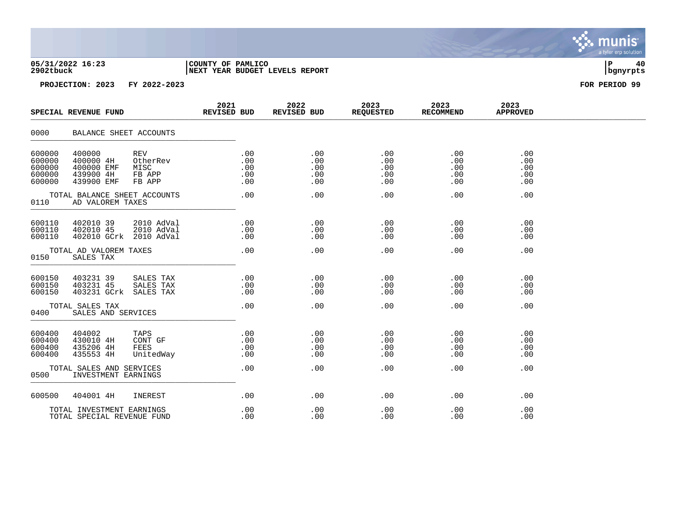| 05/31/2022 16:23 | COUNTY OF PAMLICO               |          |  |
|------------------|---------------------------------|----------|--|
| 2902tbuck        | INEXT YEAR BUDGET LEVELS REPORT | bqnyrpts |  |

|                                                | SPECIAL REVENUE FUND                                                                                        | 2021<br>REVISED BUD             | 2022<br>REVISED BUD             | 2023<br><b>REQUESTED</b>        | 2023<br><b>RECOMMEND</b>        | 2023<br><b>APPROVED</b>         |  |
|------------------------------------------------|-------------------------------------------------------------------------------------------------------------|---------------------------------|---------------------------------|---------------------------------|---------------------------------|---------------------------------|--|
| 0000                                           | BALANCE SHEET ACCOUNTS                                                                                      |                                 |                                 |                                 |                                 |                                 |  |
| 600000<br>600000<br>600000<br>600000<br>600000 | 400000<br>REV<br>400000 4H<br>OtherRev<br>400000 EMF<br>MISC<br>439900 4H<br>FB APP<br>439900 EMF<br>FB APP | .00<br>.00<br>.00<br>.00<br>.00 | .00<br>.00<br>.00<br>.00<br>.00 | .00<br>.00<br>.00<br>.00<br>.00 | .00<br>.00<br>.00<br>.00<br>.00 | .00<br>.00<br>.00<br>.00<br>.00 |  |
| 0110                                           | TOTAL BALANCE SHEET ACCOUNTS<br>AD VALOREM TAXES                                                            | .00                             | .00                             | .00                             | .00                             | .00                             |  |
| 600110<br>600110<br>600110                     | 402010 39<br>2010 AdVal<br>402010 45<br>2010 AdVal<br>402010 GCrk<br>2010 AdVal                             | .00<br>.00<br>.00               | .00<br>.00<br>.00               | .00<br>.00<br>.00               | .00<br>.00<br>.00               | .00<br>.00<br>.00               |  |
| 0150                                           | TOTAL AD VALOREM TAXES<br>SALES TAX                                                                         | .00                             | .00                             | .00                             | .00                             | .00                             |  |
| 600150<br>600150<br>600150                     | 403231 39<br>SALES TAX<br>403231 45<br>SALES TAX<br>403231 GCrk<br>SALES TAX                                | .00<br>.00<br>$.00 \,$          | .00<br>.00<br>.00               | .00<br>.00<br>.00               | .00<br>.00<br>.00               | .00<br>.00<br>.00               |  |
| 0400                                           | TOTAL SALES TAX<br>SALES AND SERVICES                                                                       | .00                             | .00                             | .00                             | .00                             | .00                             |  |
| 600400<br>600400<br>600400<br>600400           | 404002<br>TAPS<br>430010 4H<br>CONT GF<br>435206 4H<br>FEES<br>435553 4H<br>UnitedWay                       | .00<br>.00<br>.00<br>.00        | .00<br>.00<br>.00<br>.00        | .00<br>.00<br>.00<br>.00        | .00<br>.00<br>.00<br>.00        | .00<br>.00<br>.00<br>.00        |  |
| 0500                                           | TOTAL SALES AND SERVICES<br>INVESTMENT EARNINGS                                                             | .00                             | .00                             | .00                             | .00                             | .00                             |  |
| 600500                                         | 404001 4H<br>INEREST                                                                                        | .00                             | .00                             | .00                             | .00                             | .00                             |  |
|                                                | TOTAL INVESTMENT EARNINGS<br>TOTAL SPECIAL REVENUE FUND                                                     | .00<br>.00                      | .00<br>.00                      | .00<br>.00                      | .00<br>.00                      | .00<br>.00                      |  |

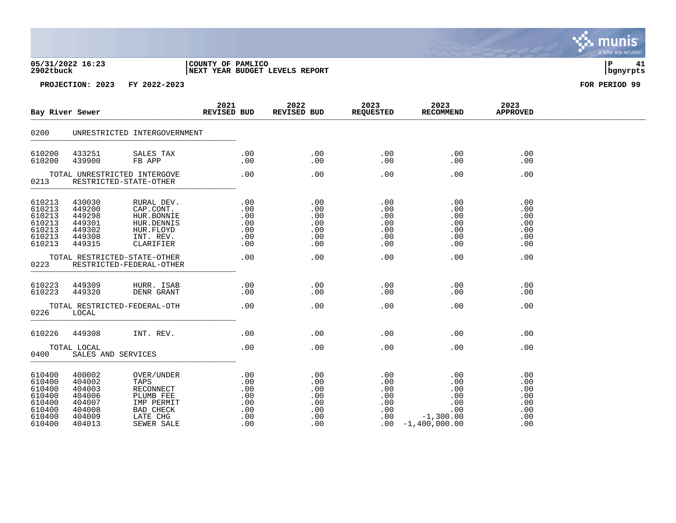| 05/31/2022 16:23 | COUNTY OF PAMLICO              |          | 41 |
|------------------|--------------------------------|----------|----|
| 2902tbuck        | NEXT YEAR BUDGET LEVELS REPORT | bgnyrpts |    |

| Bay River Sewer                                                              |                                                                              |                                                                                                   | 2021<br>REVISED BUD |                                                      | 2022<br>REVISED BUD                                  | 2023<br>REQUESTED                                 | 2023<br><b>RECOMMEND</b>                                                      | 2023<br><b>APPROVED</b>                              |  |
|------------------------------------------------------------------------------|------------------------------------------------------------------------------|---------------------------------------------------------------------------------------------------|---------------------|------------------------------------------------------|------------------------------------------------------|---------------------------------------------------|-------------------------------------------------------------------------------|------------------------------------------------------|--|
| 0200                                                                         |                                                                              | UNRESTRICTED INTERGOVERNMENT                                                                      |                     |                                                      |                                                      |                                                   |                                                                               |                                                      |  |
| 610200<br>610200                                                             | 433251<br>439900                                                             | SALES TAX<br>FB APP                                                                               |                     | .00<br>.00                                           | .00<br>.00                                           | .00<br>.00                                        | .00<br>.00                                                                    | .00<br>.00                                           |  |
| 0213                                                                         | TOTAL UNRESTRICTED INTERGOVE<br>RESTRICTED-STATE-OTHER                       |                                                                                                   |                     | .00                                                  | .00                                                  | .00                                               | .00                                                                           | .00                                                  |  |
| 610213<br>610213<br>610213<br>610213<br>610213<br>610213<br>610213           | 430030<br>449200<br>449298<br>449301<br>449302<br>449308<br>449315           | RURAL DEV.<br>CAP.CONT.<br>HUR.BONNIE<br>HUR.DENNIS<br>HUR.FLOYD<br>INT. REV.<br>CLARIFIER        |                     | .00<br>.00<br>.00<br>.00<br>.00<br>.00<br>.00        | .00<br>.00<br>.00<br>.00<br>.00<br>.00<br>.00        | .00<br>.00<br>.00<br>.00<br>.00<br>.00<br>.00     | .00<br>.00<br>.00<br>.00<br>.00<br>.00<br>.00                                 | .00<br>.00<br>.00<br>.00<br>.00<br>.00<br>.00        |  |
| 0223                                                                         | TOTAL RESTRICTED-STATE-OTHER<br>RESTRICTED-FEDERAL-OTHER                     |                                                                                                   |                     | .00                                                  | .00                                                  | .00                                               | .00                                                                           | .00                                                  |  |
| 610223<br>610223                                                             | 449309<br>449320                                                             | HURR. ISAB<br>DENR GRANT                                                                          |                     | .00<br>.00                                           | .00<br>.00                                           | .00<br>.00                                        | .00<br>.00                                                                    | .00<br>.00                                           |  |
| 0226                                                                         | TOTAL RESTRICTED-FEDERAL-OTH<br>LOCAL                                        |                                                                                                   |                     | .00                                                  | .00                                                  | .00                                               | .00                                                                           | .00                                                  |  |
| 610226                                                                       | 449308                                                                       | INT. REV.                                                                                         |                     | .00                                                  | .00                                                  | .00                                               | .00                                                                           | .00                                                  |  |
| 0400                                                                         | TOTAL LOCAL<br>SALES AND SERVICES                                            |                                                                                                   |                     | .00                                                  | .00                                                  | .00                                               | .00                                                                           | .00                                                  |  |
| 610400<br>610400<br>610400<br>610400<br>610400<br>610400<br>610400<br>610400 | 400002<br>404002<br>404003<br>404006<br>404007<br>404008<br>404009<br>404013 | OVER/UNDER<br>TAPS<br>RECONNECT<br>PLUMB FEE<br>IMP PERMIT<br>BAD CHECK<br>LATE CHG<br>SEWER SALE |                     | .00<br>.00<br>.00<br>.00<br>.00<br>.00<br>.00<br>.00 | .00<br>.00<br>.00<br>.00<br>.00<br>.00<br>.00<br>.00 | .00<br>.00<br>.00<br>.00<br>.00<br>.00<br>$.00\,$ | .00<br>.00<br>.00<br>.00<br>.00<br>.00<br>$-1,300.00$<br>$.00 - 1,400,000.00$ | .00<br>.00<br>.00<br>.00<br>.00<br>.00<br>.00<br>.00 |  |



**2902 PAMLICO** PAMELICO PETERS REPORT BUDGET LEVELS REPORT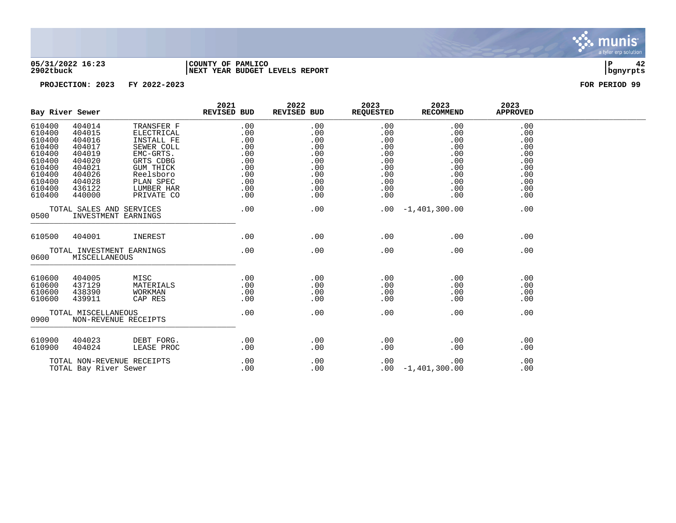

### **05/31/2022 16:23 |COUNTY OF PAMLICO |P 42 2902tbuck |NEXT YEAR BUDGET LEVELS REPORT |bgnyrpts**

|                                                                                                            | Bay River Sewer                                                                                            |                                                                                                                                                   | 2021<br>REVISED BUD                                                                 | 2022<br>REVISED BUD                                                            | 2023<br><b>REQUESTED</b>                                                       | 2023<br>RECOMMEND                                                              | 2023<br><b>APPROVED</b>                                                   |  |
|------------------------------------------------------------------------------------------------------------|------------------------------------------------------------------------------------------------------------|---------------------------------------------------------------------------------------------------------------------------------------------------|-------------------------------------------------------------------------------------|--------------------------------------------------------------------------------|--------------------------------------------------------------------------------|--------------------------------------------------------------------------------|---------------------------------------------------------------------------|--|
| 610400<br>610400<br>610400<br>610400<br>610400<br>610400<br>610400<br>610400<br>610400<br>610400<br>610400 | 404014<br>404015<br>404016<br>404017<br>404019<br>404020<br>404021<br>404026<br>404028<br>436122<br>440000 | TRANSFER F<br>ELECTRICAL<br>INSTALL FE<br>SEWER COLL<br>EMC-GRTS.<br>GRTS CDBG<br>GUM THICK<br>Reelsboro<br>PLAN SPEC<br>LUMBER HAR<br>PRIVATE CO | .00<br>.00<br>.00<br>.00<br>$.00 \,$<br>.00<br>.00<br>.00<br>.00<br>.00<br>$.00 \,$ | .00<br>.00<br>.00<br>.00<br>.00<br>.00<br>.00<br>.00<br>.00<br>.00<br>$.00 \,$ | .00<br>.00<br>.00<br>.00<br>.00<br>.00<br>.00<br>.00<br>.00<br>.00<br>$.00 \,$ | .00<br>.00<br>.00<br>.00<br>.00<br>.00<br>.00<br>.00<br>.00<br>.00<br>$.00 \,$ | .00<br>.00<br>.00<br>.00<br>.00<br>.00<br>.00<br>.00<br>.00<br>.00<br>.00 |  |
| 0500                                                                                                       | TOTAL SALES AND SERVICES                                                                                   | INVESTMENT EARNINGS                                                                                                                               | .00                                                                                 | .00                                                                            |                                                                                | $.00 - 1,401,300.00$                                                           | .00                                                                       |  |
| 610500                                                                                                     | 404001                                                                                                     | INEREST                                                                                                                                           | .00                                                                                 | .00                                                                            | .00                                                                            | .00                                                                            | .00                                                                       |  |
| 0600                                                                                                       | TOTAL INVESTMENT EARNINGS<br>MISCELLANEOUS                                                                 |                                                                                                                                                   | .00                                                                                 | .00                                                                            | .00                                                                            | .00                                                                            | .00                                                                       |  |
| 610600<br>610600<br>610600<br>610600                                                                       | 404005<br>437129<br>438390<br>439911                                                                       | MISC<br>MATERIALS<br>WORKMAN<br>CAP RES                                                                                                           | .00<br>.00<br>.00<br>.00                                                            | .00<br>.00<br>.00<br>.00                                                       | .00<br>.00<br>.00<br>.00                                                       | .00<br>.00<br>.00<br>.00                                                       | .00<br>.00<br>.00<br>.00                                                  |  |
| 0900                                                                                                       | TOTAL MISCELLANEOUS                                                                                        | NON-REVENUE RECEIPTS                                                                                                                              | .00                                                                                 | .00                                                                            | .00                                                                            | .00                                                                            | .00                                                                       |  |
| 610900<br>610900                                                                                           | 404023<br>404024                                                                                           | DEBT FORG.<br>LEASE PROC                                                                                                                          | .00<br>.00                                                                          | .00<br>.00                                                                     | .00<br>.00                                                                     | .00<br>.00                                                                     | .00<br>.00                                                                |  |
| TOTAL NON-REVENUE RECEIPTS<br>TOTAL Bay River Sewer                                                        |                                                                                                            |                                                                                                                                                   | .00<br>.00                                                                          | .00<br>.00                                                                     | .00                                                                            | .00<br>$.00 - 1,401,300.00$                                                    | .00<br>.00                                                                |  |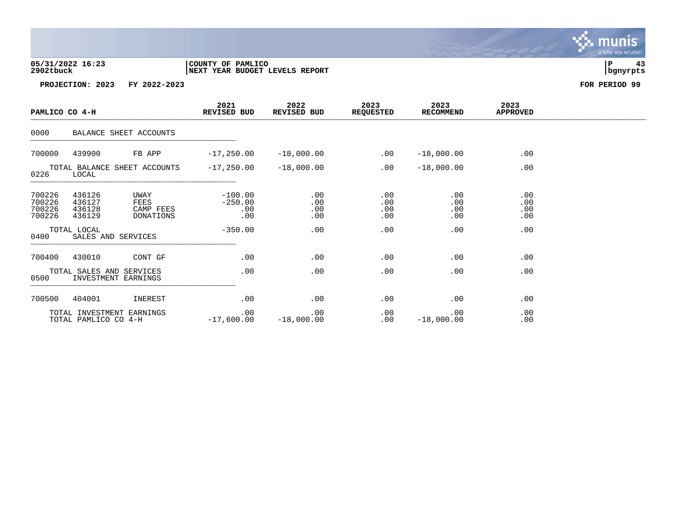## **05/31/2022 16:23 |COUNTY OF PAMLICO |P 43 2902tbuck |NEXT YEAR BUDGET LEVELS REPORT |bgnyrpts**

| PAMLICO CO 4-H                                    |                                                 |                                        | 2021<br>REVISED BUD                  | 2022<br>REVISED BUD      | 2023<br><b>REQUESTED</b> | 2023<br><b>RECOMMEND</b> | 2023<br><b>APPROVED</b>  |  |
|---------------------------------------------------|-------------------------------------------------|----------------------------------------|--------------------------------------|--------------------------|--------------------------|--------------------------|--------------------------|--|
| 0000                                              |                                                 | BALANCE SHEET ACCOUNTS                 |                                      |                          |                          |                          |                          |  |
| 700000                                            | 439900                                          | FB APP                                 | $-17,250.00$                         | $-18,000.00$             | .00                      | $-18,000.00$             | .00                      |  |
| 0226                                              | LOCAL                                           | TOTAL BALANCE SHEET ACCOUNTS           | $-17,250.00$                         | $-18,000.00$             | .00                      | $-18,000.00$             | .00                      |  |
| 700226<br>700226<br>700226<br>700226              | 436126<br>436127<br>436128<br>436129            | UWAY<br>FEES<br>CAMP FEES<br>DONATIONS | $-100.00$<br>$-250.00$<br>.00<br>.00 | .00<br>.00<br>.00<br>.00 | .00<br>.00<br>.00<br>.00 | .00<br>.00<br>.00<br>.00 | .00<br>.00<br>.00<br>.00 |  |
| TOTAL LOCAL<br>0400<br>SALES AND SERVICES         |                                                 | $-350.00$                              | .00                                  | .00                      | .00                      | .00                      |                          |  |
| 700400                                            | 430010                                          | CONT GF                                | .00                                  | .00                      | .00                      | .00                      | .00                      |  |
| 0500                                              | TOTAL SALES AND SERVICES<br>INVESTMENT EARNINGS |                                        | .00                                  | .00                      | .00                      | .00                      | .00                      |  |
| 700500                                            | 404001                                          | INEREST                                | .00                                  | .00                      | .00                      | .00                      | .00                      |  |
| TOTAL INVESTMENT EARNINGS<br>TOTAL PAMLICO CO 4-H |                                                 |                                        | .00<br>$-17,600.00$                  | .00<br>$-18,000.00$      | .00<br>.00               | .00<br>$-18,000.00$      | .00<br>.00               |  |

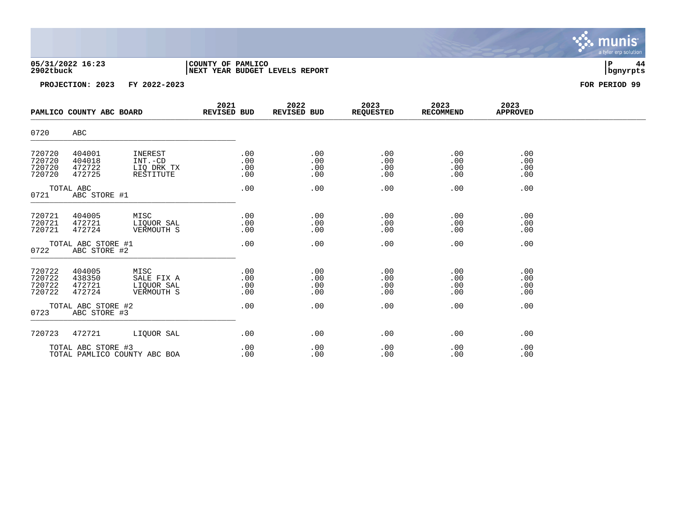| 05/31/2022 16:23 | COUNTY OF PAMLICO                    |          |  |
|------------------|--------------------------------------|----------|--|
| 2902tbuck        | 'YEAR BUDGET LEVELS REPORT<br>  NEXT | banvrpts |  |

| PAMLICO COUNTY ABC BOARD                           |                                      |                                                | 2021<br><b>REVISED BUD</b> | 2022<br>REVISED BUD      | 2023<br><b>REQUESTED</b> | 2023<br><b>RECOMMEND</b> | 2023<br><b>APPROVED</b>  |  |
|----------------------------------------------------|--------------------------------------|------------------------------------------------|----------------------------|--------------------------|--------------------------|--------------------------|--------------------------|--|
| 0720                                               | ABC                                  |                                                |                            |                          |                          |                          |                          |  |
| 720720<br>720720<br>720720<br>720720               | 404001<br>404018<br>472722<br>472725 | INEREST<br>INT.-CD<br>LIO DRK TX<br>RESTITUTE  | .00<br>.00<br>.00<br>.00   | .00<br>.00<br>.00<br>.00 | .00<br>.00<br>.00<br>.00 | .00<br>.00<br>.00<br>.00 | .00<br>.00<br>.00<br>.00 |  |
| TOTAL ABC<br>0721<br>ABC STORE #1                  |                                      | .00                                            | .00                        | .00                      | .00                      | .00                      |                          |  |
| 720721<br>720721<br>720721                         | 404005<br>472721<br>472724           | MISC<br>LIQUOR SAL<br>VERMOUTH S               | .00<br>.00<br>.00          | .00<br>.00<br>.00        | .00<br>.00<br>.00        | .00<br>.00<br>.00        | .00<br>.00<br>.00        |  |
| TOTAL ABC STORE #1<br>0722<br>ABC STORE #2         |                                      | .00                                            | .00                        | .00                      | .00                      | .00                      |                          |  |
| 720722<br>720722<br>720722<br>720722               | 404005<br>438350<br>472721<br>472724 | MISC<br>SALE FIX A<br>LIOUOR SAL<br>VERMOUTH S | .00<br>.00<br>.00<br>.00   | .00<br>.00<br>.00<br>.00 | .00<br>.00<br>.00<br>.00 | .00<br>.00<br>.00<br>.00 | .00<br>.00<br>.00<br>.00 |  |
| TOTAL ABC STORE #2<br>0723<br>ABC STORE #3         |                                      |                                                | .00                        | .00                      | .00                      | .00                      | .00                      |  |
| 720723                                             | 472721                               | LIQUOR SAL                                     | .00                        | .00                      | .00                      | .00                      | .00                      |  |
| TOTAL ABC STORE #3<br>TOTAL PAMLICO COUNTY ABC BOA |                                      |                                                | .00<br>.00                 | .00<br>.00               | .00<br>.00               | .00<br>.00               | .00<br>.00               |  |

 $\ddot{\cdot}$ munis<sup>.</sup> a tyler erp solution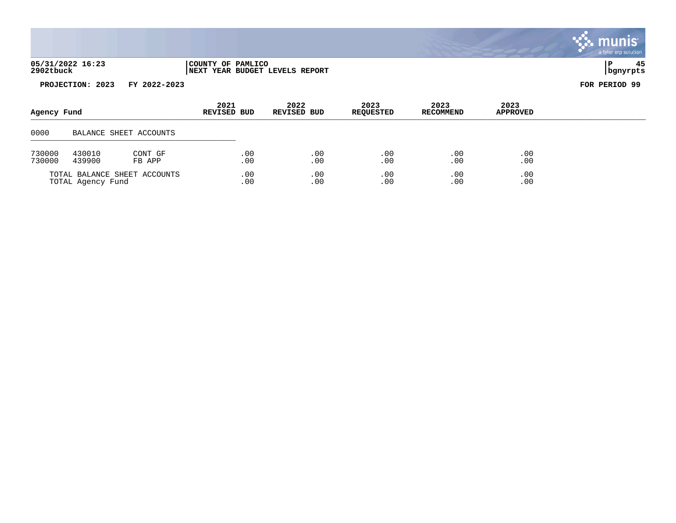| 05/31/2022 16:23 | COUNTY OF PAMLICO              |          |  |
|------------------|--------------------------------|----------|--|
| 2902tbuck        | NEXT YEAR BUDGET LEVELS REPORT | bgnyrpts |  |



| Agency Fund                                       |                                       |                        | 2021<br>REVISED BUD | 2022<br>REVISED BUD | 2023<br><b>REQUESTED</b> | 2023<br><b>RECOMMEND</b> | 2023<br>APPROVED |  |
|---------------------------------------------------|---------------------------------------|------------------------|---------------------|---------------------|--------------------------|--------------------------|------------------|--|
| 0000                                              |                                       | BALANCE SHEET ACCOUNTS |                     |                     |                          |                          |                  |  |
| 730000<br>730000                                  | 430010<br>CONT GF<br>439900<br>FB APP |                        | .00<br>.00          | .00<br>.00          | .00<br>.00               | .00<br>.00               | .00<br>.00       |  |
| TOTAL BALANCE SHEET ACCOUNTS<br>TOTAL Agency Fund |                                       |                        | .00<br>.00          | .00<br>.00          | .00<br>.00               | .00<br>.00               | .00<br>.00       |  |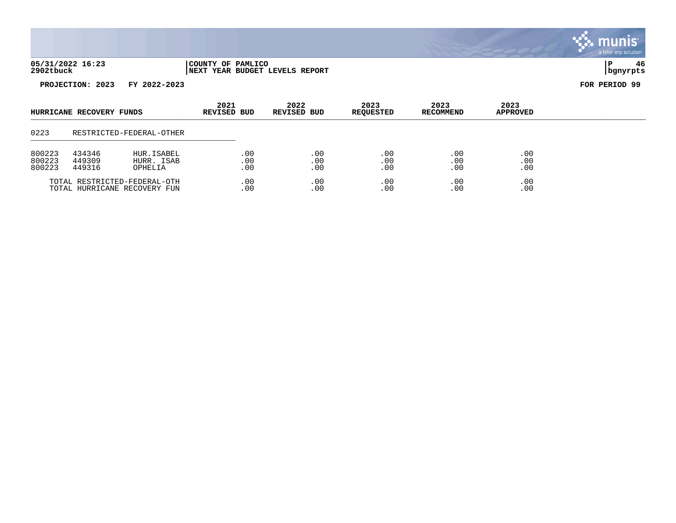| 05/31/2022 16:23 | COUNTY OF PAMLICO                   |                  |  |
|------------------|-------------------------------------|------------------|--|
| 2902tbuck        | YEAR BUDGET LEVELS REPORT<br>  NEXT | <u>Ibanvrpts</u> |  |

| HURRICANE RECOVERY FUNDS     |        |                          | 2021<br><b>REVISED BUD</b> | 2022<br>REVISED BUD | 2023<br><b>REQUESTED</b> | 2023<br><b>RECOMMEND</b> | 2023<br><b>APPROVED</b> |  |
|------------------------------|--------|--------------------------|----------------------------|---------------------|--------------------------|--------------------------|-------------------------|--|
| 0223                         |        | RESTRICTED-FEDERAL-OTHER |                            |                     |                          |                          |                         |  |
| 800223                       | 434346 | HUR.ISABEL               | .00                        | .00                 | .00                      | .00                      | .00                     |  |
| 800223                       | 449309 | HURR. ISAB               | .00                        | .00                 | .00                      | .00                      | .00                     |  |
| 800223                       | 449316 | OPHELIA                  | .00                        | .00                 | .00                      | .00                      | .00                     |  |
| TOTAL RESTRICTED-FEDERAL-OTH |        |                          | .00                        | .00                 | .00                      | .00                      | .00                     |  |
| TOTAL HURRICANE RECOVERY FUN |        |                          | .00                        | .00                 | .00                      | .00                      | .00                     |  |

. munis<sup>.</sup> a tyler erp solution